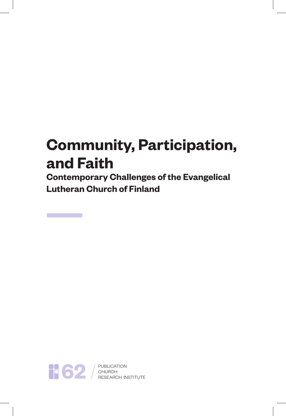**Contemporary Challenges of the Evangelical Lutheran Church of Finland**



**62** BUBLICATION<br>RESEARCH INSTITUTE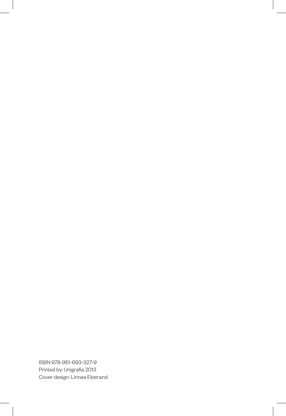ISBN 978-951-693-327-9 Printed by: Unigrafia 2013 Cover design: Linnea Ekstrand

J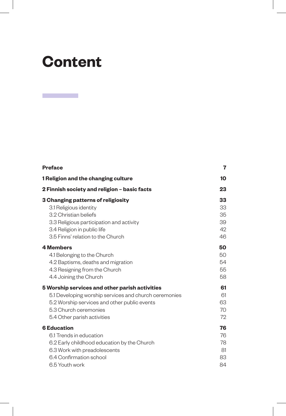## **Content**

 $\mathcal{L}^{\text{max}}$ 

| <b>Preface</b>                                        | 7  |
|-------------------------------------------------------|----|
| 1 Religion and the changing culture                   | 10 |
| 2 Finnish society and religion - basic facts          | 23 |
| 3 Changing patterns of religiosity                    | 33 |
| 3.1 Religious identity                                | 33 |
| 3.2 Christian beliefs                                 | 35 |
| 3.3 Religious participation and activity              | 39 |
| 3.4 Religion in public life                           | 42 |
| 3.5 Finns' relation to the Church                     | 46 |
| <b>4 Members</b>                                      | 50 |
| 4.1 Belonging to the Church                           | 50 |
| 4.2 Baptisms, deaths and migration                    | 54 |
| 4.3 Resigning from the Church                         | 55 |
| 4.4 Joining the Church                                | 58 |
| 5 Worship services and other parish activities        | 61 |
| 5.1 Developing worship services and church ceremonies | 61 |
| 5.2 Worship services and other public events          | 63 |
| 5.3 Church ceremonies                                 | 70 |
| 5.4 Other parish activities                           | 72 |
| <b>6 Education</b>                                    | 76 |
| 6.1 Trends in education                               | 76 |
| 6.2 Early childhood education by the Church           | 78 |
| 6.3 Work with preadolescents                          | 81 |
| 6.4 Confirmation school                               | 83 |
| 6.5 Youth work                                        | 84 |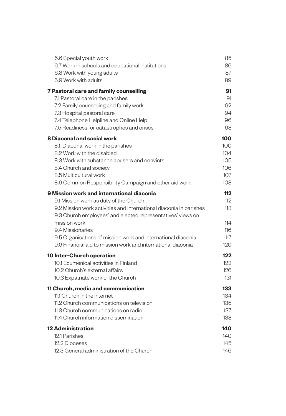| 6.6 Special youth work                                                              | 85         |
|-------------------------------------------------------------------------------------|------------|
| 6.7 Work in schools and educational institutions                                    | 86         |
| 6.8 Work with young adults                                                          | 87         |
| 6.9 Work with adults                                                                | 89         |
| 7 Pastoral care and family counselling                                              | 91         |
| 7.1 Pastoral care in the parishes                                                   | 91         |
| 7.2 Family counselling and family work                                              | 92         |
| 7.3 Hospital pastoral care                                                          | 94         |
| 7.4 Telephone Helpline and Online Help                                              | 96         |
| 7.5 Readiness for catastrophes and crises                                           | 98         |
| 8 Diaconal and social work                                                          | 100        |
| 8.1. Diaconal work in the parishes                                                  | 100        |
| 8.2 Work with the disabled                                                          | 104        |
| 8.3 Work with substance abusers and convicts                                        | 105<br>106 |
| 8.4 Church and society<br>8.5 Multicultural work                                    | 107        |
| 8.6 Common Responsibility Campaign and other aid work                               | 108        |
|                                                                                     |            |
| 9 Mission work and international diaconia<br>9.1 Mission work as duty of the Church | 112<br>112 |
| 9.2 Mission work activities and international diaconia in parishes                  | 113        |
| 9.3 Church employees' and elected representatives' views on                         |            |
| mission work                                                                        | 114        |
| 9.4 Missionaries                                                                    | 116        |
| 9.5 Organisations of mission work and international diaconia                        | 117        |
| 9.6 Financial aid to mission work and international diaconia                        | 120        |
| 10 Inter-Church operation                                                           | 122        |
| 10.1 Ecumenical activities in Finland                                               | 122        |
| 10.2 Church's external affairs                                                      | 126        |
| 10.3 Expatriate work of the Church                                                  | 131        |
| 11 Church, media and communication                                                  | 133        |
| 11.1 Church in the internet                                                         | 134        |
| 11.2 Church communications on television                                            | 135        |
| 11.3 Church communications on radio                                                 | 137        |
| 11.4 Church information dissemination                                               | 138        |
| <b>12 Administration</b>                                                            | 140        |
| 12.1 Parishes                                                                       | 140        |
| 12.2 Dioceses                                                                       | 145        |
| 12.3 General administration of the Church                                           | 146        |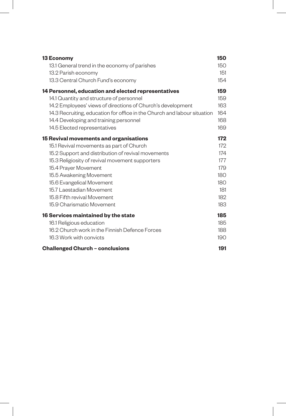| 13 Economy                                                               | 150 |
|--------------------------------------------------------------------------|-----|
| 13.1 General trend in the economy of parishes                            | 150 |
| 13.2 Parish economy                                                      | 151 |
| 13.3 Central Church Fund's economy                                       | 154 |
| 14 Personnel, education and elected representatives                      | 159 |
| 14.1 Quantity and structure of personnel                                 | 159 |
| 14.2 Employees' views of directions of Church's development              | 163 |
| 14.3 Recruiting, education for office in the Church and labour situation | 164 |
| 14.4 Developing and training personnel                                   | 168 |
| 14.5 Elected representatives                                             | 169 |
| 15 Revival movements and organisations                                   | 172 |
| 15.1 Revival movements as part of Church                                 | 172 |
| 15.2 Support and distribution of revival movements                       | 174 |
| 15.3 Religiosity of revival movement supporters                          | 177 |
| 15.4 Prayer Movement                                                     | 179 |
| 15.5 Awakening Movement                                                  | 180 |
| 15.6 Evangelical Movement                                                | 180 |
| 15.7 Laestadian Movement                                                 | 181 |
| 15.8 Fifth revival Movement                                              | 182 |
| 15.9 Charismatic Movement                                                | 183 |
| 16 Services maintained by the state                                      | 185 |
| 16.1 Religious education                                                 | 185 |
| 16.2 Church work in the Finnish Defence Forces                           | 188 |
| 16.3 Work with convicts                                                  | 190 |
| <b>Challenged Church - conclusions</b>                                   | 191 |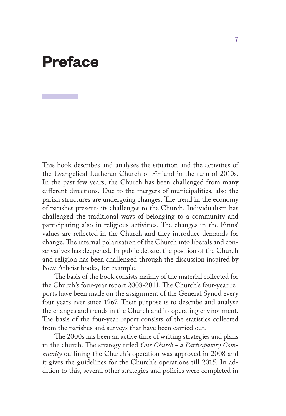## **Preface**

This book describes and analyses the situation and the activities of the Evangelical Lutheran Church of Finland in the turn of 2010s. In the past few years, the Church has been challenged from many different directions. Due to the mergers of municipalities, also the parish structures are undergoing changes. The trend in the economy of parishes presents its challenges to the Church. Individualism has challenged the traditional ways of belonging to a community and participating also in religious activities. The changes in the Finns' values are reflected in the Church and they introduce demands for change. The internal polarisation of the Church into liberals and conservatives has deepened. In public debate, the position of the Church and religion has been challenged through the discussion inspired by New Atheist books, for example.

The basis of the book consists mainly of the material collected for the Church's four-year report 2008-2011. The Church's four-year reports have been made on the assignment of the General Synod every four years ever since 1967. Their purpose is to describe and analyse the changes and trends in the Church and its operating environment. The basis of the four-year report consists of the statistics collected from the parishes and surveys that have been carried out.

The 2000s has been an active time of writing strategies and plans in the church. The strategy titled *Our Church - a Participatory Community* outlining the Church's operation was approved in 2008 and it gives the guidelines for the Church's operations till 2015. In addition to this, several other strategies and policies were completed in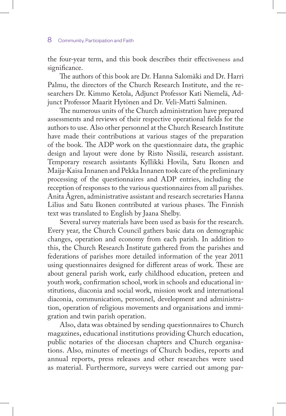the four-year term, and this book describes their effectiveness and significance.

The authors of this book are Dr. Hanna Salomäki and Dr. Harri Palmu, the directors of the Church Research Institute, and the researchers Dr. Kimmo Ketola, Adjunct Professor Kati Niemelä, Adjunct Professor Maarit Hytönen and Dr. Veli-Matti Salminen.

The numerous units of the Church administration have prepared assessments and reviews of their respective operational fields for the authors to use. Also other personnel at the Church Research Institute have made their contributions at various stages of the preparation of the book. The ADP work on the questionnaire data, the graphic design and layout were done by Risto Nissilä, research assistant. Temporary research assistants Kyllikki Hovila, Satu Ikonen and Maija-Kaisa Innanen and Pekka Innanen took care of the preliminary processing of the questionnaires and ADP entries, including the reception of responses to the various questionnaires from all parishes. Anita Ågren, administrative assistant and research secretaries Hanna Lilius and Satu Ikonen contributed at various phases. The Finnish text was translated to English by Jaana Shelby.

Several survey materials have been used as basis for the research. Every year, the Church Council gathers basic data on demographic changes, operation and economy from each parish. In addition to this, the Church Research Institute gathered from the parishes and federations of parishes more detailed information of the year 2011 using questionnaires designed for different areas of work. These are about general parish work, early childhood education, preteen and youth work, confirmation school, work in schools and educational institutions, diaconia and social work, mission work and international diaconia, communication, personnel, development and administration, operation of religious movements and organisations and immigration and twin parish operation.

Also, data was obtained by sending questionnaires to Church magazines, educational institutions providing Church education, public notaries of the diocesan chapters and Church organisations. Also, minutes of meetings of Church bodies, reports and annual reports, press releases and other researches were used as material. Furthermore, surveys were carried out among par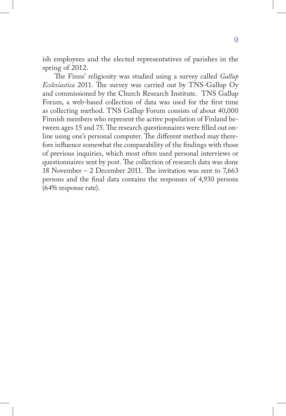ish employees and the elected representatives of parishes in the spring of 2012.

The Finns' religiosity was studied using a survey called *Gallup Ecclesiastica* 2011. The survey was carried out by TNS-Gallup Oy and commissioned by the Church Research Institute. TNS Gallup Forum, a web-based collection of data was used for the first time as collecting method. TNS Gallup Forum consists of about 40,000 Finnish members who represent the active population of Finland between ages 15 and 75. The research questionnaires were filled out online using one's personal computer. The different method may therefore influence somewhat the comparability of the findings with those of previous inquiries, which most often used personal interviews or questionnaires sent by post. The collection of research data was done 18 November – 2 December 2011. The invitation was sent to 7,663 persons and the final data contains the responses of 4,930 persons (64% response rate).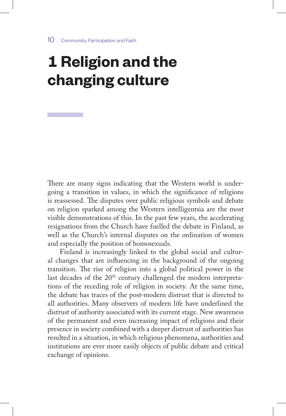## **1 Religion and the changing culture**

There are many signs indicating that the Western world is undergoing a transition in values, in which the significance of religions is reassessed. The disputes over public religious symbols and debate on religion sparked among the Western intelligentsia are the most visible demonstrations of this. In the past few years, the accelerating resignations from the Church have fuelled the debate in Finland, as well as the Church's internal disputes on the ordination of women and especially the position of homosexuals.

Finland is increasingly linked to the global social and cultural changes that are influencing in the background of the ongoing transition. The rise of religion into a global political power in the last decades of the 20<sup>th</sup> century challenged the modern interpretations of the receding role of religion in society. At the same time, the debate has traces of the post-modern distrust that is directed to all authorities. Many observers of modern life have underlined the distrust of authority associated with its current stage. New awareness of the permanent and even increasing impact of religions and their presence in society combined with a deeper distrust of authorities has resulted in a situation, in which religious phenomena, authorities and institutions are ever more easily objects of public debate and critical exchange of opinions.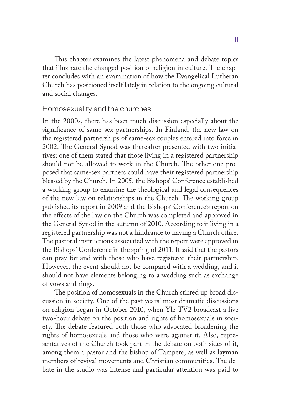This chapter examines the latest phenomena and debate topics that illustrate the changed position of religion in culture. The chapter concludes with an examination of how the Evangelical Lutheran Church has positioned itself lately in relation to the ongoing cultural and social changes.

#### Homosexuality and the churches

In the 2000s, there has been much discussion especially about the significance of same-sex partnerships. In Finland, the new law on the registered partnerships of same-sex couples entered into force in 2002. The General Synod was thereafter presented with two initiatives; one of them stated that those living in a registered partnership should not be allowed to work in the Church. The other one proposed that same-sex partners could have their registered partnership blessed by the Church. In 2005, the Bishops' Conference established a working group to examine the theological and legal consequences of the new law on relationships in the Church. The working group published its report in 2009 and the Bishops' Conference's report on the effects of the law on the Church was completed and approved in the General Synod in the autumn of 2010. According to it living in a registered partnership was not a hindrance to having a Church office. The pastoral instructions associated with the report were approved in the Bishops' Conference in the spring of 2011. It said that the pastors can pray for and with those who have registered their partnership. However, the event should not be compared with a wedding, and it should not have elements belonging to a wedding such as exchange of vows and rings.

The position of homosexuals in the Church stirred up broad discussion in society. One of the past years' most dramatic discussions on religion began in October 2010, when Yle TV2 broadcast a live two-hour debate on the position and rights of homosexuals in society. The debate featured both those who advocated broadening the rights of homosexuals and those who were against it. Also, representatives of the Church took part in the debate on both sides of it, among them a pastor and the bishop of Tampere, as well as layman members of revival movements and Christian communities. The debate in the studio was intense and particular attention was paid to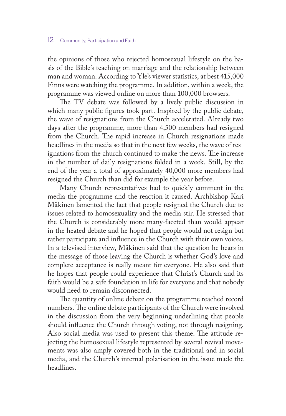the opinions of those who rejected homosexual lifestyle on the basis of the Bible's teaching on marriage and the relationship between man and woman. According to Yle's viewer statistics, at best 415,000 Finns were watching the programme. In addition, within a week, the programme was viewed online on more than 100,000 browsers.

The TV debate was followed by a lively public discussion in which many public figures took part. Inspired by the public debate, the wave of resignations from the Church accelerated. Already two days after the programme, more than 4,500 members had resigned from the Church. The rapid increase in Church resignations made headlines in the media so that in the next few weeks, the wave of resignations from the church continued to make the news. The increase in the number of daily resignations folded in a week. Still, by the end of the year a total of approximately 40,000 more members had resigned the Church than did for example the year before.

Many Church representatives had to quickly comment in the media the programme and the reaction it caused. Archbishop Kari Mäkinen lamented the fact that people resigned the Church due to issues related to homosexuality and the media stir. He stressed that the Church is considerably more many-faceted than would appear in the heated debate and he hoped that people would not resign but rather participate and influence in the Church with their own voices. In a televised interview, Mäkinen said that the question he hears in the message of those leaving the Church is whether God's love and complete acceptance is really meant for everyone. He also said that he hopes that people could experience that Christ's Church and its faith would be a safe foundation in life for everyone and that nobody would need to remain disconnected.

The quantity of online debate on the programme reached record numbers. The online debate participants of the Church were involved in the discussion from the very beginning underlining that people should influence the Church through voting, not through resigning. Also social media was used to present this theme. The attitude rejecting the homosexual lifestyle represented by several revival movements was also amply covered both in the traditional and in social media, and the Church's internal polarisation in the issue made the headlines.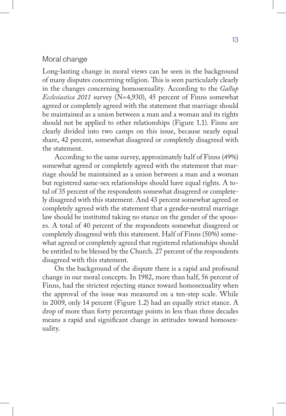#### Moral change

Long-lasting change in moral views can be seen in the background of many disputes concerning religion. This is seen particularly clearly in the changes concerning homosexuality. According to the *Gallup Ecclesiastica 2011* survey (N=4,930), 45 percent of Finns somewhat agreed or completely agreed with the statement that marriage should be maintained as a union between a man and a woman and its rights should not be applied to other relationships (Figure 1.1). Finns are clearly divided into two camps on this issue, because nearly equal share, 42 percent, somewhat disagreed or completely disagreed with the statement.

According to the same survey, approximately half of Finns (49%) somewhat agreed or completely agreed with the statement that marriage should be maintained as a union between a man and a woman but registered same-sex relationships should have equal rights. A total of 35 percent of the respondents somewhat disagreed or completely disagreed with this statement. And 43 percent somewhat agreed or completely agreed with the statement that a gender-neutral marriage law should be instituted taking no stance on the gender of the spouses. A total of 40 percent of the respondents somewhat disagreed or completely disagreed with this statement. Half of Finns (50%) somewhat agreed or completely agreed that registered relationships should be entitled to be blessed by the Church. 27 percent of the respondents disagreed with this statement.

On the background of the dispute there is a rapid and profound change in our moral concepts. In 1982, more than half, 56 percent of Finns, had the strictest rejecting stance toward homosexuality when the approval of the issue was measured on a ten-step scale. While in 2009, only 14 percent (Figure 1.2) had an equally strict stance. A drop of more than forty percentage points in less than three decades means a rapid and significant change in attitudes toward homosexuality.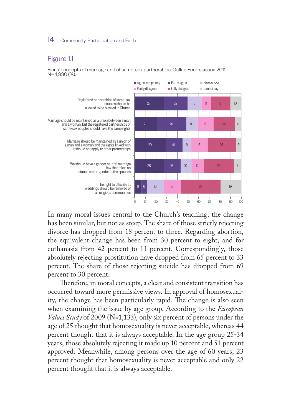### Figure 1.1

Finns' concepts of marriage and of same-sex partnerships. Gallup Ecclesiastica 2011, N=4,930 (%).



In many moral issues central to the Church's teaching, the change has been similar, but not as steep. The share of those strictly rejecting divorce has dropped from 18 percent to three. Regarding abortion, the equivalent change has been from 30 percent to eight, and for euthanasia from 42 percent to 11 percent. Correspondingly, those absolutely rejecting prostitution have dropped from 65 percent to 33 percent. The share of those rejecting suicide has dropped from 69 percent to 30 percent.

Therefore, in moral concepts, a clear and consistent transition has occurred toward more permissive views. In approval of homosexuality, the change has been particularly rapid. The change is also seen when examining the issue by age group. According to the *European Values Study* of 2009 (N=1,133), only six percent of persons under the age of 25 thought that homosexuality is never acceptable, whereas 44 percent thought that it is always acceptable. In the age group 25-34 years, those absolutely rejecting it made up 10 percent and 51 percent approved. Meanwhile, among persons over the age of 60 years, 23 percent thought that homosexuality is never acceptable and only 22 percent thought that it is always acceptable.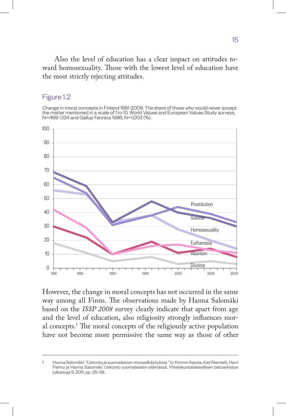Also the level of education has a clear impact on attitudes toward homosexuality. Those with the lowest level of education have the most strictly rejecting attitudes.

#### Figure 1.2

Change in moral concepts in Finland 1981-2009. The share of those who would never accept the matter mentioned in a scale of 1 to 10. World Values and European Values Study surveys, N=469-1,134 and Gallup Fennica 1986, N=1,003 (%).



However, the change in moral concepts has not occurred in the same way among all Finns. The observations made by Hanna Salomäki based on the *ISSP 2008* survey clearly indicate that apart from age and the level of education, also religiosity strongly influences moral concepts.1 The moral concepts of the religiously active population have not become more permissive the same way as those of other

<sup>1</sup> Hanna Salomäki: *"Uskonto ja suomalaisten moraalikäsitykset."* In: Kimmo Ketola, Kati Niemelä, Harri Palmu ja Hanna Salomäki: *Uskonto suomalaisten elämässä*. Yhteiskuntatieteellisen tietoarkiston julkaisuja 9, 2011, pp. 25-39.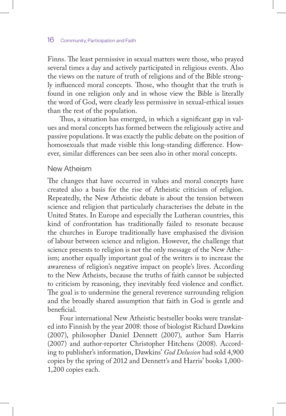Finns. The least permissive in sexual matters were those, who prayed several times a day and actively participated in religious events. Also the views on the nature of truth of religions and of the Bible strongly influenced moral concepts. Those, who thought that the truth is found in one religion only and in whose view the Bible is literally the word of God, were clearly less permissive in sexual-ethical issues than the rest of the population.

Thus, a situation has emerged, in which a significant gap in values and moral concepts has formed between the religiously active and passive populations. It was exactly the public debate on the position of homosexuals that made visible this long-standing difference. However, similar differences can bee seen also in other moral concepts.

#### New Atheism

The changes that have occurred in values and moral concepts have created also a basis for the rise of Atheistic criticism of religion. Repeatedly, the New Atheistic debate is about the tension between science and religion that particularly characterises the debate in the United States. In Europe and especially the Lutheran countries, this kind of confrontation has traditionally failed to resonate because the churches in Europe traditionally have emphasised the division of labour between science and religion. However, the challenge that science presents to religion is not the only message of the New Atheism; another equally important goal of the writers is to increase the awareness of religion's negative impact on people's lives. According to the New Atheists, because the truths of faith cannot be subjected to criticism by reasoning, they inevitably feed violence and conflict. The goal is to undermine the general reverence surrounding religion and the broadly shared assumption that faith in God is gentle and beneficial.

Four international New Atheistic bestseller books were translated into Finnish by the year 2008: those of biologist Richard Dawkins (2007), philosopher Daniel Dennett (2007), author Sam Harris (2007) and author-reporter Christopher Hitchens (2008). According to publisher's information, Dawkins' *God Delusion* had sold 4,900 copies by the spring of 2012 and Dennett's and Harris' books 1,000- 1,200 copies each.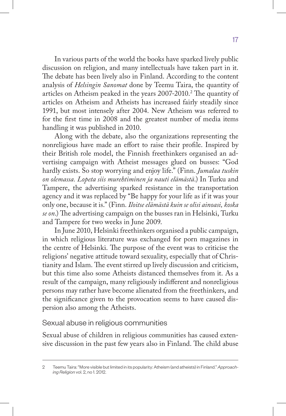In various parts of the world the books have sparked lively public discussion on religion, and many intellectuals have taken part in it. The debate has been lively also in Finland. According to the content analysis of *Helsingin Sanomat* done by Teemu Taira, the quantity of articles on Atheism peaked in the years  $2007$ – $2010.^2$  The quantity of articles on Atheism and Atheists has increased fairly steadily since 1991, but most intensely after 2004. New Atheism was referred to for the first time in 2008 and the greatest number of media items handling it was published in 2010.

Along with the debate, also the organizations representing the nonreligious have made an effort to raise their profile. Inspired by their British role model, the Finnish freethinkers organised an advertising campaign with Atheist messages glued on busses: "God hardly exists. So stop worrying and enjoy life." (Finn. *Jumalaa tuskin on olemassa. Lopeta siis murehtiminen ja nauti elämästä*.) In Turku and Tampere, the advertising sparked resistance in the transportation agency and it was replaced by "Be happy for your life as if it was your only one, because it is." (Finn*. Iloitse elämästä kuin se olisi ainoasi, koska se on*.) The advertising campaign on the busses ran in Helsinki, Turku and Tampere for two weeks in June 2009.

In June 2010, Helsinki freethinkers organised a public campaign, in which religious literature was exchanged for porn magazines in the centre of Helsinki. The purpose of the event was to criticise the religions' negative attitude toward sexuality, especially that of Christianity and Islam. The event stirred up lively discussion and criticism, but this time also some Atheists distanced themselves from it. As a result of the campaign, many religiously indifferent and nonreligious persons may rather have become alienated from the freethinkers, and the significance given to the provocation seems to have caused dispersion also among the Atheists.

#### Sexual abuse in religious communities

Sexual abuse of children in religious communities has caused extensive discussion in the past few years also in Finland. The child abuse

<sup>2</sup> Teemu Taira: "More visible but limited in its popularity: Atheism (and atheists) in Finland." *Approaching Religion* vol. 2, no 1. 2012.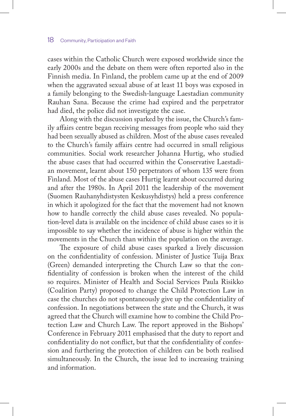cases within the Catholic Church were exposed worldwide since the early 2000s and the debate on them were often reported also in the Finnish media. In Finland, the problem came up at the end of 2009 when the aggravated sexual abuse of at least 11 boys was exposed in a family belonging to the Swedish-language Laestadian community Rauhan Sana. Because the crime had expired and the perpetrator had died, the police did not investigate the case.

Along with the discussion sparked by the issue, the Church's family affairs centre began receiving messages from people who said they had been sexually abused as children. Most of the abuse cases revealed to the Church's family affairs centre had occurred in small religious communities. Social work researcher Johanna Hurtig, who studied the abuse cases that had occurred within the Conservative Laestadian movement, learnt about 150 perpetrators of whom 135 were from Finland. Most of the abuse cases Hurtig learnt about occurred during and after the 1980s. In April 2011 the leadership of the movement (Suomen Rauhanyhdistysten Keskusyhdistys) held a press conference in which it apologized for the fact that the movement had not known how to handle correctly the child abuse cases revealed. No population-level data is available on the incidence of child abuse cases so it is impossible to say whether the incidence of abuse is higher within the movements in the Church than within the population on the average.

The exposure of child abuse cases sparked a lively discussion on the confidentiality of confession. Minister of Justice Tuija Brax (Green) demanded interpreting the Church Law so that the confidentiality of confession is broken when the interest of the child so requires. Minister of Health and Social Services Paula Risikko (Coalition Party) proposed to change the Child Protection Law in case the churches do not spontaneously give up the confidentiality of confession. In negotiations between the state and the Church, it was agreed that the Church will examine how to combine the Child Protection Law and Church Law. The report approved in the Bishops' Conference in February 2011 emphasised that the duty to report and confidentiality do not conflict, but that the confidentiality of confession and furthering the protection of children can be both realised simultaneously. In the Church, the issue led to increasing training and information.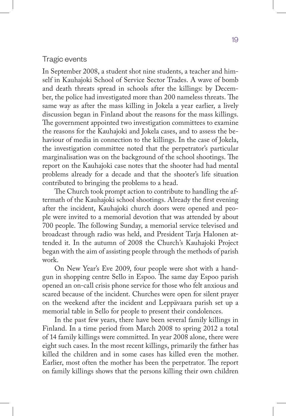#### Tragic events

In September 2008, a student shot nine students, a teacher and himself in Kauhajoki School of Service Sector Trades. A wave of bomb and death threats spread in schools after the killings: by December, the police had investigated more than 200 nameless threats. The same way as after the mass killing in Jokela a year earlier, a lively discussion began in Finland about the reasons for the mass killings. The government appointed two investigation committees to examine the reasons for the Kauhajoki and Jokela cases, and to assess the behaviour of media in connection to the killings. In the case of Jokela, the investigation committee noted that the perpetrator's particular marginalisation was on the background of the school shootings. The report on the Kauhajoki case notes that the shooter had had mental problems already for a decade and that the shooter's life situation contributed to bringing the problems to a head.

The Church took prompt action to contribute to handling the aftermath of the Kauhajoki school shootings. Already the first evening after the incident, Kauhajoki church doors were opened and people were invited to a memorial devotion that was attended by about 700 people. The following Sunday, a memorial service televised and broadcast through radio was held, and President Tarja Halonen attended it. In the autumn of 2008 the Church's Kauhajoki Project began with the aim of assisting people through the methods of parish work.

On New Year's Eve 2009, four people were shot with a handgun in shopping centre Sello in Espoo. The same day Espoo parish opened an on-call crisis phone service for those who felt anxious and scared because of the incident. Churches were open for silent prayer on the weekend after the incident and Leppävaara parish set up a memorial table in Sello for people to present their condolences.

In the past few years, there have been several family killings in Finland. In a time period from March 2008 to spring 2012 a total of 14 family killings were committed. In year 2008 alone, there were eight such cases. In the most recent killings, primarily the father has killed the children and in some cases has killed even the mother. Earlier, most often the mother has been the perpetrator. The report on family killings shows that the persons killing their own children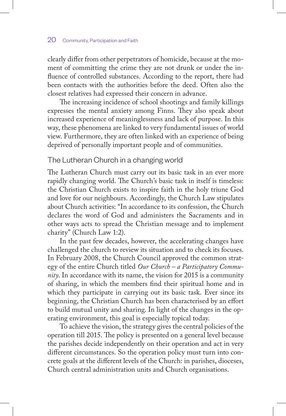clearly differ from other perpetrators of homicide, because at the moment of committing the crime they are not drunk or under the influence of controlled substances. According to the report, there had been contacts with the authorities before the deed. Often also the closest relatives had expressed their concern in advance.

The increasing incidence of school shootings and family killings expresses the mental anxiety among Finns. They also speak about increased experience of meaninglessness and lack of purpose. In this way, these phenomena are linked to very fundamental issues of world view. Furthermore, they are often linked with an experience of being deprived of personally important people and of communities.

#### The Lutheran Church in a changing world

The Lutheran Church must carry out its basic task in an ever more rapidly changing world. The Church's basic task in itself is timeless: the Christian Church exists to inspire faith in the holy triune God and love for our neighbours. Accordingly, the Church Law stipulates about Church activities: "In accordance to its confession, the Church declares the word of God and administers the Sacraments and in other ways acts to spread the Christian message and to implement charity" (Church Law 1:2).

In the past few decades, however, the accelerating changes have challenged the church to review its situation and to check its focuses. In February 2008, the Church Council approved the common strategy of the entire Church titled *Our Church – a Participatory Community*. In accordance with its name, the vision for 2015 is a community of sharing, in which the members find their spiritual home and in which they participate in carrying out its basic task. Ever since its beginning, the Christian Church has been characterised by an effort to build mutual unity and sharing. In light of the changes in the operating environment, this goal is especially topical today.

To achieve the vision, the strategy gives the central policies of the operation till 2015. The policy is presented on a general level because the parishes decide independently on their operation and act in very different circumstances. So the operation policy must turn into concrete goals at the different levels of the Church: in parishes, dioceses, Church central administration units and Church organisations.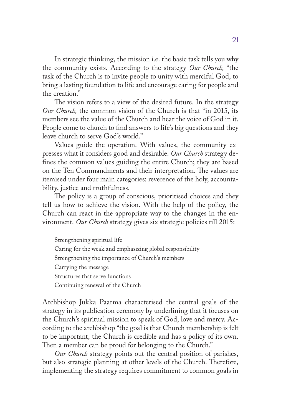In strategic thinking, the mission i.e. the basic task tells you why the community exists. According to the strategy *Our Church,* "the task of the Church is to invite people to unity with merciful God, to bring a lasting foundation to life and encourage caring for people and the creation."

The vision refers to a view of the desired future. In the strategy *Our Church*, the common vision of the Church is that "in 2015, its members see the value of the Church and hear the voice of God in it. People come to church to find answers to life's big questions and they leave church to serve God's world."

Values guide the operation. With values, the community expresses what it considers good and desirable. *Our Church* strategy defines the common values guiding the entire Church; they are based on the Ten Commandments and their interpretation. The values are itemised under four main categories: reverence of the holy, accountability, justice and truthfulness.

The policy is a group of conscious, prioritised choices and they tell us how to achieve the vision. With the help of the policy, the Church can react in the appropriate way to the changes in the environment. *Our Church* strategy gives six strategic policies till 2015:

Strengthening spiritual life Caring for the weak and emphasizing global responsibility Strengthening the importance of Church's members Carrying the message Structures that serve functions Continuing renewal of the Church

Archbishop Jukka Paarma characterised the central goals of the strategy in its publication ceremony by underlining that it focuses on the Church's spiritual mission to speak of God, love and mercy. According to the archbishop "the goal is that Church membership is felt to be important, the Church is credible and has a policy of its own. Then a member can be proud for belonging to the Church."

*Our Church* strategy points out the central position of parishes, but also strategic planning at other levels of the Church. Therefore, implementing the strategy requires commitment to common goals in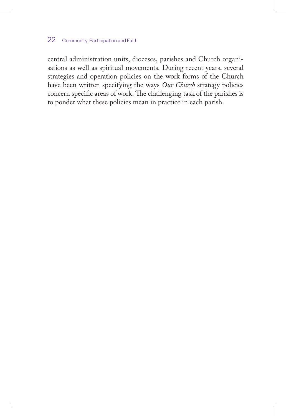central administration units, dioceses, parishes and Church organisations as well as spiritual movements. During recent years, several strategies and operation policies on the work forms of the Church have been written specifying the ways *Our Church* strategy policies concern specific areas of work. The challenging task of the parishes is to ponder what these policies mean in practice in each parish.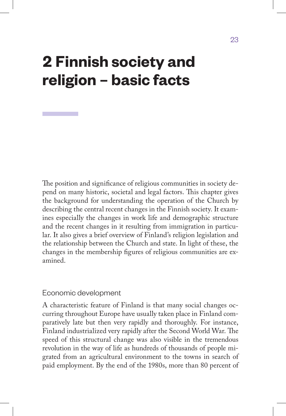## **2 Finnish society and religion – basic facts**

The position and significance of religious communities in society depend on many historic, societal and legal factors. This chapter gives the background for understanding the operation of the Church by describing the central recent changes in the Finnish society. It examines especially the changes in work life and demographic structure and the recent changes in it resulting from immigration in particular. It also gives a brief overview of Finland's religion legislation and the relationship between the Church and state. In light of these, the changes in the membership figures of religious communities are examined.

### Economic development

A characteristic feature of Finland is that many social changes occurring throughout Europe have usually taken place in Finland comparatively late but then very rapidly and thoroughly. For instance, Finland industrialized very rapidly after the Second World War. The speed of this structural change was also visible in the tremendous revolution in the way of life as hundreds of thousands of people migrated from an agricultural environment to the towns in search of paid employment. By the end of the 1980s, more than 80 percent of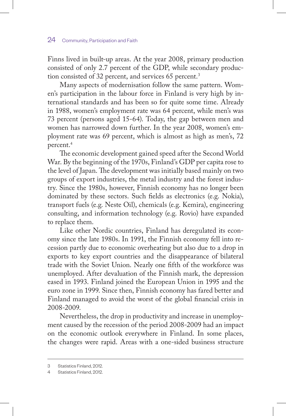Finns lived in built-up areas. At the year 2008, primary production consisted of only 2.7 percent of the GDP, while secondary production consisted of 32 percent, and services 65 percent.<sup>3</sup>

Many aspects of modernisation follow the same pattern. Women's participation in the labour force in Finland is very high by international standards and has been so for quite some time. Already in 1988, women's employment rate was 64 percent, while men's was 73 percent (persons aged 15-64). Today, the gap between men and women has narrowed down further. In the year 2008, women's employment rate was 69 percent, which is almost as high as men's, 72 percent.4

The economic development gained speed after the Second World War. By the beginning of the 1970s, Finland's GDP per capita rose to the level of Japan. The development was initially based mainly on two groups of export industries, the metal industry and the forest industry. Since the 1980s, however, Finnish economy has no longer been dominated by these sectors. Such fields as electronics (e.g. Nokia), transport fuels (e.g. Neste Oil), chemicals (e.g. Kemira), engineering consulting, and information technology (e.g. Rovio) have expanded to replace them.

Like other Nordic countries, Finland has deregulated its economy since the late 1980s. In 1991, the Finnish economy fell into recession partly due to economic overheating but also due to a drop in exports to key export countries and the disappearance of bilateral trade with the Soviet Union. Nearly one fifth of the workforce was unemployed. After devaluation of the Finnish mark, the depression eased in 1993. Finland joined the European Union in 1995 and the euro zone in 1999. Since then, Finnish economy has fared better and Finland managed to avoid the worst of the global financial crisis in 2008-2009.

Nevertheless, the drop in productivity and increase in unemployment caused by the recession of the period 2008-2009 had an impact on the economic outlook everywhere in Finland. In some places, the changes were rapid. Areas with a one-sided business structure

<sup>3</sup> Statistics Finland, 2012.

<sup>4</sup> Statistics Finland, 2012.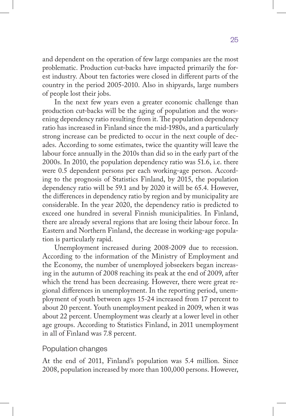and dependent on the operation of few large companies are the most problematic. Production cut-backs have impacted primarily the forest industry. About ten factories were closed in different parts of the country in the period 2005-2010. Also in shipyards, large numbers of people lost their jobs.

In the next few years even a greater economic challenge than production cut-backs will be the aging of population and the worsening dependency ratio resulting from it. The population dependency ratio has increased in Finland since the mid-1980s, and a particularly strong increase can be predicted to occur in the next couple of decades. According to some estimates, twice the quantity will leave the labour force annually in the 2010s than did so in the early part of the 2000s. In 2010, the population dependency ratio was 51.6, i.e. there were 0.5 dependent persons per each working-age person. According to the prognosis of Statistics Finland, by 2015, the population dependency ratio will be 59.1 and by 2020 it will be 65.4. However, the differences in dependency ratio by region and by municipality are considerable. In the year 2020, the dependency ratio is predicted to exceed one hundred in several Finnish municipalities. In Finland, there are already several regions that are losing their labour force. In Eastern and Northern Finland, the decrease in working-age population is particularly rapid.

Unemployment increased during 2008-2009 due to recession. According to the information of the Ministry of Employment and the Economy, the number of unemployed jobseekers began increasing in the autumn of 2008 reaching its peak at the end of 2009, after which the trend has been decreasing. However, there were great regional differences in unemployment. In the reporting period, unemployment of youth between ages 15-24 increased from 17 percent to about 20 percent. Youth unemployment peaked in 2009, when it was about 22 percent. Unemployment was clearly at a lower level in other age groups. According to Statistics Finland, in 2011 unemployment in all of Finland was 7.8 percent.

### Population changes

At the end of 2011, Finland's population was 5.4 million. Since 2008, population increased by more than 100,000 persons. However,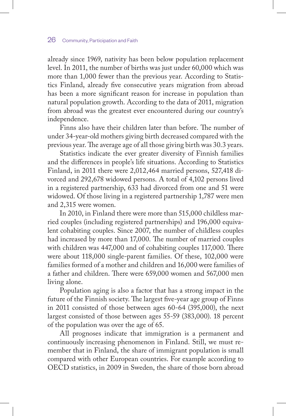already since 1969, nativity has been below population replacement level. In 2011, the number of births was just under 60,000 which was more than 1,000 fewer than the previous year. According to Statistics Finland, already five consecutive years migration from abroad has been a more significant reason for increase in population than natural population growth. According to the data of 2011, migration from abroad was the greatest ever encountered during our country's independence.

Finns also have their children later than before. The number of under 34-year-old mothers giving birth decreased compared with the previous year. The average age of all those giving birth was 30.3 years.

Statistics indicate the ever greater diversity of Finnish families and the differences in people's life situations. According to Statistics Finland, in 2011 there were 2,012,464 married persons, 527,418 divorced and 292,678 widowed persons. A total of 4,102 persons lived in a registered partnership, 633 had divorced from one and 51 were widowed. Of those living in a registered partnership 1,787 were men and 2,315 were women.

In 2010, in Finland there were more than 515,000 childless married couples (including registered partnerships) and 196,000 equivalent cohabiting couples. Since 2007, the number of childless couples had increased by more than 17,000. The number of married couples with children was 447,000 and of cohabiting couples 117,000. There were about 118,000 single-parent families. Of these, 102,000 were families formed of a mother and children and 16,000 were families of a father and children. There were 659,000 women and 567,000 men living alone.

Population aging is also a factor that has a strong impact in the future of the Finnish society. The largest five-year age group of Finns in 2011 consisted of those between ages 60-64 (395,000), the next largest consisted of those between ages 55-59 (383,000). 18 percent of the population was over the age of 65.

All prognoses indicate that immigration is a permanent and continuously increasing phenomenon in Finland. Still, we must remember that in Finland, the share of immigrant population is small compared with other European countries. For example according to OECD statistics, in 2009 in Sweden, the share of those born abroad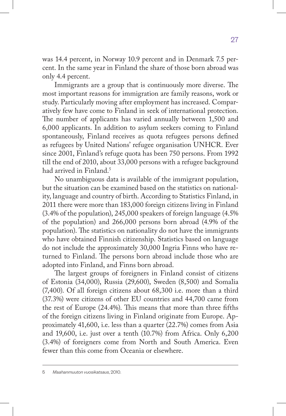was 14.4 percent, in Norway 10.9 percent and in Denmark 7.5 percent. In the same year in Finland the share of those born abroad was only 4.4 percent.

Immigrants are a group that is continuously more diverse. The most important reasons for immigration are family reasons, work or study. Particularly moving after employment has increased. Comparatively few have come to Finland in seek of international protection. The number of applicants has varied annually between 1,500 and 6,000 applicants. In addition to asylum seekers coming to Finland spontaneously, Finland receives as quota refugees persons defined as refugees by United Nations' refugee organisation UNHCR. Ever since 2001, Finland's refuge quota has been 750 persons. From 1992 till the end of 2010, about 33,000 persons with a refugee background had arrived in Finland.<sup>5</sup>

No unambiguous data is available of the immigrant population, but the situation can be examined based on the statistics on nationality, language and country of birth. According to Statistics Finland, in 2011 there were more than 183,000 foreign citizens living in Finland (3.4% of the population), 245,000 speakers of foreign language (4.5% of the population) and 266,000 persons born abroad (4.9% of the population). The statistics on nationality do not have the immigrants who have obtained Finnish citizenship. Statistics based on language do not include the approximately 30,000 Ingria Finns who have returned to Finland. The persons born abroad include those who are adopted into Finland, and Finns born abroad.

The largest groups of foreigners in Finland consist of citizens of Estonia (34,000), Russia (29,600), Sweden (8,500) and Somalia (7,400). Of all foreign citizens about 68,300 i.e. more than a third (37.3%) were citizens of other EU countries and 44,700 came from the rest of Europe (24.4%). This means that more than three fifths of the foreign citizens living in Finland originate from Europe. Approximately 41,600, i.e. less than a quarter (22.7%) comes from Asia and 19,600, i.e. just over a tenth (10.7%) from Africa. Only 6,200 (3.4%) of foreigners come from North and South America. Even fewer than this come from Oceania or elsewhere.

<sup>5</sup> *Maahanmuuton vuosikatsaus*, 2010.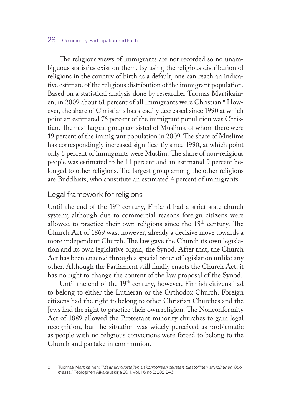The religious views of immigrants are not recorded so no unambiguous statistics exist on them. By using the religious distribution of religions in the country of birth as a default, one can reach an indicative estimate of the religious distribution of the immigrant population. Based on a statistical analysis done by researcher Tuomas Martikainen, in 2009 about 61 percent of all immigrants were Christian.<sup>6</sup> However, the share of Christians has steadily decreased since 1990 at which point an estimated 76 percent of the immigrant population was Christian. The next largest group consisted of Muslims, of whom there were 19 percent of the immigrant population in 2009. The share of Muslims has correspondingly increased significantly since 1990, at which point only 6 percent of immigrants were Muslim. The share of non-religious people was estimated to be 11 percent and an estimated 9 percent belonged to other religions. The largest group among the other religions are Buddhists, who constitute an estimated 4 percent of immigrants.

#### Legal framework for religions

Until the end of the 19<sup>th</sup> century, Finland had a strict state church system; although due to commercial reasons foreign citizens were allowed to practice their own religions since the 18th century. The Church Act of 1869 was, however, already a decisive move towards a more independent Church. The law gave the Church its own legislation and its own legislative organ, the Synod. After that, the Church Act has been enacted through a special order of legislation unlike any other. Although the Parliament still finally enacts the Church Act, it has no right to change the content of the law proposal of the Synod.

Until the end of the 19th century, however, Finnish citizens had to belong to either the Lutheran or the Orthodox Church. Foreign citizens had the right to belong to other Christian Churches and the Jews had the right to practice their own religion. The Nonconformity Act of 1889 allowed the Protestant minority churches to gain legal recognition, but the situation was widely perceived as problematic as people with no religious convictions were forced to belong to the Church and partake in communion.

<sup>6</sup> Tuomas Martikainen: "*Maahanmuuttajien uskonnollisen taustan tilastollinen arvioiminen Suomessa*." Teologinen Aikakauskirja 2011. Vol. 116 no 3: 232-246.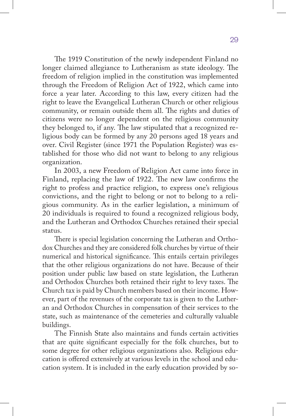The 1919 Constitution of the newly independent Finland no longer claimed allegiance to Lutheranism as state ideology. The freedom of religion implied in the constitution was implemented through the Freedom of Religion Act of 1922, which came into force a year later. According to this law, every citizen had the right to leave the Evangelical Lutheran Church or other religious community, or remain outside them all. The rights and duties of citizens were no longer dependent on the religious community they belonged to, if any. The law stipulated that a recognized religious body can be formed by any 20 persons aged 18 years and over. Civil Register (since 1971 the Population Register) was established for those who did not want to belong to any religious organization.

In 2003, a new Freedom of Religion Act came into force in Finland, replacing the law of 1922. The new law confirms the right to profess and practice religion, to express one's religious convictions, and the right to belong or not to belong to a religious community. As in the earlier legislation, a minimum of 20 individuals is required to found a recognized religious body, and the Lutheran and Orthodox Churches retained their special status.

There is special legislation concerning the Lutheran and Orthodox Churches and they are considered folk churches by virtue of their numerical and historical significance. This entails certain privileges that the other religious organizations do not have. Because of their position under public law based on state legislation, the Lutheran and Orthodox Churches both retained their right to levy taxes. The Church tax is paid by Church members based on their income. However, part of the revenues of the corporate tax is given to the Lutheran and Orthodox Churches in compensation of their services to the state, such as maintenance of the cemeteries and culturally valuable buildings.

The Finnish State also maintains and funds certain activities that are quite significant especially for the folk churches, but to some degree for other religious organizations also. Religious education is offered extensively at various levels in the school and education system. It is included in the early education provided by so-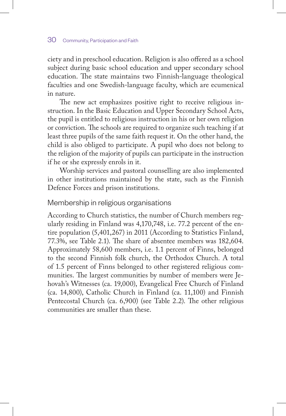ciety and in preschool education. Religion is also offered as a school subject during basic school education and upper secondary school education. The state maintains two Finnish-language theological faculties and one Swedish-language faculty, which are ecumenical in nature.

The new act emphasizes positive right to receive religious instruction. In the Basic Education and Upper Secondary School Acts, the pupil is entitled to religious instruction in his or her own religion or conviction. The schools are required to organize such teaching if at least three pupils of the same faith request it. On the other hand, the child is also obliged to participate. A pupil who does not belong to the religion of the majority of pupils can participate in the instruction if he or she expressly enrols in it.

Worship services and pastoral counselling are also implemented in other institutions maintained by the state, such as the Finnish Defence Forces and prison institutions.

#### Membership in religious organisations

According to Church statistics, the number of Church members regularly residing in Finland was 4,170,748, i.e. 77.2 percent of the entire population (5,401,267) in 2011 (According to Statistics Finland, 77.3%, see Table 2.1). The share of absentee members was 182,604. Approximately 58,600 members, i.e. 1.1 percent of Finns, belonged to the second Finnish folk church, the Orthodox Church. A total of 1.5 percent of Finns belonged to other registered religious communities. The largest communities by number of members were Jehovah's Witnesses (ca. 19,000), Evangelical Free Church of Finland (ca. 14,800), Catholic Church in Finland (ca. 11,100) and Finnish Pentecostal Church (ca. 6,900) (see Table 2.2). The other religious communities are smaller than these.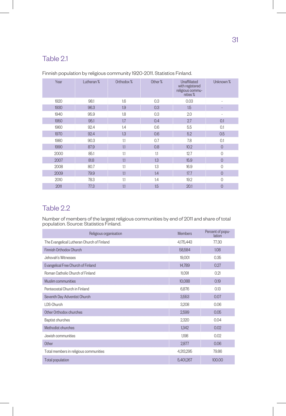## Table 2.1

| Year | Lutheran % | Orthodox % | Other % | Unaffiliated<br>with registered<br>religious commu-<br>nities% | Unknown %      |
|------|------------|------------|---------|----------------------------------------------------------------|----------------|
| 1920 | 98.1       | 1.6        | 0.3     | 0.03                                                           |                |
| 1930 | 96.3       | 1.9        | 0.3     | 1.5                                                            |                |
| 1940 | 95.9       | 1.8        | 0.3     | 2.0                                                            |                |
| 1950 | 95.1       | 1.7        | 0.4     | 2.7                                                            | 0.1            |
| 1960 | 92.4       | 1.4        | 0.6     | 5.5                                                            | 0.1            |
| 1970 | 92.4       | 1.3        | 0.6     | 5.2                                                            | 0.5            |
| 1980 | 90.3       | 1.1        | 0.7     | 7.8                                                            | 0.1            |
| 1990 | 87.9       | 1.1        | 0.8     | 10.2                                                           | $\overline{0}$ |
| 2000 | 85.1       | 1.1        | 1.1     | 12.7                                                           | $\mathbf{0}$   |
| 2007 | 81.8       | 1.1        | 1.3     | 15.9                                                           | $\overline{0}$ |
| 2008 | 80.7       | 1.1        | 1.3     | 16.9                                                           | $\mathbf{0}$   |
| 2009 | 79.9       | 1.1        | 1.4     | 17.7                                                           | $\overline{0}$ |
| 2010 | 78.3       | 1.1        | 1.4     | 19.2                                                           | $\Omega$       |
| 2011 | 77.3       | 1.1        | 1.5     | 20.1                                                           | $\overline{0}$ |

Finnish population by religious community 1920-2011. Statistics Finland.

## Table 2.2

Number of members of the largest religious communities by end of 2011 and share of total population. Source: Statistics Finland.

| Religious organisation                     | <b>Members</b> | Percent of popu-<br>lation |
|--------------------------------------------|----------------|----------------------------|
| The Evangelical Lutheran Church of Finland | 4,175,443      | 77.30                      |
| Finnish Orthodox Church                    | 58,584         | 1.08                       |
| Jehovah's Witnesses                        | 19,001         | 0.35                       |
| Evangelical Free Church of Finland         | 14,789         | 0.27                       |
| Roman Catholic Church of Finland           | 11,091         | 0.21                       |
| Muslim communities                         | 10,088         | 0.19                       |
| Pentecostal Church in Finland              | 6,876          | 0.13                       |
| Seventh Day Adventist Church               | 3,553          | 0.07                       |
| LDS-Church                                 | 3,208          | 0.06                       |
| Other Orthodox churches                    | 2,599          | 0.05                       |
| Baptist churches                           | 2,320          | 0.04                       |
| Methodist churches                         | 1,342          | 0.02                       |
| Jewish communities                         | 1,198          | 0.02                       |
| Other                                      | 2,877          | 0.06                       |
| Total members in religious communities     | 4,313,295      | 79.86                      |
| Total population                           | 5,401,267      | 100.00                     |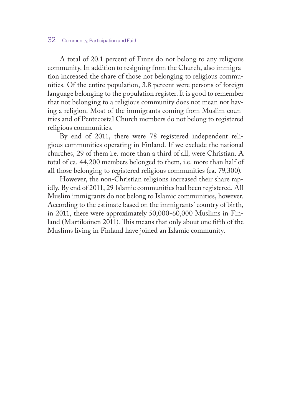A total of 20.1 percent of Finns do not belong to any religious community. In addition to resigning from the Church, also immigration increased the share of those not belonging to religious communities. Of the entire population, 3.8 percent were persons of foreign language belonging to the population register. It is good to remember that not belonging to a religious community does not mean not having a religion. Most of the immigrants coming from Muslim countries and of Pentecostal Church members do not belong to registered religious communities.

By end of 2011, there were 78 registered independent religious communities operating in Finland. If we exclude the national churches, 29 of them i.e. more than a third of all, were Christian. A total of ca. 44,200 members belonged to them, i.e. more than half of all those belonging to registered religious communities (ca. 79,300).

However, the non-Christian religions increased their share rapidly. By end of 2011, 29 Islamic communities had been registered. All Muslim immigrants do not belong to Islamic communities, however. According to the estimate based on the immigrants' country of birth, in 2011, there were approximately 50,000-60,000 Muslims in Finland (Martikainen 2011). This means that only about one fifth of the Muslims living in Finland have joined an Islamic community.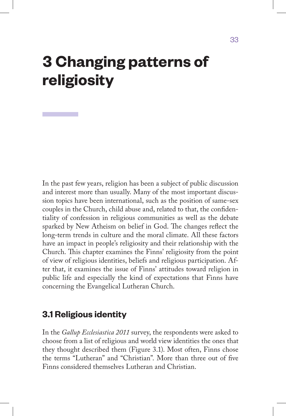## **3 Changing patterns of religiosity**

In the past few years, religion has been a subject of public discussion and interest more than usually. Many of the most important discussion topics have been international, such as the position of same-sex couples in the Church, child abuse and, related to that, the confidentiality of confession in religious communities as well as the debate sparked by New Atheism on belief in God. The changes reflect the long-term trends in culture and the moral climate. All these factors have an impact in people's religiosity and their relationship with the Church. This chapter examines the Finns' religiosity from the point of view of religious identities, beliefs and religious participation. After that, it examines the issue of Finns' attitudes toward religion in public life and especially the kind of expectations that Finns have concerning the Evangelical Lutheran Church.

## **3.1 Religious identity**

In the *Gallup Ecclesiastica 2011* survey, the respondents were asked to choose from a list of religious and world view identities the ones that they thought described them (Figure 3.1). Most often, Finns chose the terms "Lutheran" and "Christian". More than three out of five Finns considered themselves Lutheran and Christian.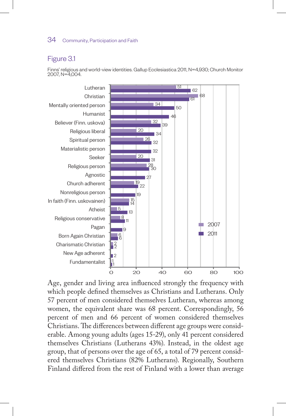#### Figure 3.1

Finns' religious and world-view identities. Gallup Ecclesiastica 2011, N=4,930; Church Monitor 2007, N=4,004.



Age, gender and living area influenced strongly the frequency with which people defined themselves as Christians and Lutherans. Only 57 percent of men considered themselves Lutheran, whereas among women, the equivalent share was 68 percent. Correspondingly, 56 percent of men and 66 percent of women considered themselves Christians. The differences between different age groups were considerable. Among young adults (ages 15-29), only 41 percent considered themselves Christians (Lutherans 43%). Instead, in the oldest age group, that of persons over the age of 65, a total of 79 percent considered themselves Christians (82% Lutherans). Regionally, Southern Finland differed from the rest of Finland with a lower than average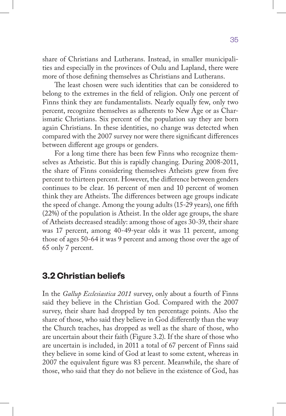share of Christians and Lutherans. Instead, in smaller municipalities and especially in the provinces of Oulu and Lapland, there were more of those defining themselves as Christians and Lutherans.

The least chosen were such identities that can be considered to belong to the extremes in the field of religion. Only one percent of Finns think they are fundamentalists. Nearly equally few, only two percent, recognize themselves as adherents to New Age or as Charismatic Christians. Six percent of the population say they are born again Christians. In these identities, no change was detected when compared with the 2007 survey nor were there significant differences between different age groups or genders.

For a long time there has been few Finns who recognize themselves as Atheistic. But this is rapidly changing. During 2008-2011, the share of Finns considering themselves Atheists grew from five percent to thirteen percent. However, the difference between genders continues to be clear. 16 percent of men and 10 percent of women think they are Atheists. The differences between age groups indicate the speed of change. Among the young adults (15-29 years), one fifth (22%) of the population is Atheist. In the older age groups, the share of Atheists decreased steadily: among those of ages 30-39, their share was 17 percent, among 40-49-year olds it was 11 percent, among those of ages 50-64 it was 9 percent and among those over the age of 65 only 7 percent.

### **3.2 Christian beliefs**

In the *Gallup Ecclesiastica 2011* survey, only about a fourth of Finns said they believe in the Christian God. Compared with the 2007 survey, their share had dropped by ten percentage points. Also the share of those, who said they believe in God differently than the way the Church teaches, has dropped as well as the share of those, who are uncertain about their faith (Figure 3.2). If the share of those who are uncertain is included, in 2011 a total of 67 percent of Finns said they believe in some kind of God at least to some extent, whereas in 2007 the equivalent figure was 83 percent. Meanwhile, the share of those, who said that they do not believe in the existence of God, has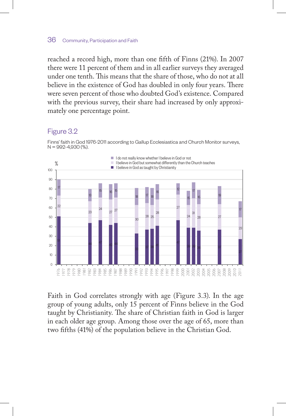reached a record high, more than one fifth of Finns (21%). In 2007 there were 11 percent of them and in all earlier surveys they averaged under one tenth. This means that the share of those, who do not at all believe in the existence of God has doubled in only four years. There were seven percent of those who doubted God's existence. Compared with the previous survey, their share had increased by only approximately one percentage point.

#### Figure 3.2

Finns' faith in God 1976-2011 according to Gallup Ecclesiastica and Church Monitor surveys,  $N = 992 - 4,930(%)$ .



Faith in God correlates strongly with age (Figure 3.3). In the age group of young adults, only 15 percent of Finns believe in the God taught by Christianity. The share of Christian faith in God is larger in each older age group. Among those over the age of 65, more than two fifths (41%) of the population believe in the Christian God.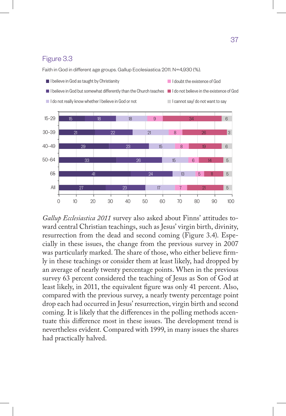## Figure 3.3

Faith in God in different age groups. Gallup Ecclesiastica 2011. N=4,930 (%).



*Gallup Ecclesiastica 2011* survey also asked about Finns' attitudes toward central Christian teachings, such as Jesus' virgin birth, divinity, resurrection from the dead and second coming (Figure 3.4). Especially in these issues, the change from the previous survey in 2007 was particularly marked. The share of those, who either believe firmly in these teachings or consider them at least likely, had dropped by an average of nearly twenty percentage points. When in the previous survey 63 percent considered the teaching of Jesus as Son of God at least likely, in 2011, the equivalent figure was only 41 percent. Also, compared with the previous survey, a nearly twenty percentage point drop each had occurred in Jesus' resurrection, virgin birth and second coming. It is likely that the differences in the polling methods accentuate this difference most in these issues. The development trend is nevertheless evident. Compared with 1999, in many issues the shares had practically halved.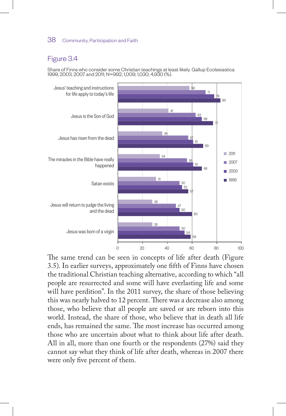## Figure 3.4

Share of Finns who consider some Christian teachings at least likely. Gallup Ecclesiastica 1999, 2003, 2007 and 2011; N=992; 1,009; 1,030; 4,930 (%).



The same trend can be seen in concepts of life after death (Figure 3.5). In earlier surveys, approximately one fifth of Finns have chosen the traditional Christian teaching alternative, according to which "all people are resurrected and some will have everlasting life and some will have perdition". In the 2011 survey, the share of those believing this was nearly halved to 12 percent. There was a decrease also among those, who believe that all people are saved or are reborn into this world. Instead, the share of those, who believe that in death all life ends, has remained the same. The most increase has occurred among those who are uncertain about what to think about life after death. All in all, more than one fourth or the respondents (27%) said they cannot say what they think of life after death, whereas in 2007 there were only five percent of them.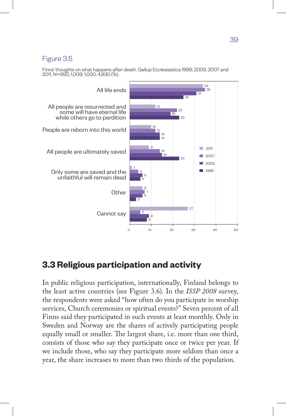# Figure 3.5

Finns' thoughts on what happens after death. Gallup Ecclesiastica 1999, 2003, 2007 and 2011, N=992; 1,009; 1,030; 4,930 (%).



# **3.3 Religious participation and activity**

In public religious participation, internationally, Finland belongs to the least active countries (see Figure 3.6). In the *ISSP 2008* survey, the respondents were asked "how often do you participate in worship services, Church ceremonies or spiritual events?" Seven percent of all Finns said they participated in such events at least monthly. Only in Sweden and Norway are the shares of actively participating people equally small or smaller. The largest share, i.e. more than one third, consists of those who say they participate once or twice per year. If we include those, who say they participate more seldom than once a year, the share increases to more than two thirds of the population.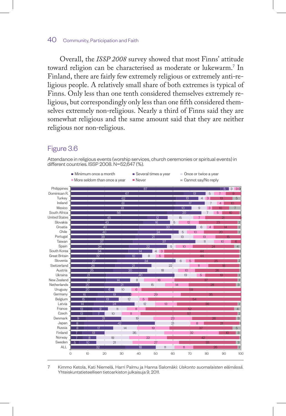Overall, the *ISSP 2008* survey showed that most Finns' attitude toward religion can be characterised as moderate or lukewarm.7 In Finland, there are fairly few extremely religious or extremely anti-religious people. A relatively small share of both extremes is typical of Finns. Only less than one tenth considered themselves extremely religious, but correspondingly only less than one fifth considered themselves extremely non-religious. Nearly a third of Finns said they are somewhat religious and the same amount said that they are neither religious nor non-religious.

# Figure 3.6

Attendance in religious events (worship services, church ceremonies or spiritual events) in different countries. ISSP 2008. N=52,647 (%).



 Kimmo Ketola, Kati Niemelä, Harri Palmu ja Hanna Salomäki: *Uskonto suomalaisten elämässä.*  Yhteiskuntatieteellisen tietoarkiston julkaisuja 9, 2011.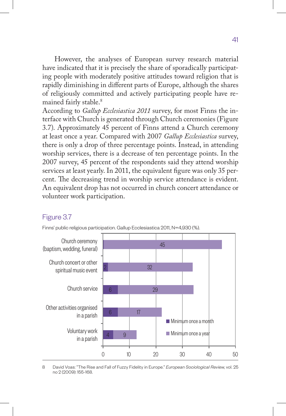However, the analyses of European survey research material have indicated that it is precisely the share of sporadically participating people with moderately positive attitudes toward religion that is rapidly diminishing in different parts of Europe, although the shares of religiously committed and actively participating people have remained fairly stable.<sup>8</sup>

According to *Gallup Ecclesiastica 2011* survey, for most Finns the interface with Church is generated through Church ceremonies (Figure 3.7). Approximately 45 percent of Finns attend a Church ceremony at least once a year. Compared with 2007 *Gallup Ecclesiastica* survey, there is only a drop of three percentage points. Instead, in attending worship services, there is a decrease of ten percentage points. In the 2007 survey, 45 percent of the respondents said they attend worship services at least yearly. In 2011, the equivalent figure was only 35 percent. The decreasing trend in worship service attendance is evident. An equivalent drop has not occurred in church concert attendance or volunteer work participation.

#### Figure 3.7





8 David Voas: "The Rise and Fall of Fuzzy Fidelity in Europe." *European Sociological Review*, vol. 25 no 2 (2009): 155-168.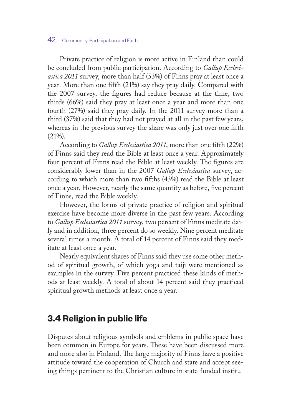Private practice of religion is more active in Finland than could be concluded from public participation. According to *Gallup Ecclesiastica 2011* survey, more than half (53%) of Finns pray at least once a year. More than one fifth (21%) say they pray daily. Compared with the 2007 survey, the figures had reduce because at the time, two thirds (66%) said they pray at least once a year and more than one fourth (27%) said they pray daily. In the 2011 survey more than a third (37%) said that they had not prayed at all in the past few years, whereas in the previous survey the share was only just over one fifth (21%).

According to *Gallup Ecclesiastica 2011*, more than one fifth (22%) of Finns said they read the Bible at least once a year. Approximately four percent of Finns read the Bible at least weekly. The figures are considerably lower than in the 2007 *Gallup Ecclesiastica* survey, according to which more than two fifths (43%) read the Bible at least once a year. However, nearly the same quantity as before, five percent of Finns, read the Bible weekly.

However, the forms of private practice of religion and spiritual exercise have become more diverse in the past few years. According to *Gallup Ecclesiastica 2011* survey, two percent of Finns meditate daily and in addition, three percent do so weekly. Nine percent meditate several times a month. A total of 14 percent of Finns said they meditate at least once a year.

Nearly equivalent shares of Finns said they use some other method of spiritual growth, of which yoga and taiji were mentioned as examples in the survey. Five percent practiced these kinds of methods at least weekly. A total of about 14 percent said they practiced spiritual growth methods at least once a year.

# **3.4 Religion in public life**

Disputes about religious symbols and emblems in public space have been common in Europe for years. These have been discussed more and more also in Finland. The large majority of Finns have a positive attitude toward the cooperation of Church and state and accept seeing things pertinent to the Christian culture in state-funded institu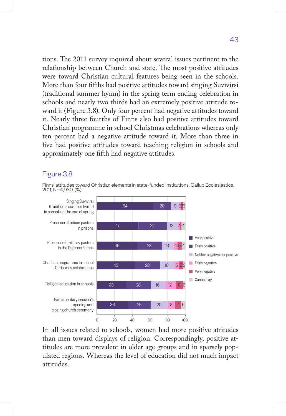tions. The 2011 survey inquired about several issues pertinent to the relationship between Church and state. The most positive attitudes were toward Christian cultural features being seen in the schools. More than four fifths had positive attitudes toward singing Suvivirsi (traditional summer hymn) in the spring term ending celebration in schools and nearly two thirds had an extremely positive attitude toward it (Figure 3.8). Only four percent had negative attitudes toward it. Nearly three fourths of Finns also had positive attitudes toward Christian programme in school Christmas celebrations whereas only ten percent had a negative attitude toward it. More than three in five had positive attitudes toward teaching religion in schools and approximately one fifth had negative attitudes.

## Figure 3.8

Finns' attitudes toward Christian elements in state-funded institutions. Gallup Ecclesiastica 2011, N=4,930. (%)



In all issues related to schools, women had more positive attitudes than men toward displays of religion. Correspondingly, positive attitudes are more prevalent in older age groups and in sparsely populated regions. Whereas the level of education did not much impact attitudes.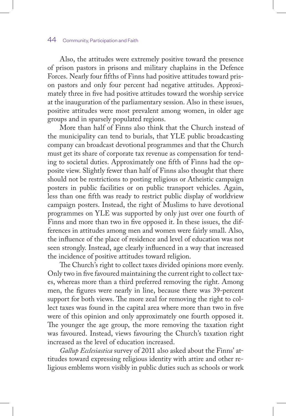Also, the attitudes were extremely positive toward the presence of prison pastors in prisons and military chaplains in the Defence Forces. Nearly four fifths of Finns had positive attitudes toward prison pastors and only four percent had negative attitudes. Approximately three in five had positive attitudes toward the worship service at the inauguration of the parliamentary session. Also in these issues, positive attitudes were most prevalent among women, in older age groups and in sparsely populated regions.

More than half of Finns also think that the Church instead of the municipality can tend to burials, that YLE public broadcasting company can broadcast devotional programmes and that the Church must get its share of corporate tax revenue as compensation for tending to societal duties. Approximately one fifth of Finns had the opposite view. Slightly fewer than half of Finns also thought that there should not be restrictions to posting religious or Atheistic campaign posters in public facilities or on public transport vehicles. Again, less than one fifth was ready to restrict public display of worldview campaign posters. Instead, the right of Muslims to have devotional programmes on YLE was supported by only just over one fourth of Finns and more than two in five opposed it. In these issues, the differences in attitudes among men and women were fairly small. Also, the influence of the place of residence and level of education was not seen strongly. Instead, age clearly influenced in a way that increased the incidence of positive attitudes toward religion.

The Church's right to collect taxes divided opinions more evenly. Only two in five favoured maintaining the current right to collect taxes, whereas more than a third preferred removing the right. Among men, the figures were nearly in line, because there was 39-percent support for both views. The more zeal for removing the right to collect taxes was found in the capital area where more than two in five were of this opinion and only approximately one fourth opposed it. The younger the age group, the more removing the taxation right was favoured. Instead, views favouring the Church's taxation right increased as the level of education increased.

*Gallup Ecclesiastica* survey of 2011 also asked about the Finns' attitudes toward expressing religious identity with attire and other religious emblems worn visibly in public duties such as schools or work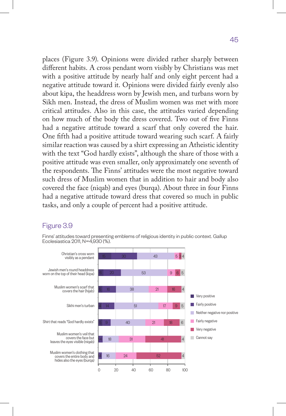places (Figure 3.9). Opinions were divided rather sharply between different habits. A cross pendant worn visibly by Christians was met with a positive attitude by nearly half and only eight percent had a negative attitude toward it. Opinions were divided fairly evenly also about kipa, the headdress worn by Jewish men, and turbans worn by Sikh men. Instead, the dress of Muslim women was met with more critical attitudes. Also in this case, the attitudes varied depending on how much of the body the dress covered. Two out of five Finns had a negative attitude toward a scarf that only covered the hair. One fifth had a positive attitude toward wearing such scarf. A fairly similar reaction was caused by a shirt expressing an Atheistic identity with the text "God hardly exists", although the share of those with a positive attitude was even smaller, only approximately one seventh of the respondents. The Finns' attitudes were the most negative toward such dress of Muslim women that in addition to hair and body also covered the face (niqab) and eyes (burqa). About three in four Finns had a negative attitude toward dress that covered so much in public tasks, and only a couple of percent had a positive attitude.

## Figure 3.9

Finns' attitudes toward presenting emblems of religious identity in public context. Gallup Ecclesiastica 2011, N=4,930 (%).

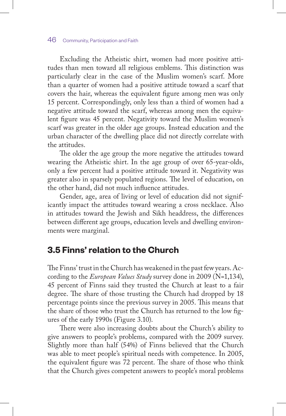Excluding the Atheistic shirt, women had more positive attitudes than men toward all religious emblems. This distinction was particularly clear in the case of the Muslim women's scarf. More than a quarter of women had a positive attitude toward a scarf that covers the hair, whereas the equivalent figure among men was only 15 percent. Correspondingly, only less than a third of women had a negative attitude toward the scarf, whereas among men the equivalent figure was 45 percent. Negativity toward the Muslim women's scarf was greater in the older age groups. Instead education and the urban character of the dwelling place did not directly correlate with the attitudes.

The older the age group the more negative the attitudes toward wearing the Atheistic shirt. In the age group of over 65-year-olds, only a few percent had a positive attitude toward it. Negativity was greater also in sparsely populated regions. The level of education, on the other hand, did not much influence attitudes.

Gender, age, area of living or level of education did not significantly impact the attitudes toward wearing a cross necklace. Also in attitudes toward the Jewish and Sikh headdress, the differences between different age groups, education levels and dwelling environments were marginal.

# **3.5 Finns' relation to the Church**

The Finns' trust in the Church has weakened in the past few years. According to the *European Values Study* survey done in 2009 (N=1,134), 45 percent of Finns said they trusted the Church at least to a fair degree. The share of those trusting the Church had dropped by 18 percentage points since the previous survey in 2005. This means that the share of those who trust the Church has returned to the low figures of the early 1990s (Figure 3.10).

There were also increasing doubts about the Church's ability to give answers to people's problems, compared with the 2009 survey. Slightly more than half (54%) of Finns believed that the Church was able to meet people's spiritual needs with competence. In 2005, the equivalent figure was 72 percent. The share of those who think that the Church gives competent answers to people's moral problems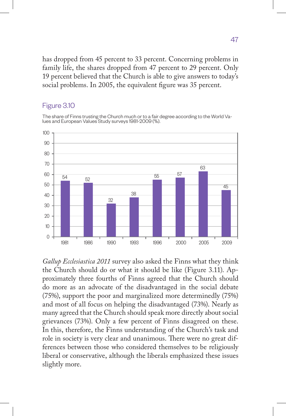has dropped from 45 percent to 33 percent. Concerning problems in family life, the shares dropped from 47 percent to 29 percent. Only 19 percent believed that the Church is able to give answers to today's social problems. In 2005, the equivalent figure was 35 percent.

## Figure 3.10

The share of Finns trusting the Church much or to a fair degree according to the World Va- lues and European Values Study surveys 1981-2009 (%).



*Gallup Ecclesiastica 2011* survey also asked the Finns what they think the Church should do or what it should be like (Figure 3.11). Approximately three fourths of Finns agreed that the Church should do more as an advocate of the disadvantaged in the social debate (75%), support the poor and marginalized more determinedly (75%) and most of all focus on helping the disadvantaged (73%). Nearly as many agreed that the Church should speak more directly about social grievances (73%). Only a few percent of Finns disagreed on these. In this, therefore, the Finns understanding of the Church's task and role in society is very clear and unanimous. There were no great differences between those who considered themselves to be religiously liberal or conservative, although the liberals emphasized these issues slightly more.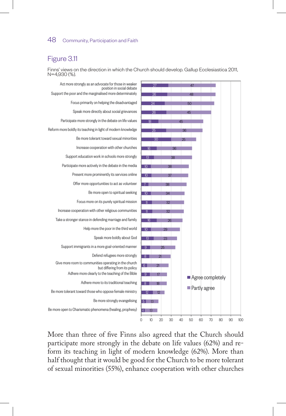## Figure 3.11

Finns' views on the direction in which the Church should develop. Gallup Ecclesiastica 2011, N=4,930 (%).



More than three of five Finns also agreed that the Church should participate more strongly in the debate on life values (62%) and reform its teaching in light of modern knowledge (62%). More than half thought that it would be good for the Church to be more tolerant of sexual minorities (55%), enhance cooperation with other churches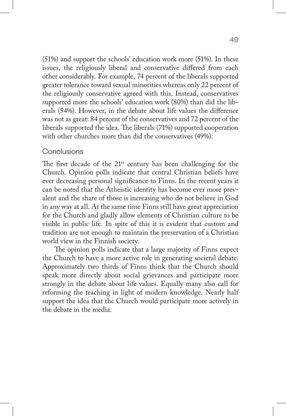(51%) and support the schools' education work more (51%). In these issues, the religiously liberal and conservative differed from each other considerably. For example, 74 percent of the liberals supported greater tolerance toward sexual minorities whereas only 22 percent of the religiously conservative agreed with this. Instead, conservatives supported more the schools' education work (80%) than did the liberals (54%). However, in the debate about life values the difference was not as great: 84 percent of the conservatives and 72 percent of the liberals supported the idea. The liberals (71%) supported cooperation with other churches more than did the conservatives (49%).

## Conclusions

The first decade of the  $21<sup>st</sup>$  century has been challenging for the Church. Opinion polls indicate that central Christian beliefs have ever decreasing personal significance to Finns. In the recent years it can be noted that the Atheistic identity has become ever more prevalent and the share of those is increasing who do not believe in God in any way at all. At the same time Finns still have great appreciation for the Church and gladly allow elements of Christian culture to be visible in public life. In spite of this it is evident that custom and tradition are not enough to maintain the preservation of a Christian world view in the Finnish society.

The opinion polls indicate that a large majority of Finns expect the Church to have a more active role in generating societal debate. Approximately two thirds of Finns think that the Church should speak more directly about social grievances and participate more strongly in the debate about life values. Equally many also call for reforming the teaching in light of modern knowledge. Nearly half support the idea that the Church would participate more actively in the debate in the media.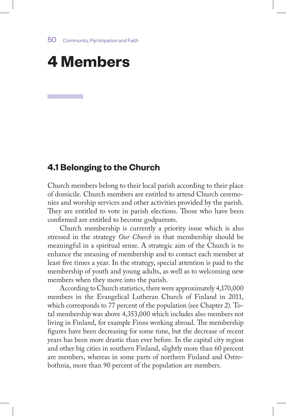# **4 Members**

# **4.1 Belonging to the Church**

Church members belong to their local parish according to their place of domicile. Church members are entitled to attend Church ceremonies and worship services and other activities provided by the parish. They are entitled to vote in parish elections. Those who have been confirmed are entitled to become godparents.

Church membership is currently a priority issue which is also stressed in the strategy *Our Church* in that membership should be meaningful in a spiritual sense. A strategic aim of the Church is to enhance the meaning of membership and to contact each member at least five times a year. In the strategy, special attention is paid to the membership of youth and young adults, as well as to welcoming new members when they move into the parish.

According to Church statistics, there were approximately 4,170,000 members in the Evangelical Lutheran Church of Finland in 2011, which corresponds to 77 percent of the population (see Chapter 2). Total membership was above 4,353,000 which includes also members not living in Finland, for example Finns working abroad. The membership figures have been decreasing for some time, but the decrease of recent years has been more drastic than ever before. In the capital city region and other big cities in southern Finland, slightly more than 60 percent are members, whereas in some parts of northern Finland and Ostrobothnia, more than 90 percent of the population are members.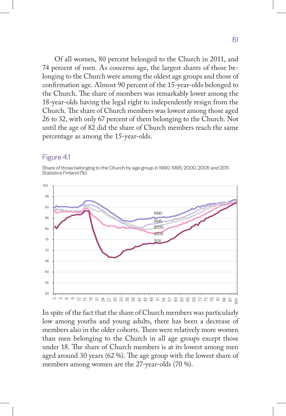Of all women, 80 percent belonged to the Church in 2011, and 74 percent of men. As concerns age, the largest shares of those belonging to the Church were among the oldest age groups and those of confirmation age. Almost 90 percent of the 15-year-olds belonged to the Church. The share of members was remarkably lower among the 18-year-olds having the legal right to independently resign from the Church. The share of Church members was lowest among those aged 26 to 32, with only 67 percent of them belonging to the Church. Not until the age of 82 did the share of Church members reach the same percentage as among the 15-year-olds.

## Figure 4.1

Share of those belonging to the Church by age group in 1990, 1995, 2000, 2005 and 2011. Statistics Finland (%).



In spite of the fact that the share of Church members was particularly low among youths and young adults, there has been a decrease of members also in the older cohorts. There were relatively more women than men belonging to the Church in all age groups except those under 18. The share of Church members is at its lowest among men aged around 30 years (62 %). The age group with the lowest share of members among women are the 27-year-olds (70 %).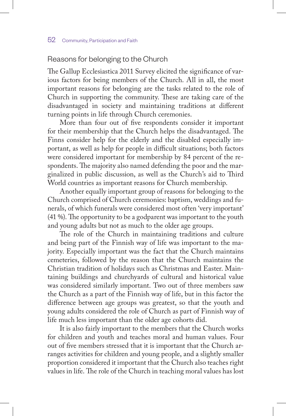## Reasons for belonging to the Church

The Gallup Ecclesiastica 2011 Survey elicited the significance of various factors for being members of the Church. All in all, the most important reasons for belonging are the tasks related to the role of Church in supporting the community. These are taking care of the disadvantaged in society and maintaining traditions at different turning points in life through Church ceremonies.

More than four out of five respondents consider it important for their membership that the Church helps the disadvantaged. The Finns consider help for the elderly and the disabled especially important, as well as help for people in difficult situations; both factors were considered important for membership by 84 percent of the respondents. The majority also named defending the poor and the marginalized in public discussion, as well as the Church's aid to Third World countries as important reasons for Church membership.

Another equally important group of reasons for belonging to the Church comprised of Church ceremonies: baptism, weddings and funerals, of which funerals were considered most often 'very important' (41 %). The opportunity to be a godparent was important to the youth and young adults but not as much to the older age groups.

The role of the Church in maintaining traditions and culture and being part of the Finnish way of life was important to the majority. Especially important was the fact that the Church maintains cemeteries, followed by the reason that the Church maintains the Christian tradition of holidays such as Christmas and Easter. Maintaining buildings and churchyards of cultural and historical value was considered similarly important. Two out of three members saw the Church as a part of the Finnish way of life, but in this factor the difference between age groups was greatest, so that the youth and young adults considered the role of Church as part of Finnish way of life much less important than the older age cohorts did.

It is also fairly important to the members that the Church works for children and youth and teaches moral and human values. Four out of five members stressed that it is important that the Church arranges activities for children and young people, and a slightly smaller proportion considered it important that the Church also teaches right values in life. The role of the Church in teaching moral values has lost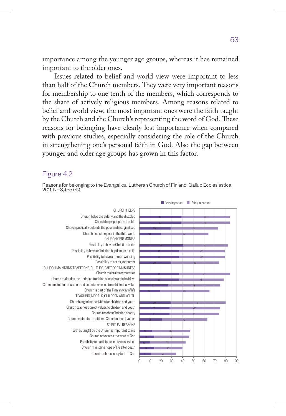importance among the younger age groups, whereas it has remained important to the older ones.

Issues related to belief and world view were important to less than half of the Church members. They were very important reasons for membership to one tenth of the members, which corresponds to the share of actively religious members. Among reasons related to belief and world view, the most important ones were the faith taught by the Church and the Church's representing the word of God. These reasons for belonging have clearly lost importance when compared with previous studies, especially considering the role of the Church in strengthening one's personal faith in God. Also the gap between younger and older age groups has grown in this factor.

#### Figure 4.2

Reasons for belonging to the Evangelical Lutheran Church of Finland. Gallup Ecclesiastica 2011, N=3,455 (%).

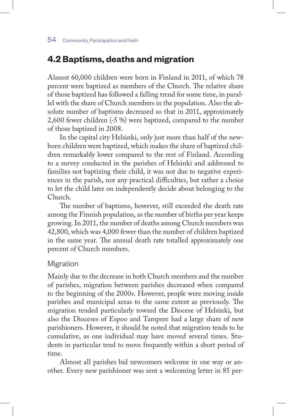# **4.2 Baptisms, deaths and migration**

Almost 60,000 children were born in Finland in 2011, of which 78 percent were baptized as members of the Church. The relative share of those baptized has followed a falling trend for some time, in parallel with the share of Church members in the population. Also the absolute number of baptisms decreased so that in 2011, approximately 2,600 fewer children (-5 %) were baptized, compared to the number of those baptized in 2008.

In the capital city Helsinki, only just more than half of the newborn children were baptized, which makes the share of baptized children remarkably lower compared to the rest of Finland. According to a survey conducted in the parishes of Helsinki and addressed to families not baptizing their child, it was not due to negative experiences in the parish, nor any practical difficulties, but rather a choice to let the child later on independently decide about belonging to the Church.

The number of baptisms, however, still exceeded the death rate among the Finnish population, as the number of births per year keeps growing. In 2011, the number of deaths among Church members was 42,800, which was 4,000 fewer than the number of children baptized in the same year. The annual death rate totalled approximately one percent of Church members.

### Migration

Mainly due to the decrease in both Church members and the number of parishes, migration between parishes decreased when compared to the beginning of the 2000s. However, people were moving inside parishes and municipal areas to the same extent as previously. The migration tended particularly toward the Diocese of Helsinki, but also the Dioceses of Espoo and Tampere had a large share of new parishioners. However, it should be noted that migration tends to be cumulative, as one individual may have moved several times. Students in particular tend to move frequently within a short period of time.

Almost all parishes bid newcomers welcome in one way or another. Every new parishioner was sent a welcoming letter in 85 per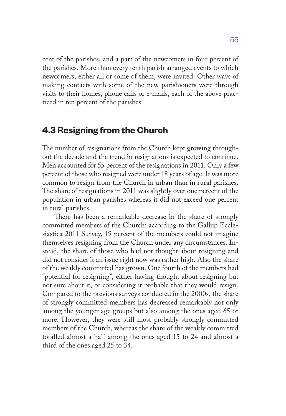cent of the parishes, and a part of the newcomers in four percent of the parishes. More than every tenth parish arranged events to which newcomers, either all or some of them, were invited. Other ways of making contacts with some of the new parishioners were through visits to their homes, phone calls or e-mails, each of the above practiced in ten percent of the parishes.

# **4.3 Resigning from the Church**

The number of resignations from the Church kept growing throughout the decade and the trend in resignations is expected to continue. Men accounted for 55 percent of the resignations in 2011. Only a few percent of those who resigned were under 18 years of age. It was more common to resign from the Church in urban than in rural parishes. The share of resignations in 2011 was slightly over one percent of the population in urban parishes whereas it did not exceed one percent in rural parishes.

There has been a remarkable decrease in the share of strongly committed members of the Church: according to the Gallup Ecclesiastica 2011 Survey, 19 percent of the members could not imagine themselves resigning from the Church under any circumstances. Instead, the share of those who had not thought about resigning and did not consider it an issue right now was rather high. Also the share of the weakly committed has grown. One fourth of the members had "potential for resigning", either having thought about resigning but not sure about it, or considering it probable that they would resign. Compared to the previous surveys conducted in the 2000s, the share of strongly committed members has decreased remarkably not only among the younger age groups but also among the ones aged 65 or more. However, they were still most probably strongly committed members of the Church, whereas the share of the weakly committed totalled almost a half among the ones aged 15 to 24 and almost a third of the ones aged 25 to 34.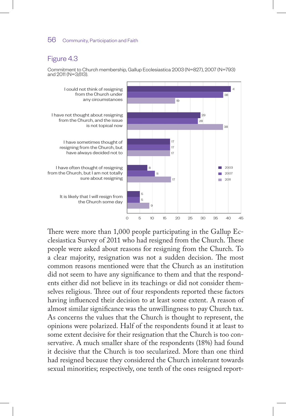## Figure 4.3

Commitment to Church membership, Gallup Ecclesiastica 2003 (N=827), 2007 (N=793) and 2011 (N=3,613).



There were more than 1,000 people participating in the Gallup Ecclesiastica Survey of 2011 who had resigned from the Church. These people were asked about reasons for resigning from the Church. To a clear majority, resignation was not a sudden decision. The most common reasons mentioned were that the Church as an institution did not seem to have any significance to them and that the respondents either did not believe in its teachings or did not consider themselves religious. Three out of four respondents reported these factors having influenced their decision to at least some extent. A reason of almost similar significance was the unwillingness to pay Church tax. As concerns the values that the Church is thought to represent, the opinions were polarized. Half of the respondents found it at least to some extent decisive for their resignation that the Church is too conservative. A much smaller share of the respondents (18%) had found it decisive that the Church is too secularized. More than one third had resigned because they considered the Church intolerant towards sexual minorities; respectively, one tenth of the ones resigned report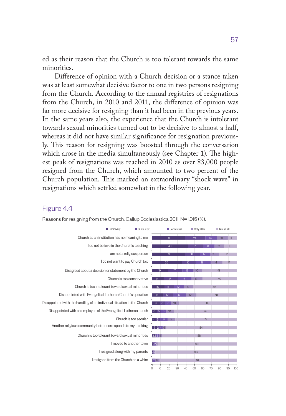ed as their reason that the Church is too tolerant towards the same minorities.

Difference of opinion with a Church decision or a stance taken was at least somewhat decisive factor to one in two persons resigning from the Church. According to the annual registries of resignations from the Church, in 2010 and 2011, the difference of opinion was far more decisive for resigning than it had been in the previous years. In the same years also, the experience that the Church is intolerant towards sexual minorities turned out to be decisive to almost a half, whereas it did not have similar significance for resignation previously. This reason for resigning was boosted through the conversation which arose in the media simultaneously (see Chapter 1). The highest peak of resignations was reached in 2010 as over 83,000 people resigned from the Church, which amounted to two percent of the Church population. This marked an extraordinary "shock wave" in resignations which settled somewhat in the following year.

## Figure 4.4



Reasons for resigning from the Church. Gallup Ecclesiastica 2011, N=1,015 (%).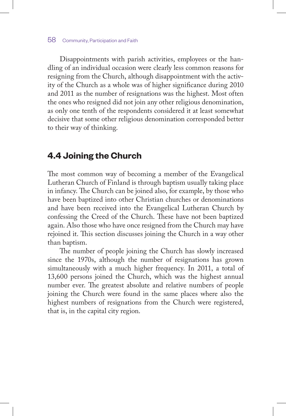Disappointments with parish activities, employees or the handling of an individual occasion were clearly less common reasons for resigning from the Church, although disappointment with the activity of the Church as a whole was of higher significance during 2010 and 2011 as the number of resignations was the highest. Most often the ones who resigned did not join any other religious denomination, as only one tenth of the respondents considered it at least somewhat decisive that some other religious denomination corresponded better to their way of thinking.

# **4.4 Joining the Church**

The most common way of becoming a member of the Evangelical Lutheran Church of Finland is through baptism usually taking place in infancy. The Church can be joined also, for example, by those who have been baptized into other Christian churches or denominations and have been received into the Evangelical Lutheran Church by confessing the Creed of the Church. These have not been baptized again. Also those who have once resigned from the Church may have rejoined it. This section discusses joining the Church in a way other than baptism.

The number of people joining the Church has slowly increased since the 1970s, although the number of resignations has grown simultaneously with a much higher frequency. In 2011, a total of 13,600 persons joined the Church, which was the highest annual number ever. The greatest absolute and relative numbers of people joining the Church were found in the same places where also the highest numbers of resignations from the Church were registered, that is, in the capital city region.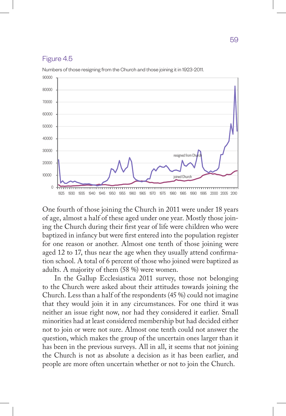#### Figure 4.5



Numbers of those resigning from the Church and those joining it in 1923-2011.

One fourth of those joining the Church in 2011 were under 18 years of age, almost a half of these aged under one year. Mostly those joining the Church during their first year of life were children who were baptized in infancy but were first entered into the population register for one reason or another. Almost one tenth of those joining were aged 12 to 17, thus near the age when they usually attend confirmation school. A total of 6 percent of those who joined were baptized as adults. A majority of them (58 %) were women.

In the Gallup Ecclesiastica 2011 survey, those not belonging to the Church were asked about their attitudes towards joining the Church. Less than a half of the respondents (45 %) could not imagine that they would join it in any circumstances. For one third it was neither an issue right now, nor had they considered it earlier. Small minorities had at least considered membership but had decided either not to join or were not sure. Almost one tenth could not answer the question, which makes the group of the uncertain ones larger than it has been in the previous surveys. All in all, it seems that not joining the Church is not as absolute a decision as it has been earlier, and people are more often uncertain whether or not to join the Church.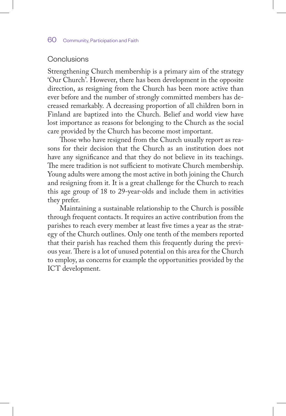## Conclusions

Strengthening Church membership is a primary aim of the strategy 'Our Church'. However, there has been development in the opposite direction, as resigning from the Church has been more active than ever before and the number of strongly committed members has decreased remarkably. A decreasing proportion of all children born in Finland are baptized into the Church. Belief and world view have lost importance as reasons for belonging to the Church as the social care provided by the Church has become most important.

Those who have resigned from the Church usually report as reasons for their decision that the Church as an institution does not have any significance and that they do not believe in its teachings. The mere tradition is not sufficient to motivate Church membership. Young adults were among the most active in both joining the Church and resigning from it. It is a great challenge for the Church to reach this age group of 18 to 29-year-olds and include them in activities they prefer.

Maintaining a sustainable relationship to the Church is possible through frequent contacts. It requires an active contribution from the parishes to reach every member at least five times a year as the strategy of the Church outlines. Only one tenth of the members reported that their parish has reached them this frequently during the previous year. There is a lot of unused potential on this area for the Church to employ, as concerns for example the opportunities provided by the ICT development.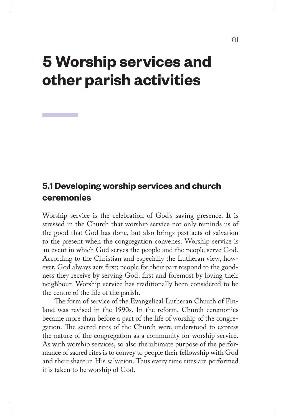# **5 Worship services and other parish activities**

# **5.1 Developing worship services and church ceremonies**

Worship service is the celebration of God's saving presence. It is stressed in the Church that worship service not only reminds us of the good that God has done, but also brings past acts of salvation to the present when the congregation convenes. Worship service is an event in which God serves the people and the people serve God. According to the Christian and especially the Lutheran view, however, God always acts first; people for their part respond to the goodness they receive by serving God, first and foremost by loving their neighbour. Worship service has traditionally been considered to be the centre of the life of the parish.

The form of service of the Evangelical Lutheran Church of Finland was revised in the 1990s. In the reform, Church ceremonies became more than before a part of the life of worship of the congregation. The sacred rites of the Church were understood to express the nature of the congregation as a community for worship service. As with worship services, so also the ultimate purpose of the performance of sacred rites is to convey to people their fellowship with God and their share in His salvation. Thus every time rites are performed it is taken to be worship of God.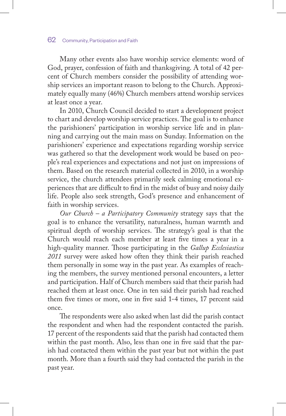Many other events also have worship service elements: word of God, prayer, confession of faith and thanksgiving. A total of 42 percent of Church members consider the possibility of attending worship services an important reason to belong to the Church. Approximately equally many (46%) Church members attend worship services at least once a year.

In 2010, Church Council decided to start a development project to chart and develop worship service practices. The goal is to enhance the parishioners' participation in worship service life and in planning and carrying out the main mass on Sunday. Information on the parishioners' experience and expectations regarding worship service was gathered so that the development work would be based on people's real experiences and expectations and not just on impressions of them. Based on the research material collected in 2010, in a worship service, the church attendees primarily seek calming emotional experiences that are difficult to find in the midst of busy and noisy daily life. People also seek strength, God's presence and enhancement of faith in worship services.

*Our Church – a Participatory Community* strategy says that the goal is to enhance the versatility, naturalness, human warmth and spiritual depth of worship services. The strategy's goal is that the Church would reach each member at least five times a year in a high-quality manner. Those participating in the *Gallup Ecclesiastica 2011* survey were asked how often they think their parish reached them personally in some way in the past year. As examples of reaching the members, the survey mentioned personal encounters, a letter and participation. Half of Church members said that their parish had reached them at least once. One in ten said their parish had reached them five times or more, one in five said 1-4 times, 17 percent said once.

The respondents were also asked when last did the parish contact the respondent and when had the respondent contacted the parish. 17 percent of the respondents said that the parish had contacted them within the past month. Also, less than one in five said that the parish had contacted them within the past year but not within the past month. More than a fourth said they had contacted the parish in the past year.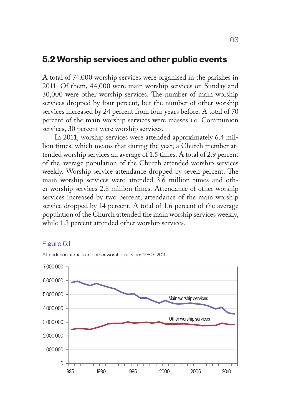# **5.2 Worship services and other public events**

A total of 74,000 worship services were organised in the parishes in 2011. Of them, 44,000 were main worship services on Sunday and 30,000 were other worship services. The number of main worship services dropped by four percent, but the number of other worship services increased by 24 percent from four years before. A total of 70 percent of the main worship services were masses i.e. Communion services, 30 percent were worship services.

In 2011, worship services were attended approximately 6.4 million times, which means that during the year, a Church member attended worship services an average of 1.5 times. A total of 2.9 percent of the average population of the Church attended worship services weekly. Worship service attendance dropped by seven percent. The main worship services were attended 3.6 million times and other worship services 2.8 million times. Attendance of other worship services increased by two percent, attendance of the main worship service dropped by 14 percent. A total of 1.6 percent of the average population of the Church attended the main worship services weekly, while 1.3 percent attended other worship services.

#### Figure 5.1



Attendance at main and other worship services 1980–2011.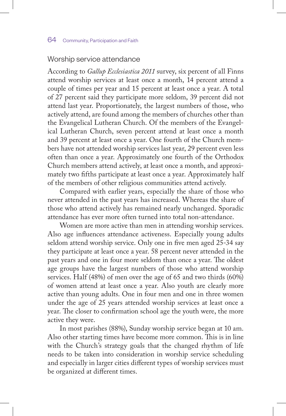#### Worship service attendance

According to *Gallup Ecclesiastica 2011* survey, six percent of all Finns attend worship services at least once a month, 14 percent attend a couple of times per year and 15 percent at least once a year. A total of 27 percent said they participate more seldom, 39 percent did not attend last year. Proportionately, the largest numbers of those, who actively attend, are found among the members of churches other than the Evangelical Lutheran Church. Of the members of the Evangelical Lutheran Church, seven percent attend at least once a month and 39 percent at least once a year. One fourth of the Church members have not attended worship services last year, 29 percent even less often than once a year. Approximately one fourth of the Orthodox Church members attend actively, at least once a month, and approximately two fifths participate at least once a year. Approximately half of the members of other religious communities attend actively.

Compared with earlier years, especially the share of those who never attended in the past years has increased. Whereas the share of those who attend actively has remained nearly unchanged. Sporadic attendance has ever more often turned into total non-attendance.

Women are more active than men in attending worship services. Also age influences attendance activeness. Especially young adults seldom attend worship service. Only one in five men aged 25-34 say they participate at least once a year. 58 percent never attended in the past years and one in four more seldom than once a year. The oldest age groups have the largest numbers of those who attend worship services. Half (48%) of men over the age of 65 and two thirds (60%) of women attend at least once a year. Also youth are clearly more active than young adults. One in four men and one in three women under the age of 25 years attended worship services at least once a year. The closer to confirmation school age the youth were, the more active they were.

In most parishes (88%), Sunday worship service began at 10 am. Also other starting times have become more common. This is in line with the Church's strategy goals that the changed rhythm of life needs to be taken into consideration in worship service scheduling and especially in larger cities different types of worship services must be organized at different times.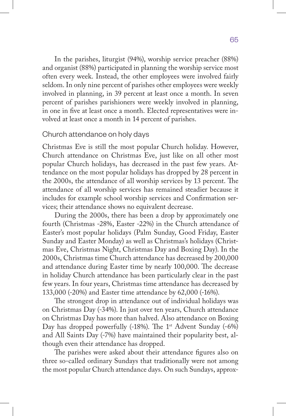In the parishes, liturgist (94%), worship service preacher (88%) and organist (88%) participated in planning the worship service most often every week. Instead, the other employees were involved fairly seldom. In only nine percent of parishes other employees were weekly involved in planning, in 39 percent at least once a month. In seven percent of parishes parishioners were weekly involved in planning, in one in five at least once a month. Elected representatives were involved at least once a month in 14 percent of parishes.

#### Church attendance on holy days

Christmas Eve is still the most popular Church holiday. However, Church attendance on Christmas Eve, just like on all other most popular Church holidays, has decreased in the past few years. Attendance on the most popular holidays has dropped by 28 percent in the 2000s, the attendance of all worship services by 13 percent. The attendance of all worship services has remained steadier because it includes for example school worship services and Confirmation services; their attendance shows no equivalent decrease.

During the 2000s, there has been a drop by approximately one fourth (Christmas -28%, Easter -22%) in the Church attendance of Easter's most popular holidays (Palm Sunday, Good Friday, Easter Sunday and Easter Monday) as well as Christmas's holidays (Christmas Eve, Christmas Night, Christmas Day and Boxing Day). In the 2000s, Christmas time Church attendance has decreased by 200,000 and attendance during Easter time by nearly 100,000. The decrease in holiday Church attendance has been particularly clear in the past few years. In four years, Christmas time attendance has decreased by 133,000 (-20%) and Easter time attendance by 62,000 (-16%).

The strongest drop in attendance out of individual holidays was on Christmas Day (-34%). In just over ten years, Church attendance on Christmas Day has more than halved. Also attendance on Boxing Day has dropped powerfully  $(-18%)$ . The 1<sup>st</sup> Advent Sunday  $(-6%)$ and All Saints Day (-7%) have maintained their popularity best, although even their attendance has dropped.

The parishes were asked about their attendance figures also on three so-called ordinary Sundays that traditionally were not among the most popular Church attendance days. On such Sundays, approx-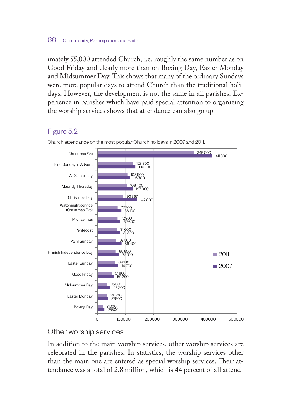imately 55,000 attended Church, i.e. roughly the same number as on Good Friday and clearly more than on Boxing Day, Easter Monday and Midsummer Day. This shows that many of the ordinary Sundays were more popular days to attend Church than the traditional holidays. However, the development is not the same in all parishes. Experience in parishes which have paid special attention to organizing the worship services shows that attendance can also go up.

## Figure 5.2



Church attendance on the most popular Church holidays in 2007 and 2011.

# Other worship services

In addition to the main worship services, other worship services are celebrated in the parishes. In statistics, the worship services other than the main one are entered as special worship services. Their attendance was a total of 2.8 million, which is 44 percent of all attend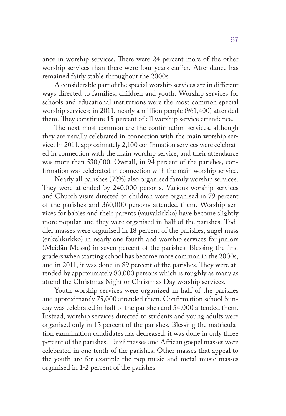ance in worship services. There were 24 percent more of the other worship services than there were four years earlier. Attendance has remained fairly stable throughout the 2000s.

A considerable part of the special worship services are in different ways directed to families, children and youth. Worship services for schools and educational institutions were the most common special worship services; in 2011, nearly a million people (961,400) attended them. They constitute 15 percent of all worship service attendance.

The next most common are the confirmation services, although they are usually celebrated in connection with the main worship service. In 2011, approximately 2,100 confirmation services were celebrated in connection with the main worship service, and their attendance was more than 530,000. Overall, in 94 percent of the parishes, confirmation was celebrated in connection with the main worship service.

Nearly all parishes (92%) also organised family worship services. They were attended by 240,000 persons. Various worship services and Church visits directed to children were organised in 79 percent of the parishes and 360,000 persons attended them. Worship services for babies and their parents (vauvakirkko) have become slightly more popular and they were organised in half of the parishes. Toddler masses were organised in 18 percent of the parishes, angel mass (enkelikirkko) in nearly one fourth and worship services for juniors (Meidän Messu) in seven percent of the parishes. Blessing the first graders when starting school has become more common in the 2000s, and in 2011, it was done in 89 percent of the parishes. They were attended by approximately 80,000 persons which is roughly as many as attend the Christmas Night or Christmas Day worship services.

Youth worship services were organized in half of the parishes and approximately 75,000 attended them. Confirmation school Sunday was celebrated in half of the parishes and 54,000 attended them. Instead, worship services directed to students and young adults were organised only in 13 percent of the parishes. Blessing the matriculation examination candidates has decreased: it was done in only three percent of the parishes. Taizé masses and African gospel masses were celebrated in one tenth of the parishes. Other masses that appeal to the youth are for example the pop music and metal music masses organised in 1-2 percent of the parishes.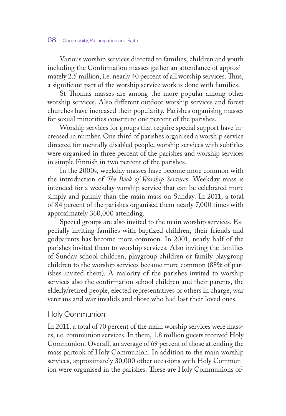Various worship services directed to families, children and youth including the Confirmation masses gather an attendance of approximately 2.5 million, i.e. nearly 40 percent of all worship services. Thus, a significant part of the worship service work is done with families.

St Thomas masses are among the more popular among other worship services. Also different outdoor worship services and forest churches have increased their popularity. Parishes organising masses for sexual minorities constitute one percent of the parishes.

Worship services for groups that require special support have increased in number. One third of parishes organised a worship service directed for mentally disabled people, worship services with subtitles were organised in three percent of the parishes and worship services in simple Finnish in two percent of the parishes.

In the 2000s, weekday masses have become more common with the introduction of *The Book of Worship Service*s. Weekday mass is intended for a weekday worship service that can be celebrated more simply and plainly than the main mass on Sunday. In 2011, a total of 84 percent of the parishes organised them nearly 7,000 times with approximately 360,000 attending.

Special groups are also invited to the main worship services. Especially inviting families with baptized children, their friends and godparents has become more common. In 2001, nearly half of the parishes invited them to worship services. Also inviting the families of Sunday school children, playgroup children or family playgroup children to the worship services became more common (88% of parishes invited them). A majority of the parishes invited to worship services also the confirmation school children and their parents, the elderly/retired people, elected representatives or others in charge, war veterans and war invalids and those who had lost their loved ones.

### Holy Communion

In 2011, a total of 70 percent of the main worship services were masses, i.e. communion services. In them, 1.8 million guests received Holy Communion. Overall, an average of 69 percent of those attending the mass partook of Holy Communion. In addition to the main worship services, approximately 30,000 other occasions with Holy Communion were organised in the parishes. These are Holy Communions of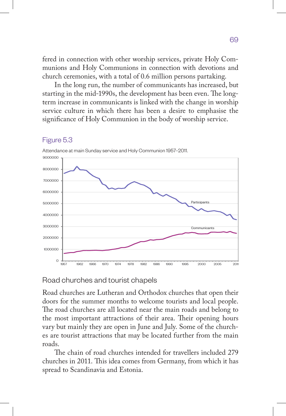fered in connection with other worship services, private Holy Communions and Holy Communions in connection with devotions and church ceremonies, with a total of 0.6 million persons partaking.

In the long run, the number of communicants has increased, but starting in the mid-1990s, the development has been even. The longterm increase in communicants is linked with the change in worship service culture in which there has been a desire to emphasise the significance of Holy Communion in the body of worship service.



#### Figure 5.3

Attendance at main Sunday service and Holy Communion 1957–2011.

# Road churches and tourist chapels

Road churches are Lutheran and Orthodox churches that open their doors for the summer months to welcome tourists and local people. The road churches are all located near the main roads and belong to the most important attractions of their area. Their opening hours vary but mainly they are open in June and July. Some of the churches are tourist attractions that may be located further from the main roads.

The chain of road churches intended for travellers included 279 churches in 2011. This idea comes from Germany, from which it has spread to Scandinavia and Estonia.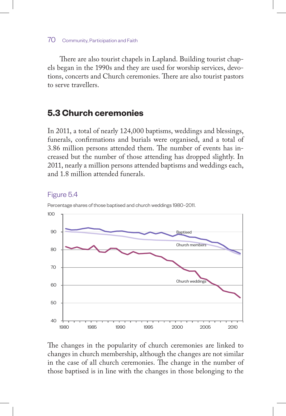There are also tourist chapels in Lapland. Building tourist chapels began in the 1990s and they are used for worship services, devotions, concerts and Church ceremonies. There are also tourist pastors to serve travellers.

# **5.3 Church ceremonies**

In 2011, a total of nearly 124,000 baptisms, weddings and blessings, funerals, confirmations and burials were organised, and a total of 3.86 million persons attended them. The number of events has increased but the number of those attending has dropped slightly. In 2011, nearly a million persons attended baptisms and weddings each, and 1.8 million attended funerals.



# Figure 5.4

The changes in the popularity of church ceremonies are linked to changes in church membership, although the changes are not similar in the case of all church ceremonies. The change in the number of those baptised is in line with the changes in those belonging to the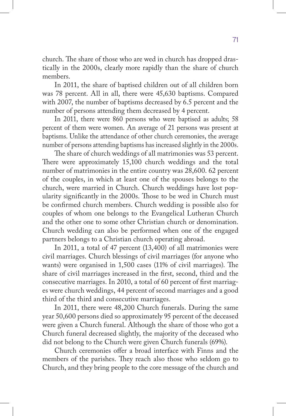church. The share of those who are wed in church has dropped drastically in the 2000s, clearly more rapidly than the share of church members.

In 2011, the share of baptised children out of all children born was 78 percent. All in all, there were 45,630 baptisms. Compared with 2007, the number of baptisms decreased by 6.5 percent and the number of persons attending them decreased by 4 percent.

In 2011, there were 860 persons who were baptised as adults; 58 percent of them were women. An average of 21 persons was present at baptisms. Unlike the attendance of other church ceremonies, the average number of persons attending baptisms has increased slightly in the 2000s.

The share of church weddings of all matrimonies was 53 percent. There were approximately 15,100 church weddings and the total number of matrimonies in the entire country was 28,600. 62 percent of the couples, in which at least one of the spouses belongs to the church, were married in Church. Church weddings have lost popularity significantly in the 2000s. Those to be wed in Church must be confirmed church members. Church wedding is possible also for couples of whom one belongs to the Evangelical Lutheran Church and the other one to some other Christian church or denomination. Church wedding can also be performed when one of the engaged partners belongs to a Christian church operating abroad.

In 2011, a total of 47 percent (13,400) of all matrimonies were civil marriages. Church blessings of civil marriages (for anyone who wants) were organised in 1,500 cases (11% of civil marriages). The share of civil marriages increased in the first, second, third and the consecutive marriages. In 2010, a total of 60 percent of first marriages were church weddings, 44 percent of second marriages and a good third of the third and consecutive marriages.

In 2011, there were 48,200 Church funerals. During the same year 50,600 persons died so approximately 95 percent of the deceased were given a Church funeral. Although the share of those who got a Church funeral decreased slightly, the majority of the deceased who did not belong to the Church were given Church funerals (69%).

Church ceremonies offer a broad interface with Finns and the members of the parishes. They reach also those who seldom go to Church, and they bring people to the core message of the church and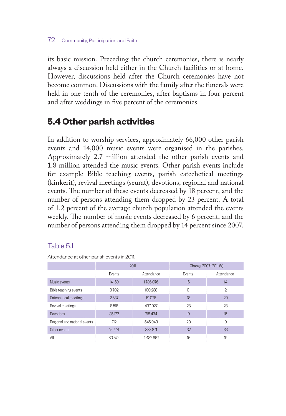its basic mission. Preceding the church ceremonies, there is nearly always a discussion held either in the Church facilities or at home. However, discussions held after the Church ceremonies have not become common. Discussions with the family after the funerals were held in one tenth of the ceremonies, after baptisms in four percent and after weddings in five percent of the ceremonies.

# **5.4 Other parish activities**

In addition to worship services, approximately 66,000 other parish events and 14,000 music events were organised in the parishes. Approximately 2.7 million attended the other parish events and 1.8 million attended the music events. Other parish events include for example Bible teaching events, parish catechetical meetings (kinkerit), revival meetings (seurat), devotions, regional and national events. The number of these events decreased by 18 percent, and the number of persons attending them dropped by 23 percent. A total of 1.2 percent of the average church population attended the events weekly. The number of music events decreased by 6 percent, and the number of persons attending them dropped by 14 percent since 2007.

## Table 5.1

Attendance at other parish events in 2011.

|                              | 2011   |            | Change 2007-2011 (%) |            |
|------------------------------|--------|------------|----------------------|------------|
|                              | Events | Attendance | <b>Events</b>        | Attendance |
| Music events                 | 14159  | 1736076    | $-6$                 | $-14$      |
| Bible teaching events        | 3702   | 100238     | $\Omega$             | $-2$       |
| Catechetical meetings        | 2537   | 51078      | $-18$                | $-20$      |
| Revival meetings             | 8518   | 497027     | $-28$                | $-28$      |
| <b>Devotions</b>             | 35172  | 718 434    | $-9$                 | $-15$      |
| Regional and national events | 712    | 545943     | $-20$                | -9         |
| Other events                 | 15774  | 833871     | $-32$                | $-33$      |
| All                          | 80574  | 4482667    | $-16$                | $-19$      |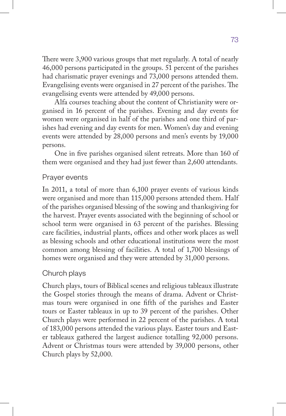There were 3,900 various groups that met regularly. A total of nearly 46,000 persons participated in the groups. 51 percent of the parishes had charismatic prayer evenings and 73,000 persons attended them. Evangelising events were organised in 27 percent of the parishes. The evangelising events were attended by 49,000 persons.

Alfa courses teaching about the content of Christianity were organised in 16 percent of the parishes. Evening and day events for women were organised in half of the parishes and one third of parishes had evening and day events for men. Women's day and evening events were attended by 28,000 persons and men's events by 19,000 persons.

One in five parishes organised silent retreats. More than 160 of them were organised and they had just fewer than 2,600 attendants.

## Prayer events

In 2011, a total of more than 6,100 prayer events of various kinds were organised and more than 115,000 persons attended them. Half of the parishes organised blessing of the sowing and thanksgiving for the harvest. Prayer events associated with the beginning of school or school term were organised in 63 percent of the parishes. Blessing care facilities, industrial plants, offices and other work places as well as blessing schools and other educational institutions were the most common among blessing of facilities. A total of 1,700 blessings of homes were organised and they were attended by 31,000 persons.

## Church plays

Church plays, tours of Biblical scenes and religious tableaux illustrate the Gospel stories through the means of drama. Advent or Christmas tours were organised in one fifth of the parishes and Easter tours or Easter tableaux in up to 39 percent of the parishes. Other Church plays were performed in 22 percent of the parishes. A total of 183,000 persons attended the various plays. Easter tours and Easter tableaux gathered the largest audience totalling 92,000 persons. Advent or Christmas tours were attended by 39,000 persons, other Church plays by 52,000.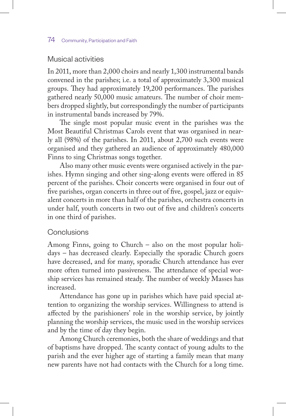## Musical activities

In 2011, more than 2,000 choirs and nearly 1,300 instrumental bands convened in the parishes; i.e. a total of approximately 3,300 musical groups. They had approximately 19,200 performances. The parishes gathered nearly 50,000 music amateurs. The number of choir members dropped slightly, but correspondingly the number of participants in instrumental bands increased by 79%.

The single most popular music event in the parishes was the Most Beautiful Christmas Carols event that was organised in nearly all (98%) of the parishes. In 2011, about 2,700 such events were organised and they gathered an audience of approximately 480,000 Finns to sing Christmas songs together.

Also many other music events were organised actively in the parishes. Hymn singing and other sing-along events were offered in 85 percent of the parishes. Choir concerts were organised in four out of five parishes, organ concerts in three out of five, gospel, jazz or equivalent concerts in more than half of the parishes, orchestra concerts in under half, youth concerts in two out of five and children's concerts in one third of parishes.

## Conclusions

Among Finns, going to Church – also on the most popular holidays – has decreased clearly. Especially the sporadic Church goers have decreased, and for many, sporadic Church attendance has ever more often turned into passiveness. The attendance of special worship services has remained steady. The number of weekly Masses has increased.

Attendance has gone up in parishes which have paid special attention to organizing the worship services. Willingness to attend is affected by the parishioners' role in the worship service, by jointly planning the worship services, the music used in the worship services and by the time of day they begin.

Among Church ceremonies, both the share of weddings and that of baptisms have dropped. The scanty contact of young adults to the parish and the ever higher age of starting a family mean that many new parents have not had contacts with the Church for a long time.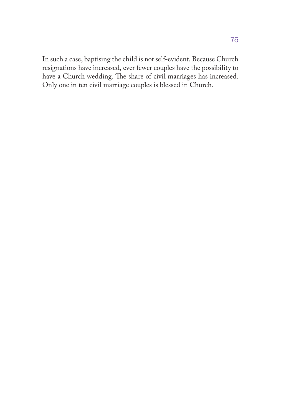In such a case, baptising the child is not self-evident. Because Church resignations have increased, ever fewer couples have the possibility to have a Church wedding. The share of civil marriages has increased. Only one in ten civil marriage couples is blessed in Church.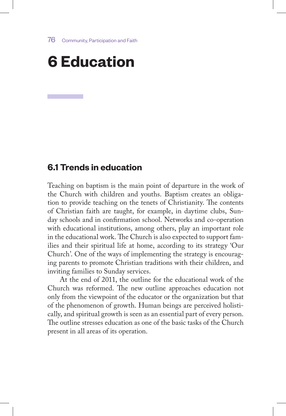# **6 Education**

## **6.1 Trends in education**

Teaching on baptism is the main point of departure in the work of the Church with children and youths. Baptism creates an obligation to provide teaching on the tenets of Christianity. The contents of Christian faith are taught, for example, in daytime clubs, Sunday schools and in confirmation school. Networks and co-operation with educational institutions, among others, play an important role in the educational work. The Church is also expected to support families and their spiritual life at home, according to its strategy 'Our Church'. One of the ways of implementing the strategy is encouraging parents to promote Christian traditions with their children, and inviting families to Sunday services.

At the end of 2011, the outline for the educational work of the Church was reformed. The new outline approaches education not only from the viewpoint of the educator or the organization but that of the phenomenon of growth. Human beings are perceived holistically, and spiritual growth is seen as an essential part of every person. The outline stresses education as one of the basic tasks of the Church present in all areas of its operation.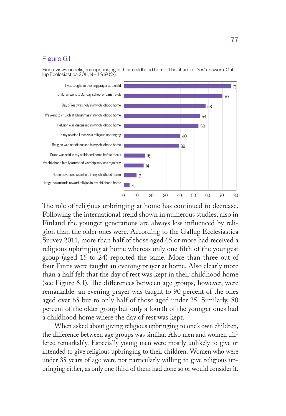## Figure 6.1

Finns' views on religious upbringing in their childhood home. The share of 'Yes' answers. Gal- lup Ecclesiastica 2011, N=4,919 (%).



The role of religious upbringing at home has continued to decrease. Following the international trend shown in numerous studies, also in Finland the younger generations are always less influenced by religion than the older ones were. According to the Gallup Ecclesiastica Survey 2011, more than half of those aged 65 or more had received a religious upbringing at home whereas only one fifth of the youngest group (aged 15 to 24) reported the same. More than three out of four Finns were taught an evening prayer at home. Also clearly more than a half felt that the day of rest was kept in their childhood home (see Figure 6.1). The differences between age groups, however, were remarkable: an evening prayer was taught to 90 percent of the ones aged over 65 but to only half of those aged under 25. Similarly, 80 percent of the older group but only a fourth of the younger ones had a childhood home where the day of rest was kept.

When asked about giving religious upbringing to one's own children, the difference between age groups was similar. Also men and women differed remarkably. Especially young men were mostly unlikely to give or intended to give religious upbringing to their children. Women who were under 35 years of age were not particularly willing to give religious upbringing either, as only one third of them had done so or would consider it.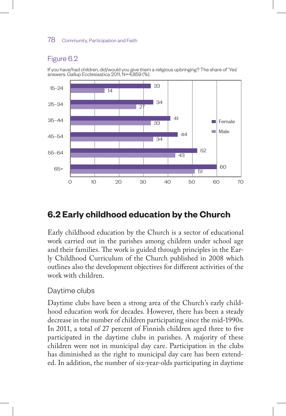## Figure 6.2





# **6.2 Early childhood education by the Church**

Early childhood education by the Church is a sector of educational work carried out in the parishes among children under school age and their families. The work is guided through principles in the Early Childhood Curriculum of the Church published in 2008 which outlines also the development objectives for different activities of the work with children.

## Daytime clubs

Daytime clubs have been a strong area of the Church's early childhood education work for decades. However, there has been a steady decrease in the number of children participating since the mid-1990s. In 2011, a total of 27 percent of Finnish children aged three to five participated in the daytime clubs in parishes. A majority of these children were not in municipal day care. Participation in the clubs has diminished as the right to municipal day care has been extended. In addition, the number of six-year-olds participating in daytime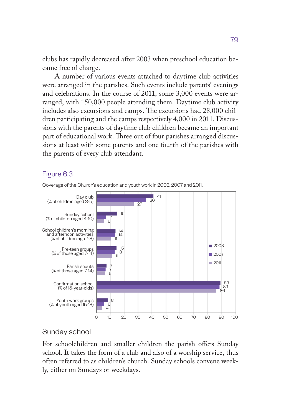clubs has rapidly decreased after 2003 when preschool education became free of charge.

A number of various events attached to daytime club activities were arranged in the parishes. Such events include parents' evenings and celebrations. In the course of 2011, some 3,000 events were arranged, with 150,000 people attending them. Daytime club activity includes also excursions and camps. The excursions had 28,000 children participating and the camps respectively 4,000 in 2011. Discussions with the parents of daytime club children became an important part of educational work. Three out of four parishes arranged discussions at least with some parents and one fourth of the parishes with the parents of every club attendant.

## Figure 6.3



Coverage of the Church's education and youth work in 2003, 2007 and 2011.

## Sunday school

For schoolchildren and smaller children the parish offers Sunday school. It takes the form of a club and also of a worship service, thus often referred to as children's church. Sunday schools convene weekly, either on Sundays or weekdays.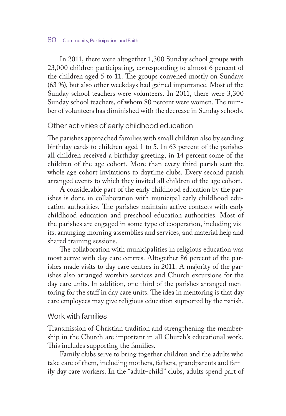In 2011, there were altogether 1,300 Sunday school groups with 23,000 children participating, corresponding to almost 6 percent of the children aged 5 to 11. The groups convened mostly on Sundays (63 %), but also other weekdays had gained importance. Most of the Sunday school teachers were volunteers. In 2011, there were 3,300 Sunday school teachers, of whom 80 percent were women. The number of volunteers has diminished with the decrease in Sunday schools.

## Other activities of early childhood education

The parishes approached families with small children also by sending birthday cards to children aged 1 to 5. In 63 percent of the parishes all children received a birthday greeting, in 14 percent some of the children of the age cohort. More than every third parish sent the whole age cohort invitations to daytime clubs. Every second parish arranged events to which they invited all children of the age cohort.

A considerable part of the early childhood education by the parishes is done in collaboration with municipal early childhood education authorities. The parishes maintain active contacts with early childhood education and preschool education authorities. Most of the parishes are engaged in some type of cooperation, including visits, arranging morning assemblies and services, and material help and shared training sessions.

The collaboration with municipalities in religious education was most active with day care centres. Altogether 86 percent of the parishes made visits to day care centres in 2011. A majority of the parishes also arranged worship services and Church excursions for the day care units. In addition, one third of the parishes arranged mentoring for the staff in day care units. The idea in mentoring is that day care employees may give religious education supported by the parish.

#### Work with families

Transmission of Christian tradition and strengthening the membership in the Church are important in all Church's educational work. This includes supporting the families.

Family clubs serve to bring together children and the adults who take care of them, including mothers, fathers, grandparents and family day care workers. In the "adult–child" clubs, adults spend part of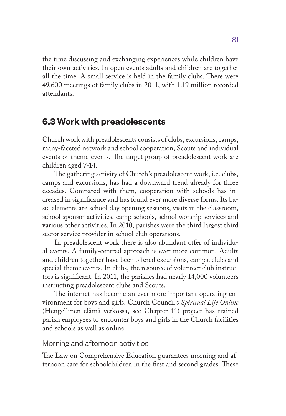the time discussing and exchanging experiences while children have their own activities. In open events adults and children are together all the time. A small service is held in the family clubs. There were 49,600 meetings of family clubs in 2011, with 1.19 million recorded attendants.

## **6.3 Work with preadolescents**

Church work with preadolescents consists of clubs, excursions, camps, many-faceted network and school cooperation, Scouts and individual events or theme events. The target group of preadolescent work are children aged 7-14.

The gathering activity of Church's preadolescent work, i.e. clubs, camps and excursions, has had a downward trend already for three decades. Compared with them, cooperation with schools has increased in significance and has found ever more diverse forms. Its basic elements are school day opening sessions, visits in the classroom, school sponsor activities, camp schools, school worship services and various other activities. In 2010, parishes were the third largest third sector service provider in school club operations.

In preadolescent work there is also abundant offer of individual events. A family-centred approach is ever more common. Adults and children together have been offered excursions, camps, clubs and special theme events. In clubs, the resource of volunteer club instructors is significant. In 2011, the parishes had nearly 14,000 volunteers instructing preadolescent clubs and Scouts.

The internet has become an ever more important operating environment for boys and girls. Church Council's *Spiritual Life Online* (Hengellinen elämä verkossa, see Chapter 11) project has trained parish employees to encounter boys and girls in the Church facilities and schools as well as online.

## Morning and afternoon activities

The Law on Comprehensive Education guarantees morning and afternoon care for schoolchildren in the first and second grades. These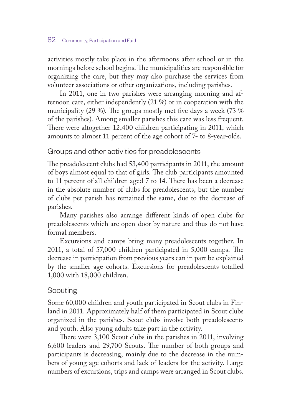activities mostly take place in the afternoons after school or in the mornings before school begins. The municipalities are responsible for organizing the care, but they may also purchase the services from volunteer associations or other organizations, including parishes.

In 2011, one in two parishes were arranging morning and afternoon care, either independently (21 %) or in cooperation with the municipality (29 %). The groups mostly met five days a week (73 % of the parishes). Among smaller parishes this care was less frequent. There were altogether 12,400 children participating in 2011, which amounts to almost 11 percent of the age cohort of 7- to 8-year-olds.

## Groups and other activities for preadolescents

The preadolescent clubs had 53,400 participants in 2011, the amount of boys almost equal to that of girls. The club participants amounted to 11 percent of all children aged 7 to 14. There has been a decrease in the absolute number of clubs for preadolescents, but the number of clubs per parish has remained the same, due to the decrease of parishes.

Many parishes also arrange different kinds of open clubs for preadolescents which are open-door by nature and thus do not have formal members.

Excursions and camps bring many preadolescents together. In 2011, a total of 57,000 children participated in 5,000 camps. The decrease in participation from previous years can in part be explained by the smaller age cohorts. Excursions for preadolescents totalled 1,000 with 18,000 children.

## Scouting

Some 60,000 children and youth participated in Scout clubs in Finland in 2011. Approximately half of them participated in Scout clubs organized in the parishes. Scout clubs involve both preadolescents and youth. Also young adults take part in the activity.

There were 3,100 Scout clubs in the parishes in 2011, involving 6,600 leaders and 29,700 Scouts. The number of both groups and participants is decreasing, mainly due to the decrease in the numbers of young age cohorts and lack of leaders for the activity. Large numbers of excursions, trips and camps were arranged in Scout clubs.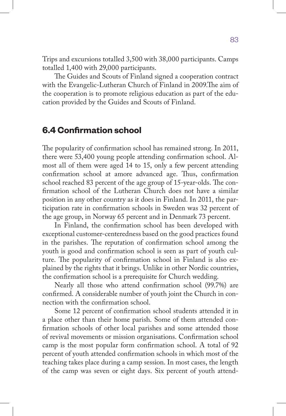Trips and excursions totalled 3,500 with 38,000 participants. Camps totalled 1,400 with 29,000 participants.

The Guides and Scouts of Finland signed a cooperation contract with the Evangelic-Lutheran Church of Finland in 2009.The aim of the cooperation is to promote religious education as part of the education provided by the Guides and Scouts of Finland.

## **6.4 Confirmation school**

The popularity of confirmation school has remained strong. In 2011, there were 53,400 young people attending confirmation school. Almost all of them were aged 14 to 15, only a few percent attending confirmation school at amore advanced age. Thus, confirmation school reached 83 percent of the age group of 15-year-olds. The confirmation school of the Lutheran Church does not have a similar position in any other country as it does in Finland. In 2011, the participation rate in confirmation schools in Sweden was 32 percent of the age group, in Norway 65 percent and in Denmark 73 percent.

In Finland, the confirmation school has been developed with exceptional customer-centeredness based on the good practices found in the parishes. The reputation of confirmation school among the youth is good and confirmation school is seen as part of youth culture. The popularity of confirmation school in Finland is also explained by the rights that it brings. Unlike in other Nordic countries, the confirmation school is a prerequisite for Church wedding.

Nearly all those who attend confirmation school (99.7%) are confirmed. A considerable number of youth joint the Church in connection with the confirmation school.

Some 12 percent of confirmation school students attended it in a place other than their home parish. Some of them attended confirmation schools of other local parishes and some attended those of revival movements or mission organisations. Confirmation school camp is the most popular form confirmation school. A total of 92 percent of youth attended confirmation schools in which most of the teaching takes place during a camp session. In most cases, the length of the camp was seven or eight days. Six percent of youth attend-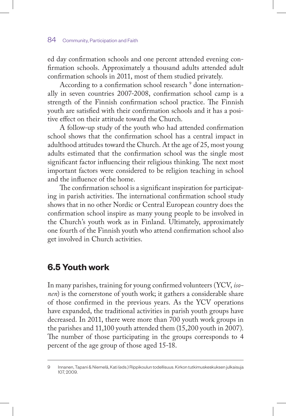ed day confirmation schools and one percent attended evening confirmation schools. Approximately a thousand adults attended adult confirmation schools in 2011, most of them studied privately.

According to a confirmation school research <sup>9</sup> done internationally in seven countries 2007-2008, confirmation school camp is a strength of the Finnish confirmation school practice. The Finnish youth are satisfied with their confirmation schools and it has a positive effect on their attitude toward the Church.

A follow-up study of the youth who had attended confirmation school shows that the confirmation school has a central impact in adulthood attitudes toward the Church. At the age of 25, most young adults estimated that the confirmation school was the single most significant factor influencing their religious thinking. The next most important factors were considered to be religion teaching in school and the influence of the home.

The confirmation school is a significant inspiration for participating in parish activities. The international confirmation school study shows that in no other Nordic or Central European country does the confirmation school inspire as many young people to be involved in the Church's youth work as in Finland. Ultimately, approximately one fourth of the Finnish youth who attend confirmation school also get involved in Church activities.

# **6.5 Youth work**

In many parishes, training for young confirmed volunteers (YCV, *isonen*) is the cornerstone of youth work; it gathers a considerable share of those confirmed in the previous years. As the YCV operations have expanded, the traditional activities in parish youth groups have decreased. In 2011, there were more than 700 youth work groups in the parishes and 11,100 youth attended them (15,200 youth in 2007). The number of those participating in the groups corresponds to 4 percent of the age group of those aged 15-18.

<sup>9</sup> Innanen, Tapani & Niemelä, Kati (eds.) Rippikoulun todellisuus. Kirkon tutkimuskeskuksen julkaisuja 107, 2009.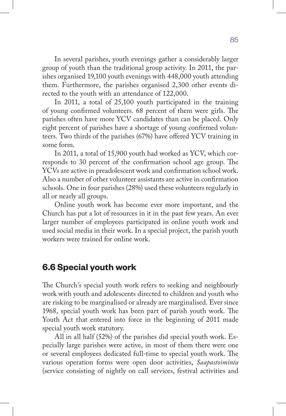In several parishes, youth evenings gather a considerably larger group of youth than the traditional group activity. In 2011, the parishes organised 19,100 youth evenings with 448,000 youth attending them. Furthermore, the parishes organised 2,300 other events directed to the youth with an attendance of 122,000.

In 2011, a total of 25,100 youth participated in the training of young confirmed volunteers. 68 percent of them were girls. The parishes often have more YCV candidates than can be placed. Only eight percent of parishes have a shortage of young confirmed volunteers. Two thirds of the parishes (67%) have offered YCV training in some form.

In 2011, a total of 15,900 youth had worked as YCV, which corresponds to 30 percent of the confirmation school age group. The YCVs are active in preadolescent work and confirmation school work. Also a number of other volunteer assistants are active in confirmation schools. One in four parishes (28%) used these volunteers regularly in all or nearly all groups.

Online youth work has become ever more important, and the Church has put a lot of resources in it in the past few years. An ever larger number of employees participated in online youth work and used social media in their work. In a special project, the parish youth workers were trained for online work.

## **6.6 Special youth work**

The Church's special youth work refers to seeking and neighbourly work with youth and adolescents directed to children and youth who are risking to be marginalised or already are marginalised. Ever since 1968, special youth work has been part of parish youth work. The Youth Act that entered into force in the beginning of 2011 made special youth work statutory.

All in all half (52%) of the parishes did special youth work. Especially large parishes were active, in most of them there were one or several employees dedicated full-time to special youth work. The various operation forms were open door activities, *Saapastoiminta* (service consisting of nightly on call services, festival activities and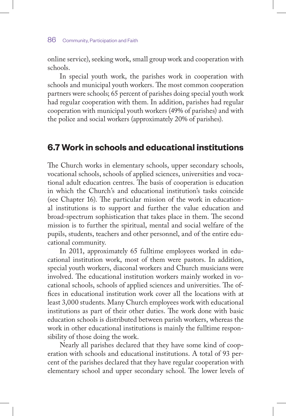online service), seeking work, small group work and cooperation with schools.

In special youth work, the parishes work in cooperation with schools and municipal youth workers. The most common cooperation partners were schools; 65 percent of parishes doing special youth work had regular cooperation with them. In addition, parishes had regular cooperation with municipal youth workers (49% of parishes) and with the police and social workers (approximately 20% of parishes).

## **6.7 Work in schools and educational institutions**

The Church works in elementary schools, upper secondary schools, vocational schools, schools of applied sciences, universities and vocational adult education centres. The basis of cooperation is education in which the Church's and educational institution's tasks coincide (see Chapter 16). The particular mission of the work in educational institutions is to support and further the value education and broad-spectrum sophistication that takes place in them. The second mission is to further the spiritual, mental and social welfare of the pupils, students, teachers and other personnel, and of the entire educational community.

In 2011, approximately 65 fulltime employees worked in educational institution work, most of them were pastors. In addition, special youth workers, diaconal workers and Church musicians were involved. The educational institution workers mainly worked in vocational schools, schools of applied sciences and universities. The offices in educational institution work cover all the locations with at least 3,000 students. Many Church employees work with educational institutions as part of their other duties. The work done with basic education schools is distributed between parish workers, whereas the work in other educational institutions is mainly the fulltime responsibility of those doing the work.

Nearly all parishes declared that they have some kind of cooperation with schools and educational institutions. A total of 93 percent of the parishes declared that they have regular cooperation with elementary school and upper secondary school. The lower levels of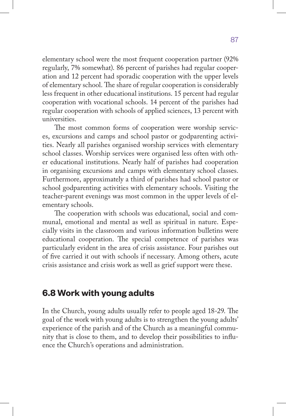elementary school were the most frequent cooperation partner (92% regularly, 7% somewhat). 86 percent of parishes had regular cooperation and 12 percent had sporadic cooperation with the upper levels of elementary school. The share of regular cooperation is considerably less frequent in other educational institutions. 15 percent had regular cooperation with vocational schools. 14 percent of the parishes had regular cooperation with schools of applied sciences, 13 percent with universities.

The most common forms of cooperation were worship services, excursions and camps and school pastor or godparenting activities. Nearly all parishes organised worship services with elementary school classes. Worship services were organised less often with other educational institutions. Nearly half of parishes had cooperation in organising excursions and camps with elementary school classes. Furthermore, approximately a third of parishes had school pastor or school godparenting activities with elementary schools. Visiting the teacher-parent evenings was most common in the upper levels of elementary schools.

The cooperation with schools was educational, social and communal, emotional and mental as well as spiritual in nature. Especially visits in the classroom and various information bulletins were educational cooperation. The special competence of parishes was particularly evident in the area of crisis assistance. Four parishes out of five carried it out with schools if necessary. Among others, acute crisis assistance and crisis work as well as grief support were these.

# **6.8 Work with young adults**

In the Church, young adults usually refer to people aged 18-29. The goal of the work with young adults is to strengthen the young adults' experience of the parish and of the Church as a meaningful community that is close to them, and to develop their possibilities to influence the Church's operations and administration.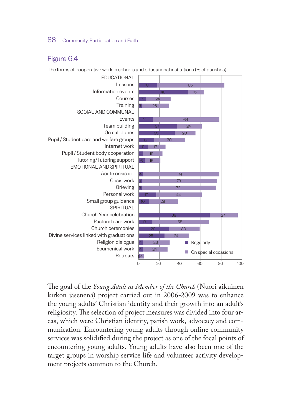#### Figure 6.4



The forms of cooperative work in schools and educational institutions (% of parishes).

The goal of the *Young Adult as Member of the Church* (Nuori aikuinen kirkon jäsenenä) project carried out in 2006-2009 was to enhance the young adults' Christian identity and their growth into an adult's religiosity. The selection of project measures was divided into four areas, which were Christian identity, parish work, advocacy and communication. Encountering young adults through online community services was solidified during the project as one of the focal points of encountering young adults. Young adults have also been one of the target groups in worship service life and volunteer activity development projects common to the Church.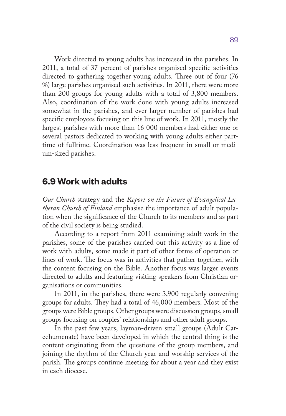Work directed to young adults has increased in the parishes. In 2011, a total of 37 percent of parishes organised specific activities directed to gathering together young adults. Three out of four (76 %) large parishes organised such activities. In 2011, there were more than 200 groups for young adults with a total of 3,800 members. Also, coordination of the work done with young adults increased somewhat in the parishes, and ever larger number of parishes had specific employees focusing on this line of work. In 2011, mostly the largest parishes with more than 16 000 members had either one or several pastors dedicated to working with young adults either parttime of fulltime. Coordination was less frequent in small or medium-sized parishes.

## **6.9 Work with adults**

*Our Church* strategy and the *Report on the Future of Evangelical Lutheran Church of Finland* emphasise the importance of adult population when the significance of the Church to its members and as part of the civil society is being studied.

According to a report from 2011 examining adult work in the parishes, some of the parishes carried out this activity as a line of work with adults, some made it part of other forms of operation or lines of work. The focus was in activities that gather together, with the content focusing on the Bible. Another focus was larger events directed to adults and featuring visiting speakers from Christian organisations or communities.

In 2011, in the parishes, there were 3,900 regularly convening groups for adults. They had a total of 46,000 members. Most of the groups were Bible groups. Other groups were discussion groups, small groups focusing on couples' relationships and other adult groups.

In the past few years, layman-driven small groups (Adult Catechumenate) have been developed in which the central thing is the content originating from the questions of the group members, and joining the rhythm of the Church year and worship services of the parish. The groups continue meeting for about a year and they exist in each diocese.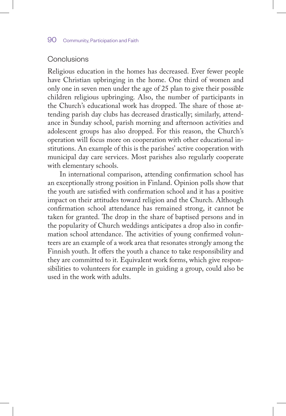#### Conclusions

Religious education in the homes has decreased. Ever fewer people have Christian upbringing in the home. One third of women and only one in seven men under the age of 25 plan to give their possible children religious upbringing. Also, the number of participants in the Church's educational work has dropped. The share of those attending parish day clubs has decreased drastically; similarly, attendance in Sunday school, parish morning and afternoon activities and adolescent groups has also dropped. For this reason, the Church's operation will focus more on cooperation with other educational institutions. An example of this is the parishes' active cooperation with municipal day care services. Most parishes also regularly cooperate with elementary schools.

In international comparison, attending confirmation school has an exceptionally strong position in Finland. Opinion polls show that the youth are satisfied with confirmation school and it has a positive impact on their attitudes toward religion and the Church. Although confirmation school attendance has remained strong, it cannot be taken for granted. The drop in the share of baptised persons and in the popularity of Church weddings anticipates a drop also in confirmation school attendance. The activities of young confirmed volunteers are an example of a work area that resonates strongly among the Finnish youth. It offers the youth a chance to take responsibility and they are committed to it. Equivalent work forms, which give responsibilities to volunteers for example in guiding a group, could also be used in the work with adults.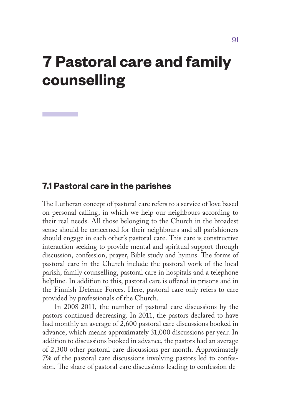# **7 Pastoral care and family counselling**

## **7.1 Pastoral care in the parishes**

The Lutheran concept of pastoral care refers to a service of love based on personal calling, in which we help our neighbours according to their real needs. All those belonging to the Church in the broadest sense should be concerned for their neighbours and all parishioners should engage in each other's pastoral care. This care is constructive interaction seeking to provide mental and spiritual support through discussion, confession, prayer, Bible study and hymns. The forms of pastoral care in the Church include the pastoral work of the local parish, family counselling, pastoral care in hospitals and a telephone helpline. In addition to this, pastoral care is offered in prisons and in the Finnish Defence Forces. Here, pastoral care only refers to care provided by professionals of the Church.

In 2008-2011, the number of pastoral care discussions by the pastors continued decreasing. In 2011, the pastors declared to have had monthly an average of 2,600 pastoral care discussions booked in advance, which means approximately 31,000 discussions per year. In addition to discussions booked in advance, the pastors had an average of 2,300 other pastoral care discussions per month. Approximately 7% of the pastoral care discussions involving pastors led to confession. The share of pastoral care discussions leading to confession de-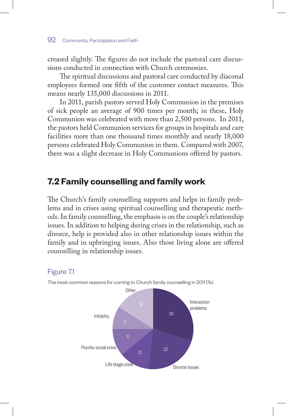creased slightly. The figures do not include the pastoral care discussions conducted in connection with Church ceremonies.

The spiritual discussions and pastoral care conducted by diaconal employees formed one fifth of the customer contact measures. This means nearly 135,000 discussions in 2011.

In 2011, parish pastors served Holy Communion in the premises of sick people an average of 900 times per month; in these, Holy Communion was celebrated with more than 2,500 persons. In 2011, the pastors held Communion services for groups in hospitals and care facilities more than one thousand times monthly and nearly 18,000 persons celebrated Holy Communion in them. Compared with 2007, there was a slight decrease in Holy Communions offered by pastors.

# **7.2 Family counselling and family work**

The Church's family counselling supports and helps in family problems and in crises using spiritual counselling and therapeutic methods. In family counselling, the emphasis is on the couple's relationship issues. In addition to helping during crises in the relationship, such as divorce, help is provided also in other relationship issues within the family and in upbringing issues. Also those living alone are offered counselling in relationship issues.

## Figure 7.1



The most common reasons for coming to Church family counselling in 2011 (%).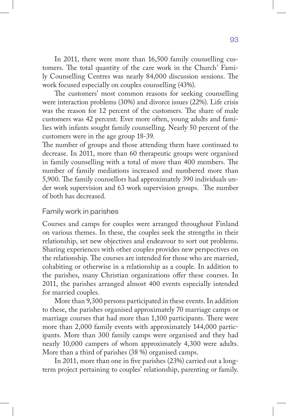In 2011, there were more than 16,500 family counselling customers. The total quantity of the care work in the Church' Family Counselling Centres was nearly 84,000 discussion sessions. The work focused especially on couples counselling (43%).

The customers' most common reasons for seeking counselling were interaction problems (30%) and divorce issues (22%). Life crisis was the reason for 12 percent of the customers. The share of male customers was 42 percent. Ever more often, young adults and families with infants sought family counselling. Nearly 50 percent of the customers were in the age group 18-39.

The number of groups and those attending them have continued to decrease. In 2011, more than 60 therapeutic groups were organised in family counselling with a total of more than 400 members. The number of family mediations increased and numbered more than 5,900. The family counsellors had approximately 390 individuals under work supervision and 63 work supervision groups. The number of both has decreased.

#### Family work in parishes

Courses and camps for couples were arranged throughout Finland on various themes. In these, the couples seek the strengths in their relationship, set new objectives and endeavour to sort out problems. Sharing experiences with other couples provides new perspectives on the relationship. The courses are intended for those who are married, cohabiting or otherwise in a relationship as a couple. In addition to the parishes, many Christian organizations offer these courses. In 2011, the parishes arranged almost 400 events especially intended for married couples.

More than 9,300 persons participated in these events. In addition to these, the parishes organised approximately 70 marriage camps or marriage courses that had more than 1,100 participants. There were more than 2,000 family events with approximately 144,000 participants. More than 300 family camps were organised and they had nearly 10,000 campers of whom approximately 4,300 were adults. More than a third of parishes (38 %) organised camps.

In 2011, more than one in five parishes (23%) carried out a longterm project pertaining to couples' relationship, parenting or family.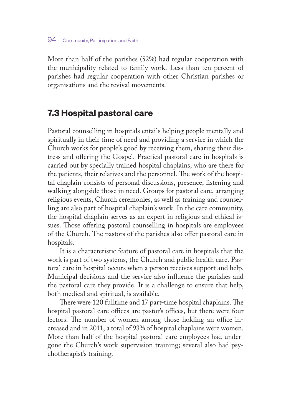More than half of the parishes (52%) had regular cooperation with the municipality related to family work. Less than ten percent of parishes had regular cooperation with other Christian parishes or organisations and the revival movements.

## **7.3 Hospital pastoral care**

Pastoral counselling in hospitals entails helping people mentally and spiritually in their time of need and providing a service in which the Church works for people's good by receiving them, sharing their distress and offering the Gospel. Practical pastoral care in hospitals is carried out by specially trained hospital chaplains, who are there for the patients, their relatives and the personnel. The work of the hospital chaplain consists of personal discussions, presence, listening and walking alongside those in need. Groups for pastoral care, arranging religious events, Church ceremonies, as well as training and counselling are also part of hospital chaplain's work. In the care community, the hospital chaplain serves as an expert in religious and ethical issues. Those offering pastoral counselling in hospitals are employees of the Church. The pastors of the parishes also offer pastoral care in hospitals.

It is a characteristic feature of pastoral care in hospitals that the work is part of two systems, the Church and public health care. Pastoral care in hospital occurs when a person receives support and help. Municipal decisions and the service also influence the parishes and the pastoral care they provide. It is a challenge to ensure that help, both medical and spiritual, is available.

There were 120 fulltime and 17 part-time hospital chaplains. The hospital pastoral care offices are pastor's offices, but there were four lectors. The number of women among those holding an office increased and in 2011, a total of 93% of hospital chaplains were women. More than half of the hospital pastoral care employees had undergone the Church's work supervision training; several also had psychotherapist's training.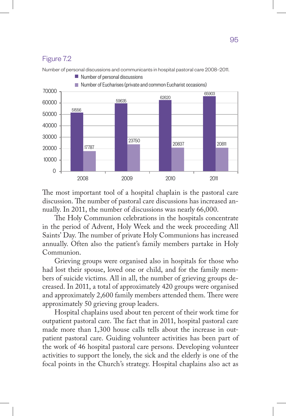#### Figure 7.2



The most important tool of a hospital chaplain is the pastoral care discussion. The number of pastoral care discussions has increased annually. In 2011, the number of discussions was nearly 66,000.

The Holy Communion celebrations in the hospitals concentrate in the period of Advent, Holy Week and the week proceeding All Saints' Day. The number of private Holy Communions has increased annually. Often also the patient's family members partake in Holy Communion.

Grieving groups were organised also in hospitals for those who had lost their spouse, loved one or child, and for the family members of suicide victims. All in all, the number of grieving groups decreased. In 2011, a total of approximately 420 groups were organised and approximately 2,600 family members attended them. There were approximately 50 grieving group leaders.

Hospital chaplains used about ten percent of their work time for outpatient pastoral care. The fact that in 2011, hospital pastoral care made more than 1,300 house calls tells about the increase in outpatient pastoral care. Guiding volunteer activities has been part of the work of 46 hospital pastoral care persons. Developing volunteer activities to support the lonely, the sick and the elderly is one of the focal points in the Church's strategy. Hospital chaplains also act as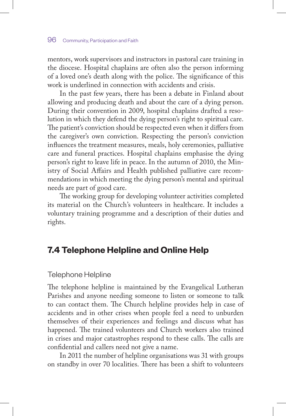mentors, work supervisors and instructors in pastoral care training in the diocese. Hospital chaplains are often also the person informing of a loved one's death along with the police. The significance of this work is underlined in connection with accidents and crisis.

In the past few years, there has been a debate in Finland about allowing and producing death and about the care of a dying person. During their convention in 2009, hospital chaplains drafted a resolution in which they defend the dying person's right to spiritual care. The patient's conviction should be respected even when it differs from the caregiver's own conviction. Respecting the person's conviction influences the treatment measures, meals, holy ceremonies, palliative care and funeral practices. Hospital chaplains emphasise the dying person's right to leave life in peace. In the autumn of 2010, the Ministry of Social Affairs and Health published palliative care recommendations in which meeting the dying person's mental and spiritual needs are part of good care.

The working group for developing volunteer activities completed its material on the Church's volunteers in healthcare. It includes a voluntary training programme and a description of their duties and rights.

# **7.4 Telephone Helpline and Online Help**

#### Telephone Helpline

The telephone helpline is maintained by the Evangelical Lutheran Parishes and anyone needing someone to listen or someone to talk to can contact them. The Church helpline provides help in case of accidents and in other crises when people feel a need to unburden themselves of their experiences and feelings and discuss what has happened. The trained volunteers and Church workers also trained in crises and major catastrophes respond to these calls. The calls are confidential and callers need not give a name.

In 2011 the number of helpline organisations was 31 with groups on standby in over 70 localities. There has been a shift to volunteers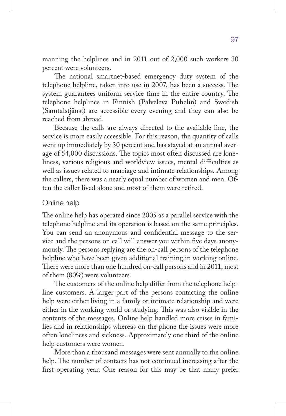manning the helplines and in 2011 out of 2,000 such workers 30 percent were volunteers.

The national smartnet-based emergency duty system of the telephone helpline, taken into use in 2007, has been a success. The system guarantees uniform service time in the entire country. The telephone helplines in Finnish (Palveleva Puhelin) and Swedish (Samtalstjänst) are accessible every evening and they can also be reached from abroad.

Because the calls are always directed to the available line, the service is more easily accessible. For this reason, the quantity of calls went up immediately by 30 percent and has stayed at an annual average of 54,000 discussions. The topics most often discussed are loneliness, various religious and worldview issues, mental difficulties as well as issues related to marriage and intimate relationships. Among the callers, there was a nearly equal number of women and men. Often the caller lived alone and most of them were retired.

#### Online help

The online help has operated since 2005 as a parallel service with the telephone helpline and its operation is based on the same principles. You can send an anonymous and confidential message to the service and the persons on call will answer you within five days anonymously. The persons replying are the on-call persons of the telephone helpline who have been given additional training in working online. There were more than one hundred on-call persons and in 2011, most of them (80%) were volunteers.

The customers of the online help differ from the telephone helpline customers. A larger part of the persons contacting the online help were either living in a family or intimate relationship and were either in the working world or studying. This was also visible in the contents of the messages. Online help handled more crises in families and in relationships whereas on the phone the issues were more often loneliness and sickness. Approximately one third of the online help customers were women.

More than a thousand messages were sent annually to the online help. The number of contacts has not continued increasing after the first operating year. One reason for this may be that many prefer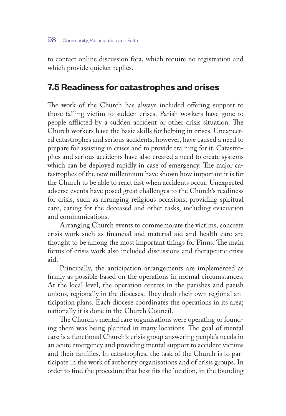to contact online discussion fora, which require no registration and which provide quicker replies.

# **7.5 Readiness for catastrophes and crises**

The work of the Church has always included offering support to those falling victim to sudden crises. Parish workers have gone to people afflicted by a sudden accident or other crisis situation. The Church workers have the basic skills for helping in crises. Unexpected catastrophes and serious accidents, however, have caused a need to prepare for assisting in crises and to provide training for it. Catastrophes and serious accidents have also created a need to create systems which can be deployed rapidly in case of emergency. The major catastrophes of the new millennium have shown how important it is for the Church to be able to react fast when accidents occur. Unexpected adverse events have posed great challenges to the Church's readiness for crisis, such as arranging religious occasions, providing spiritual care, caring for the deceased and other tasks, including evacuation and communications.

Arranging Church events to commemorate the victims, concrete crisis work such as financial and material aid and health care are thought to be among the most important things for Finns. The main forms of crisis work also included discussions and therapeutic crisis aid.

Principally, the anticipation arrangements are implemented as firmly as possible based on the operations in normal circumstances. At the local level, the operation centres in the parishes and parish unions, regionally in the dioceses. They draft their own regional anticipation plans. Each diocese coordinates the operations in its area; nationally it is done in the Church Council.

The Church's mental care organisations were operating or founding them was being planned in many locations. The goal of mental care is a functional Church's crisis group answering people's needs in an acute emergency and providing mental support to accident victims and their families. In catastrophes, the task of the Church is to participate in the work of authority organisations and of crisis groups. In order to find the procedure that best fits the location, in the founding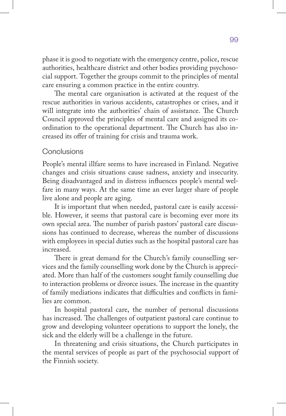phase it is good to negotiate with the emergency centre, police, rescue authorities, healthcare district and other bodies providing psychosocial support. Together the groups commit to the principles of mental care ensuring a common practice in the entire country.

The mental care organisation is activated at the request of the rescue authorities in various accidents, catastrophes or crises, and it will integrate into the authorities' chain of assistance. The Church Council approved the principles of mental care and assigned its coordination to the operational department. The Church has also increased its offer of training for crisis and trauma work.

#### **Conclusions**

People's mental illfare seems to have increased in Finland. Negative changes and crisis situations cause sadness, anxiety and insecurity. Being disadvantaged and in distress influences people's mental welfare in many ways. At the same time an ever larger share of people live alone and people are aging.

It is important that when needed, pastoral care is easily accessible. However, it seems that pastoral care is becoming ever more its own special area. The number of parish pastors' pastoral care discussions has continued to decrease, whereas the number of discussions with employees in special duties such as the hospital pastoral care has increased.

There is great demand for the Church's family counselling services and the family counselling work done by the Church is appreciated. More than half of the customers sought family counselling due to interaction problems or divorce issues. The increase in the quantity of family mediations indicates that difficulties and conflicts in families are common.

In hospital pastoral care, the number of personal discussions has increased. The challenges of outpatient pastoral care continue to grow and developing volunteer operations to support the lonely, the sick and the elderly will be a challenge in the future.

In threatening and crisis situations, the Church participates in the mental services of people as part of the psychosocial support of the Finnish society.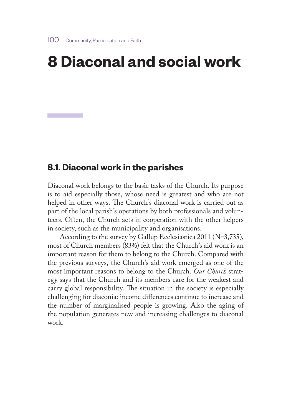# **8 Diaconal and social work**

## **8.1. Diaconal work in the parishes**

Diaconal work belongs to the basic tasks of the Church. Its purpose is to aid especially those, whose need is greatest and who are not helped in other ways. The Church's diaconal work is carried out as part of the local parish's operations by both professionals and volunteers. Often, the Church acts in cooperation with the other helpers in society, such as the municipality and organisations.

According to the survey by Gallup Ecclesiastica 2011 (N=3,735), most of Church members (83%) felt that the Church's aid work is an important reason for them to belong to the Church. Compared with the previous surveys, the Church's aid work emerged as one of the most important reasons to belong to the Church. *Our Church* strategy says that the Church and its members care for the weakest and carry global responsibility. The situation in the society is especially challenging for diaconia: income differences continue to increase and the number of marginalised people is growing. Also the aging of the population generates new and increasing challenges to diaconal work.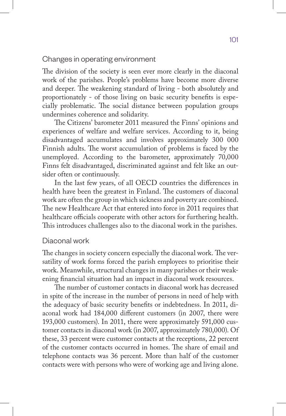Changes in operating environment

The division of the society is seen ever more clearly in the diaconal work of the parishes. People's problems have become more diverse and deeper. The weakening standard of living - both absolutely and proportionately - of those living on basic security benefits is especially problematic. The social distance between population groups undermines coherence and solidarity.

The Citizens' barometer 2011 measured the Finns' opinions and experiences of welfare and welfare services. According to it, being disadvantaged accumulates and involves approximately 300 000 Finnish adults. The worst accumulation of problems is faced by the unemployed. According to the barometer, approximately 70,000 Finns felt disadvantaged, discriminated against and felt like an outsider often or continuously.

In the last few years, of all OECD countries the differences in health have been the greatest in Finland. The customers of diaconal work are often the group in which sickness and poverty are combined. The new Healthcare Act that entered into force in 2011 requires that healthcare officials cooperate with other actors for furthering health. This introduces challenges also to the diaconal work in the parishes.

#### Diaconal work

The changes in society concern especially the diaconal work. The versatility of work forms forced the parish employees to prioritise their work. Meanwhile, structural changes in many parishes or their weakening financial situation had an impact in diaconal work resources.

The number of customer contacts in diaconal work has decreased in spite of the increase in the number of persons in need of help with the adequacy of basic security benefits or indebtedness. In 2011, diaconal work had 184,000 different customers (in 2007, there were 193,000 customers). In 2011, there were approximately 591,000 customer contacts in diaconal work (in 2007, approximately 780,000). Of these, 33 percent were customer contacts at the receptions, 22 percent of the customer contacts occurred in homes. The share of email and telephone contacts was 36 percent. More than half of the customer contacts were with persons who were of working age and living alone.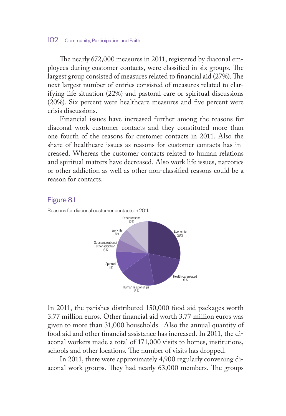The nearly 672,000 measures in 2011, registered by diaconal employees during customer contacts, were classified in six groups. The largest group consisted of measures related to financial aid (27%). The next largest number of entries consisted of measures related to clarifying life situation (22%) and pastoral care or spiritual discussions (20%). Six percent were healthcare measures and five percent were crisis discussions.

Financial issues have increased further among the reasons for diaconal work customer contacts and they constituted more than one fourth of the reasons for customer contacts in 2011. Also the share of healthcare issues as reasons for customer contacts has increased. Whereas the customer contacts related to human relations and spiritual matters have decreased. Also work life issues, narcotics or other addiction as well as other non-classified reasons could be a reason for contacts.

#### Figure 8.1



Reasons for diaconal customer contacts in 2011.

In 2011, the parishes distributed 150,000 food aid packages worth 3.77 million euros. Other financial aid worth 3.77 million euros was given to more than 31,000 households. Also the annual quantity of food aid and other financial assistance has increased. In 2011, the diaconal workers made a total of 171,000 visits to homes, institutions, schools and other locations. The number of visits has dropped.

In 2011, there were approximately 4,900 regularly convening diaconal work groups. They had nearly 63,000 members. The groups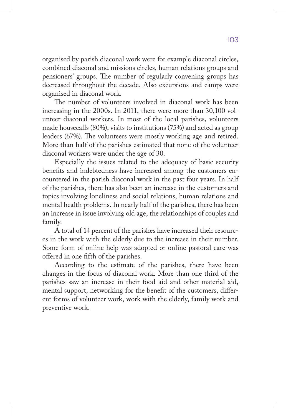organised by parish diaconal work were for example diaconal circles, combined diaconal and missions circles, human relations groups and pensioners' groups. The number of regularly convening groups has decreased throughout the decade. Also excursions and camps were organised in diaconal work.

The number of volunteers involved in diaconal work has been increasing in the 2000s. In 2011, there were more than 30,100 volunteer diaconal workers. In most of the local parishes, volunteers made housecalls (80%), visits to institutions (75%) and acted as group leaders (67%). The volunteers were mostly working age and retired. More than half of the parishes estimated that none of the volunteer diaconal workers were under the age of 30.

Especially the issues related to the adequacy of basic security benefits and indebtedness have increased among the customers encountered in the parish diaconal work in the past four years. In half of the parishes, there has also been an increase in the customers and topics involving loneliness and social relations, human relations and mental health problems. In nearly half of the parishes, there has been an increase in issue involving old age, the relationships of couples and family.

A total of 14 percent of the parishes have increased their resources in the work with the elderly due to the increase in their number. Some form of online help was adopted or online pastoral care was offered in one fifth of the parishes.

According to the estimate of the parishes, there have been changes in the focus of diaconal work. More than one third of the parishes saw an increase in their food aid and other material aid, mental support, networking for the benefit of the customers, different forms of volunteer work, work with the elderly, family work and preventive work.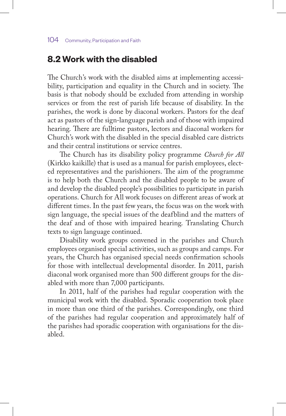# **8.2 Work with the disabled**

The Church's work with the disabled aims at implementing accessibility, participation and equality in the Church and in society. The basis is that nobody should be excluded from attending in worship services or from the rest of parish life because of disability. In the parishes, the work is done by diaconal workers. Pastors for the deaf act as pastors of the sign-language parish and of those with impaired hearing. There are fulltime pastors, lectors and diaconal workers for Church's work with the disabled in the special disabled care districts and their central institutions or service centres.

The Church has its disability policy programme *Church for All*  (Kirkko kaikille) that is used as a manual for parish employees, elected representatives and the parishioners. The aim of the programme is to help both the Church and the disabled people to be aware of and develop the disabled people's possibilities to participate in parish operations. Church for All work focuses on different areas of work at different times. In the past few years, the focus was on the work with sign language, the special issues of the deafblind and the matters of the deaf and of those with impaired hearing. Translating Church texts to sign language continued.

Disability work groups convened in the parishes and Church employees organised special activities, such as groups and camps. For years, the Church has organised special needs confirmation schools for those with intellectual developmental disorder. In 2011, parish diaconal work organised more than 500 different groups for the disabled with more than 7,000 participants.

In 2011, half of the parishes had regular cooperation with the municipal work with the disabled. Sporadic cooperation took place in more than one third of the parishes. Correspondingly, one third of the parishes had regular cooperation and approximately half of the parishes had sporadic cooperation with organisations for the disabled.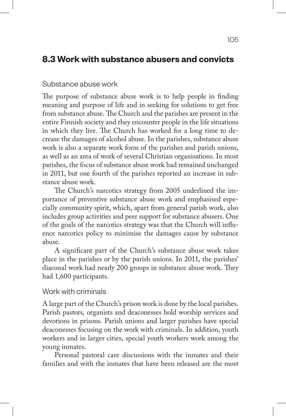# **8.3 Work with substance abusers and convicts**

#### Substance abuse work

The purpose of substance abuse work is to help people in finding meaning and purpose of life and in seeking for solutions to get free from substance abuse. The Church and the parishes are present in the entire Finnish society and they encounter people in the life situations in which they live. The Church has worked for a long time to decrease the damages of alcohol abuse. In the parishes, substance abuse work is also a separate work form of the parishes and parish unions, as well as an area of work of several Christian organisations. In most parishes, the focus of substance abuse work had remained unchanged in 2011, but one fourth of the parishes reported an increase in substance abuse work.

The Church's narcotics strategy from 2005 underlined the importance of preventive substance abuse work and emphasised especially community spirit, which, apart from general parish work, also includes group activities and peer support for substance abusers. One of the goals of the narcotics strategy was that the Church will influence narcotics policy to minimise the damages cause by substance abuse.

A significant part of the Church's substance abuse work takes place in the parishes or by the parish unions. In 2011, the parishes' diaconal work had nearly 200 groups in substance abuse work. They had 1,600 participants.

#### Work with criminals

A large part of the Church's prison work is done by the local parishes. Parish pastors, organists and deaconesses hold worship services and devotions in prisons. Parish unions and larger parishes have special deaconesses focusing on the work with criminals. In addition, youth workers and in larger cities, special youth workers work among the young inmates.

Personal pastoral care discussions with the inmates and their families and with the inmates that have been released are the most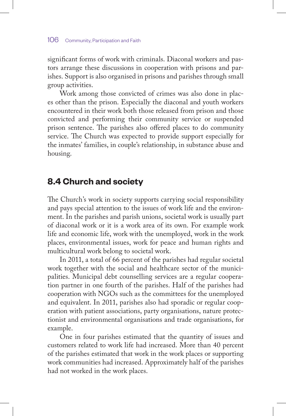significant forms of work with criminals. Diaconal workers and pastors arrange these discussions in cooperation with prisons and parishes. Support is also organised in prisons and parishes through small group activities.

Work among those convicted of crimes was also done in places other than the prison. Especially the diaconal and youth workers encountered in their work both those released from prison and those convicted and performing their community service or suspended prison sentence. The parishes also offered places to do community service. The Church was expected to provide support especially for the inmates' families, in couple's relationship, in substance abuse and housing.

# **8.4 Church and society**

The Church's work in society supports carrying social responsibility and pays special attention to the issues of work life and the environment. In the parishes and parish unions, societal work is usually part of diaconal work or it is a work area of its own. For example work life and economic life, work with the unemployed, work in the work places, environmental issues, work for peace and human rights and multicultural work belong to societal work.

In 2011, a total of 66 percent of the parishes had regular societal work together with the social and healthcare sector of the municipalities. Municipal debt counselling services are a regular cooperation partner in one fourth of the parishes. Half of the parishes had cooperation with NGOs such as the committees for the unemployed and equivalent. In 2011, parishes also had sporadic or regular cooperation with patient associations, party organisations, nature protectionist and environmental organisations and trade organisations, for example.

One in four parishes estimated that the quantity of issues and customers related to work life had increased. More than 40 percent of the parishes estimated that work in the work places or supporting work communities had increased. Approximately half of the parishes had not worked in the work places.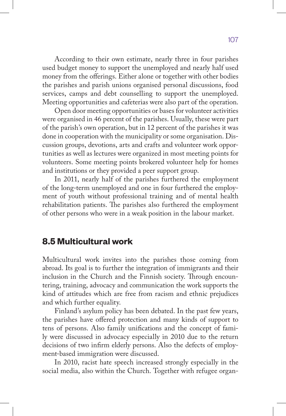According to their own estimate, nearly three in four parishes used budget money to support the unemployed and nearly half used money from the offerings. Either alone or together with other bodies the parishes and parish unions organised personal discussions, food services, camps and debt counselling to support the unemployed. Meeting opportunities and cafeterias were also part of the operation.

Open door meeting opportunities or bases for volunteer activities were organised in 46 percent of the parishes. Usually, these were part of the parish's own operation, but in 12 percent of the parishes it was done in cooperation with the municipality or some organisation. Discussion groups, devotions, arts and crafts and volunteer work opportunities as well as lectures were organized in most meeting points for volunteers. Some meeting points brokered volunteer help for homes and institutions or they provided a peer support group.

In 2011, nearly half of the parishes furthered the employment of the long-term unemployed and one in four furthered the employment of youth without professional training and of mental health rehabilitation patients. The parishes also furthered the employment of other persons who were in a weak position in the labour market.

## **8.5 Multicultural work**

Multicultural work invites into the parishes those coming from abroad. Its goal is to further the integration of immigrants and their inclusion in the Church and the Finnish society. Through encountering, training, advocacy and communication the work supports the kind of attitudes which are free from racism and ethnic prejudices and which further equality.

Finland's asylum policy has been debated. In the past few years, the parishes have offered protection and many kinds of support to tens of persons. Also family unifications and the concept of family were discussed in advocacy especially in 2010 due to the return decisions of two infirm elderly persons. Also the defects of employment-based immigration were discussed.

In 2010, racist hate speech increased strongly especially in the social media, also within the Church. Together with refugee organ-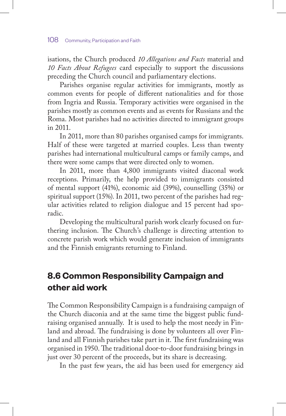isations, the Church produced *10 Allegations and Facts* material and *10 Facts About Refugees* card especially to support the discussions preceding the Church council and parliamentary elections.

Parishes organise regular activities for immigrants, mostly as common events for people of different nationalities and for those from Ingria and Russia. Temporary activities were organised in the parishes mostly as common events and as events for Russians and the Roma. Most parishes had no activities directed to immigrant groups in 2011.

In 2011, more than 80 parishes organised camps for immigrants. Half of these were targeted at married couples. Less than twenty parishes had international multicultural camps or family camps, and there were some camps that were directed only to women.

In 2011, more than 4,800 immigrants visited diaconal work receptions. Primarily, the help provided to immigrants consisted of mental support (41%), economic aid (39%), counselling (35%) or spiritual support (15%). In 2011, two percent of the parishes had regular activities related to religion dialogue and 15 percent had sporadic.

Developing the multicultural parish work clearly focused on furthering inclusion. The Church's challenge is directing attention to concrete parish work which would generate inclusion of immigrants and the Finnish emigrants returning to Finland.

# **8.6 Common Responsibility Campaign and other aid work**

The Common Responsibility Campaign is a fundraising campaign of the Church diaconia and at the same time the biggest public fundraising organised annually. It is used to help the most needy in Finland and abroad. The fundraising is done by volunteers all over Finland and all Finnish parishes take part in it. The first fundraising was organised in 1950. The traditional door-to-door fundraising brings in just over 30 percent of the proceeds, but its share is decreasing.

In the past few years, the aid has been used for emergency aid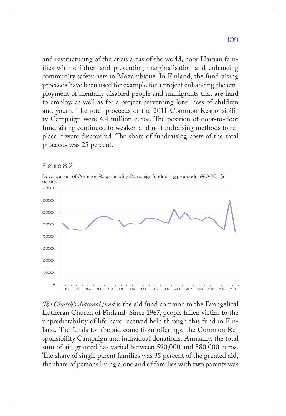and restructuring of the crisis areas of the world, poor Haitian families with children and preventing marginalisation and enhancing community safety nets in Mozambique. In Finland, the fundraising proceeds have been used for example for a project enhancing the employment of mentally disabled people and immigrants that are hard to employ, as well as for a project preventing loneliness of children and youth. The total proceeds of the 2011 Common Responsibility Campaign were 4.4 million euros. The position of door-to-door fundraising continued to weaken and no fundraising methods to replace it were discovered. The share of fundraising costs of the total proceeds was 25 percent.

#### Figure 8.2

Development of Common Responsibility Campaign fundraising proceeds 1980-2011 (in euros).



*The Church's diaconal fund* is the aid fund common to the Evangelical Lutheran Church of Finland*.* Since 1967, people fallen victim to the unpredictability of life have received help through this fund in Finland. The funds for the aid come from offerings, the Common Responsibility Campaign and individual donations. Annually, the total sum of aid granted has varied between 590,000 and 880,000 euros. The share of single parent families was 35 percent of the granted aid, the share of persons living alone and of families with two parents was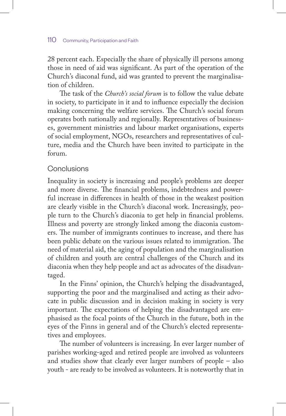28 percent each. Especially the share of physically ill persons among those in need of aid was significant. As part of the operation of the Church's diaconal fund, aid was granted to prevent the marginalisation of children.

The task of the *Church's social forum* is to follow the value debate in society, to participate in it and to influence especially the decision making concerning the welfare services. The Church's social forum operates both nationally and regionally. Representatives of businesses, government ministries and labour market organisations, experts of social employment, NGOs, researchers and representatives of culture, media and the Church have been invited to participate in the forum.

## **Conclusions**

Inequality in society is increasing and people's problems are deeper and more diverse. The financial problems, indebtedness and powerful increase in differences in health of those in the weakest position are clearly visible in the Church's diaconal work. Increasingly, people turn to the Church's diaconia to get help in financial problems. Illness and poverty are strongly linked among the diaconia customers. The number of immigrants continues to increase, and there has been public debate on the various issues related to immigration. The need of material aid, the aging of population and the marginalisation of children and youth are central challenges of the Church and its diaconia when they help people and act as advocates of the disadvantaged.

In the Finns' opinion, the Church's helping the disadvantaged, supporting the poor and the marginalised and acting as their advocate in public discussion and in decision making in society is very important. The expectations of helping the disadvantaged are emphasised as the focal points of the Church in the future, both in the eyes of the Finns in general and of the Church's elected representatives and employees.

The number of volunteers is increasing. In ever larger number of parishes working-aged and retired people are involved as volunteers and studies show that clearly ever larger numbers of people – also youth - are ready to be involved as volunteers. It is noteworthy that in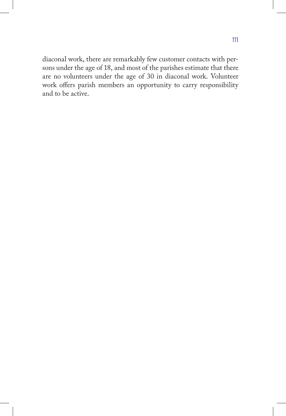diaconal work, there are remarkably few customer contacts with persons under the age of 18, and most of the parishes estimate that there are no volunteers under the age of 30 in diaconal work. Volunteer work offers parish members an opportunity to carry responsibility and to be active.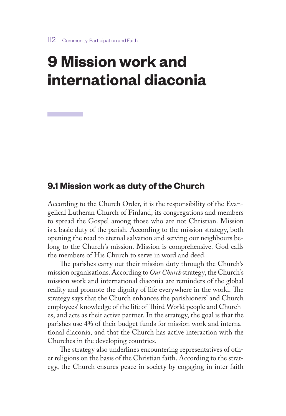# **9 Mission work and international diaconia**

## **9.1 Mission work as duty of the Church**

According to the Church Order, it is the responsibility of the Evangelical Lutheran Church of Finland, its congregations and members to spread the Gospel among those who are not Christian. Mission is a basic duty of the parish. According to the mission strategy, both opening the road to eternal salvation and serving our neighbours belong to the Church's mission. Mission is comprehensive. God calls the members of His Church to serve in word and deed.

The parishes carry out their mission duty through the Church's mission organisations. According to *Our Church* strategy, the Church's mission work and international diaconia are reminders of the global reality and promote the dignity of life everywhere in the world. The strategy says that the Church enhances the parishioners' and Church employees' knowledge of the life of Third World people and Churches, and acts as their active partner. In the strategy, the goal is that the parishes use 4% of their budget funds for mission work and international diaconia, and that the Church has active interaction with the Churches in the developing countries.

The strategy also underlines encountering representatives of other religions on the basis of the Christian faith. According to the strategy, the Church ensures peace in society by engaging in inter-faith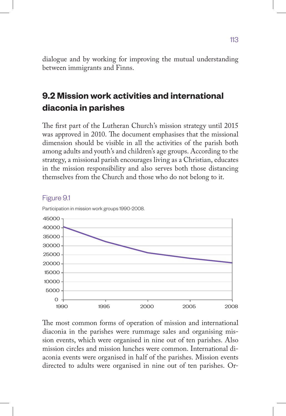dialogue and by working for improving the mutual understanding between immigrants and Finns.

# **9.2 Mission work activities and international diaconia in parishes**

The first part of the Lutheran Church's mission strategy until 2015 was approved in 2010. The document emphasises that the missional dimension should be visible in all the activities of the parish both among adults and youth's and children's age groups. According to the strategy, a missional parish encourages living as a Christian, educates in the mission responsibility and also serves both those distancing themselves from the Church and those who do not belong to it.



#### Figure 9.1

The most common forms of operation of mission and international diaconia in the parishes were rummage sales and organising mission events, which were organised in nine out of ten parishes. Also mission circles and mission lunches were common. International diaconia events were organised in half of the parishes. Mission events directed to adults were organised in nine out of ten parishes. Or-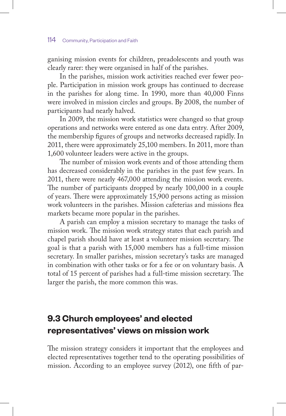#### 114 Community, Participation and Faith

ganising mission events for children, preadolescents and youth was clearly rarer: they were organised in half of the parishes.

In the parishes, mission work activities reached ever fewer people. Participation in mission work groups has continued to decrease in the parishes for along time. In 1990, more than 40,000 Finns were involved in mission circles and groups. By 2008, the number of participants had nearly halved.

In 2009, the mission work statistics were changed so that group operations and networks were entered as one data entry. After 2009, the membership figures of groups and networks decreased rapidly. In 2011, there were approximately 25,100 members. In 2011, more than 1,600 volunteer leaders were active in the groups.

The number of mission work events and of those attending them has decreased considerably in the parishes in the past few years. In 2011, there were nearly 467,000 attending the mission work events. The number of participants dropped by nearly 100,000 in a couple of years. There were approximately 15,900 persons acting as mission work volunteers in the parishes. Mission cafeterias and missions flea markets became more popular in the parishes.

A parish can employ a mission secretary to manage the tasks of mission work. The mission work strategy states that each parish and chapel parish should have at least a volunteer mission secretary. The goal is that a parish with 15,000 members has a full-time mission secretary. In smaller parishes, mission secretary's tasks are managed in combination with other tasks or for a fee or on voluntary basis. A total of 15 percent of parishes had a full-time mission secretary. The larger the parish, the more common this was.

# **9.3 Church employees' and elected representatives' views on mission work**

The mission strategy considers it important that the employees and elected representatives together tend to the operating possibilities of mission. According to an employee survey (2012), one fifth of par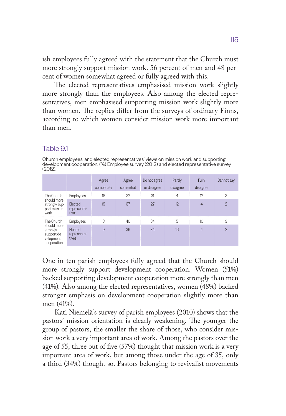ish employees fully agreed with the statement that the Church must more strongly support mission work. 56 percent of men and 48 percent of women somewhat agreed or fully agreed with this.

The elected representatives emphasised mission work slightly more strongly than the employees. Also among the elected representatives, men emphasised supporting mission work slightly more than women. The replies differ from the surveys of ordinary Finns, according to which women consider mission work more important than men.

#### Table 9.1

Church employees' and elected representatives' views on mission work and supporting development cooperation. (%) Employee survey (2012) and elected representative survey (2012).

|                                                                                  |                                 | Agree<br>completely | Agree<br>somewhat | Do not agree<br>or disagree | Partly<br>disagree | Fully<br>disagree | Cannot say     |
|----------------------------------------------------------------------------------|---------------------------------|---------------------|-------------------|-----------------------------|--------------------|-------------------|----------------|
| The Church<br>should more<br>strongly sup-<br>port mission<br>work               | <b>Employees</b>                | 18                  | 32                | 31                          | $\overline{4}$     | 12                | 3              |
|                                                                                  | Elected<br>representa-<br>tives | 19                  | 37                | 27                          | 12                 | $\overline{4}$    | $\overline{2}$ |
| The Church<br>should more<br>strongly<br>support de-<br>velopment<br>cooperation | Employees                       | 8                   | 40                | 34                          | 5                  | 10                | 3              |
|                                                                                  | Elected<br>representa-<br>tives | 9                   | 36                | 34                          | 16                 | $\overline{4}$    | $\overline{2}$ |

One in ten parish employees fully agreed that the Church should more strongly support development cooperation. Women (51%) backed supporting development cooperation more strongly than men (41%). Also among the elected representatives, women (48%) backed stronger emphasis on development cooperation slightly more than men (41%).

Kati Niemelä's survey of parish employees (2010) shows that the pastors' mission orientation is clearly weakening. The younger the group of pastors, the smaller the share of those, who consider mission work a very important area of work. Among the pastors over the age of 55, three out of five (57%) thought that mission work is a very important area of work, but among those under the age of 35, only a third (34%) thought so. Pastors belonging to revivalist movements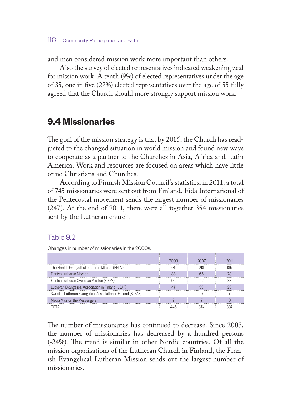and men considered mission work more important than others.

Also the survey of elected representatives indicated weakening zeal for mission work. A tenth (9%) of elected representatives under the age of 35, one in five (22%) elected representatives over the age of 55 fully agreed that the Church should more strongly support mission work.

# **9.4 Missionaries**

The goal of the mission strategy is that by 2015, the Church has readjusted to the changed situation in world mission and found new ways to cooperate as a partner to the Churches in Asia, Africa and Latin America. Work and resources are focused on areas which have little or no Christians and Churches.

According to Finnish Mission Council's statistics, in 2011, a total of 745 missionaries were sent out from Finland. Fida International of the Pentecostal movement sends the largest number of missionaries (247). At the end of 2011, there were all together 354 missionaries sent by the Lutheran church.

#### Table 9.2

Changes in number of missionaries in the 2000s.

|                                                             | 2003 | 2007 | 2011 |
|-------------------------------------------------------------|------|------|------|
| The Finnish Evangelical Lutheran Mission (FELM)             | 239  | 218  | 185  |
| <b>Finnish Lutheran Mission</b>                             | 88   | 65   | 73   |
| Finnish Lutheran Overseas Mission (FLOM)                    | 56   | 42   | 38   |
| Lutheran Evangelical Association in Finland (LEAF)          |      | 33   | 28   |
| Swedish Lutheran Evangelical Association in Finland (SLEAF) |      |      |      |
| Media Mission the Messengers                                |      |      |      |
| ΤΩΤΑΙ                                                       |      | 374  |      |

The number of missionaries has continued to decrease. Since 2003, the number of missionaries has decreased by a hundred persons (-24%). The trend is similar in other Nordic countries. Of all the mission organisations of the Lutheran Church in Finland, the Finnish Evangelical Lutheran Mission sends out the largest number of missionaries.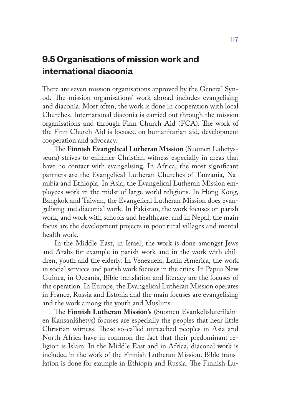# **9.5 Organisations of mission work and international diaconia**

There are seven mission organisations approved by the General Synod. The mission organisations' work abroad includes evangelising and diaconia. Most often, the work is done in cooperation with local Churches. International diaconia is carried out through the mission organisations and through Finn Church Aid (FCA). The work of the Finn Church Aid is focused on humanitarian aid, development cooperation and advocacy.

The **Finnish Evangelical Lutheran Mission** (Suomen Lähetysseura) strives to enhance Christian witness especially in areas that have no contact with evangelising. In Africa, the most significant partners are the Evangelical Lutheran Churches of Tanzania, Namibia and Ethiopia. In Asia, the Evangelical Lutheran Mission employees work in the midst of large world religions. In Hong Kong, Bangkok and Taiwan, the Evangelical Lutheran Mission does evangelising and diaconial work. In Pakistan, the work focuses on parish work, and work with schools and healthcare, and in Nepal, the main focus are the development projects in poor rural villages and mental health work.

In the Middle East, in Israel, the work is done amongst Jews and Arabs for example in parish work and in the work with children, youth and the elderly. In Venezuela, Latin America, the work in social services and parish work focuses in the cities. In Papua New Guinea, in Oceania, Bible translation and literacy are the focuses of the operation. In Europe, the Evangelical Lutheran Mission operates in France, Russia and Estonia and the main focuses are evangelising and the work among the youth and Muslims.

The **Finnish Lutheran Mission's** (Suomen Evankelisluterilainen Kansanlähetys) focuses are especially the peoples that hear little Christian witness. These so-called unreached peoples in Asia and North Africa have in common the fact that their predominant religion is Islam. In the Middle East and in Africa, diaconal work is included in the work of the Finnish Lutheran Mission. Bible translation is done for example in Ethiopia and Russia. The Finnish Lu-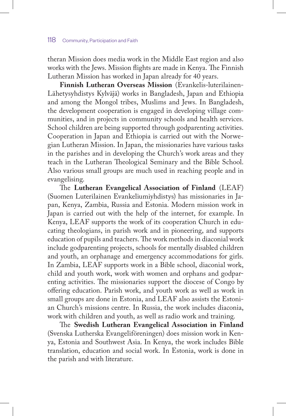theran Mission does media work in the Middle East region and also works with the Jews. Mission flights are made in Kenya. The Finnish Lutheran Mission has worked in Japan already for 40 years.

**Finnish Lutheran Overseas Mission** (Evankelis-luterilainen-Lähetysyhdistys Kylväjä) works in Bangladesh, Japan and Ethiopia and among the Mongol tribes, Muslims and Jews. In Bangladesh, the development cooperation is engaged in developing village communities, and in projects in community schools and health services. School children are being supported through godparenting activities. Cooperation in Japan and Ethiopia is carried out with the Norwegian Lutheran Mission. In Japan, the missionaries have various tasks in the parishes and in developing the Church's work areas and they teach in the Lutheran Theological Seminary and the Bible School. Also various small groups are much used in reaching people and in evangelising.

The **Lutheran Evangelical Association of Finland** (LEAF) (Suomen Luterilainen Evankeliumiyhdistys) has missionaries in Japan, Kenya, Zambia, Russia and Estonia. Modern mission work in Japan is carried out with the help of the internet, for example. In Kenya, LEAF supports the work of its cooperation Church in educating theologians, in parish work and in pioneering, and supports education of pupils and teachers. The work methods in diaconial work include godparenting projects, schools for mentally disabled children and youth, an orphanage and emergency accommodations for girls. In Zambia, LEAF supports work in a Bible school, diaconial work, child and youth work, work with women and orphans and godparenting activities. The missionaries support the diocese of Congo by offering education. Parish work, and youth work as well as work in small groups are done in Estonia, and LEAF also assists the Estonian Church's missions centre. In Russia, the work includes diaconia, work with children and youth, as well as radio work and training.

The **Swedish Lutheran Evangelical Association in Finland** (Svenska Lutherska Evangeliföreningen) does mission work in Kenya, Estonia and Southwest Asia. In Kenya, the work includes Bible translation, education and social work. In Estonia, work is done in the parish and with literature.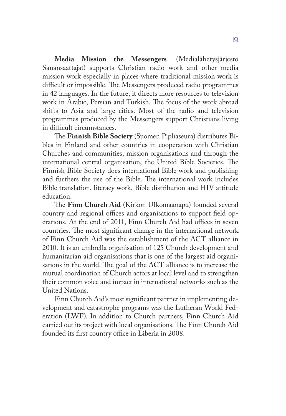**Media Mission the Messengers** (Medialähetysjärjestö Sanansaattajat) supports Christian radio work and other media mission work especially in places where traditional mission work is difficult or impossible. The Messengers produced radio programmes in 42 languages. In the future, it directs more resources to television work in Arabic, Persian and Turkish. The focus of the work abroad shifts to Asia and large cities. Most of the radio and television programmes produced by the Messengers support Christians living in difficult circumstances.

The **Finnish Bible Society** (Suomen Pipliaseura) distributes Bibles in Finland and other countries in cooperation with Christian Churches and communities, mission organisations and through the international central organisation, the United Bible Societies. The Finnish Bible Society does international Bible work and publishing and furthers the use of the Bible. The international work includes Bible translation, literacy work, Bible distribution and HIV attitude education.

The **Finn Church Aid** (Kirkon Ulkomaanapu) founded several country and regional offices and organisations to support field operations. At the end of 2011, Finn Church Aid had offices in seven countries. The most significant change in the international network of Finn Church Aid was the establishment of the ACT alliance in 2010. It is an umbrella organisation of 125 Church development and humanitarian aid organisations that is one of the largest aid organisations in the world. The goal of the ACT alliance is to increase the mutual coordination of Church actors at local level and to strengthen their common voice and impact in international networks such as the United Nations.

Finn Church Aid's most significant partner in implementing development and catastrophe programs was the Lutheran World Federation (LWF). In addition to Church partners, Finn Church Aid carried out its project with local organisations. The Finn Church Aid founded its first country office in Liberia in 2008.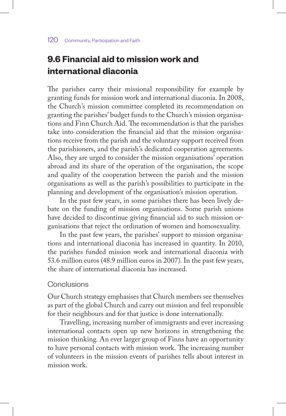# **9.6 Financial aid to mission work and international diaconia**

The parishes carry their missional responsibility for example by granting funds for mission work and international diaconia. In 2008, the Church's mission committee completed its recommendation on granting the parishes' budget funds to the Church's mission organisations and Finn Church Aid. The recommendation is that the parishes take into consideration the financial aid that the mission organisations receive from the parish and the voluntary support received from the parishioners, and the parish's dedicated cooperation agreements. Also, they are urged to consider the mission organisations' operation abroad and its share of the operation of the organisation, the scope and quality of the cooperation between the parish and the mission organisations as well as the parish's possibilities to participate in the planning and development of the organisation's mission operation.

In the past few years, in some parishes there has been lively debate on the funding of mission organisations. Some parish unions have decided to discontinue giving financial aid to such mission organisations that reject the ordination of women and homosexuality.

In the past few years, the parishes' support to mission organisations and international diaconia has increased in quantity. In 2010, the parishes funded mission work and international diaconia with 53.6 million euros (48.9 million euros in 2007). In the past few years, the share of international diaconia has increased.

#### Conclusions

Our Church strategy emphasises that Church members see themselves as part of the global Church and carry out mission and feel responsible for their neighbours and for that justice is done internationally.

Travelling, increasing number of immigrants and ever increasing international contacts open up new horizons in strengthening the mission thinking. An ever larger group of Finns have an opportunity to have personal contacts with mission work. The increasing number of volunteers in the mission events of parishes tells about interest in mission work.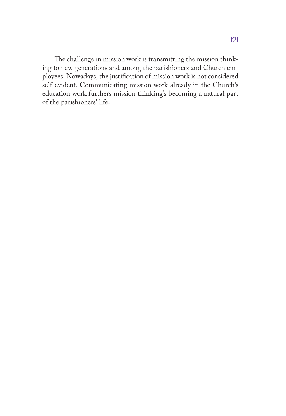The challenge in mission work is transmitting the mission thinking to new generations and among the parishioners and Church employees. Nowadays, the justification of mission work is not considered self-evident. Communicating mission work already in the Church's education work furthers mission thinking's becoming a natural part of the parishioners' life.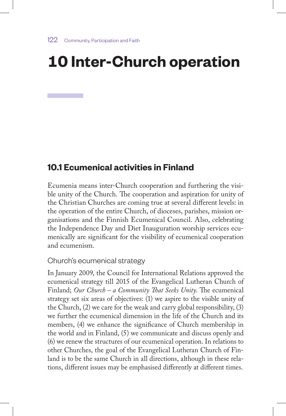# **10 Inter-Church operation**

# **10.1 Ecumenical activities in Finland**

Ecumenia means inter-Church cooperation and furthering the visible unity of the Church. The cooperation and aspiration for unity of the Christian Churches are coming true at several different levels: in the operation of the entire Church, of dioceses, parishes, mission organisations and the Finnish Ecumenical Council. Also, celebrating the Independence Day and Diet Inauguration worship services ecumenically are significant for the visibility of ecumenical cooperation and ecumenism.

#### Church's ecumenical strategy

In January 2009, the Council for International Relations approved the ecumenical strategy till 2015 of the Evangelical Lutheran Church of Finland; *Our Church – a Community That Seeks Unity.* The ecumenical strategy set six areas of objectives: (1) we aspire to the visible unity of the Church, (2) we care for the weak and carry global responsibility, (3) we further the ecumenical dimension in the life of the Church and its members, (4) we enhance the significance of Church membership in the world and in Finland, (5) we communicate and discuss openly and (6) we renew the structures of our ecumenical operation. In relations to other Churches, the goal of the Evangelical Lutheran Church of Finland is to be the same Church in all directions, although in these relations, different issues may be emphasised differently at different times.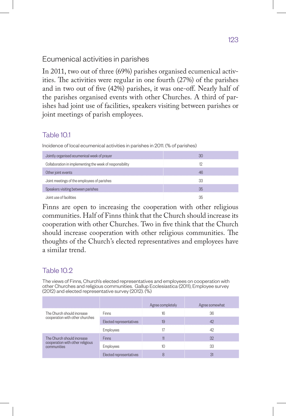## Ecumenical activities in parishes

In 2011, two out of three (69%) parishes organised ecumenical activities. The activities were regular in one fourth (27%) of the parishes and in two out of five (42%) parishes, it was one-off. Nearly half of the parishes organised events with other Churches. A third of parishes had joint use of facilities, speakers visiting between parishes or joint meetings of parish employees.

## Table 10.1

Incidence of local ecumenical activities in parishes in 2011. (% of parishes)

| Jointly organised ecumenical week of prayer              |    |
|----------------------------------------------------------|----|
| Collaboration in implementing the week of responsibility |    |
| Other joint events                                       | 4F |
| Joint meetings of the employees of parishes              |    |
| Speakers visiting between parishes                       | 35 |
| Joint use of facilities                                  |    |

Finns are open to increasing the cooperation with other religious communities. Half of Finns think that the Church should increase its cooperation with other Churches. Two in five think that the Church should increase cooperation with other religious communities. The thoughts of the Church's elected representatives and employees have a similar trend.

## Table 10.2

The views of Finns, Church's elected representatives and employees on cooperation with other Churches and religious communities. Gallup Ecclesiastica (2011), Employee survey (2012) and elected representative survey (2012). (%)

|                                                 |                         | Agree completely | Agree somewhat |
|-------------------------------------------------|-------------------------|------------------|----------------|
| The Church should increase                      | Finns                   | 16               | 36             |
| cooperation with other churches                 | Elected representatives | 19               | 42             |
|                                                 | Employees               |                  | 42             |
| The Church should increase                      | <b>Finns</b>            |                  | 32             |
| cooperation with other religious<br>communities | Employees               | 10               | 33             |
|                                                 | Elected representatives |                  | 31             |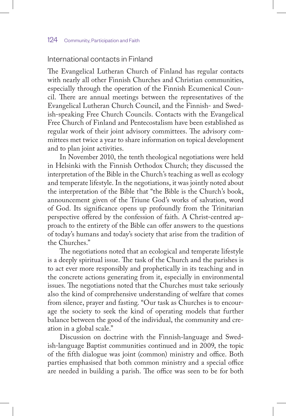### International contacts in Finland

The Evangelical Lutheran Church of Finland has regular contacts with nearly all other Finnish Churches and Christian communities, especially through the operation of the Finnish Ecumenical Council. There are annual meetings between the representatives of the Evangelical Lutheran Church Council, and the Finnish- and Swedish-speaking Free Church Councils. Contacts with the Evangelical Free Church of Finland and Pentecostalism have been established as regular work of their joint advisory committees. The advisory committees met twice a year to share information on topical development and to plan joint activities.

In November 2010, the tenth theological negotiations were held in Helsinki with the Finnish Orthodox Church; they discussed the interpretation of the Bible in the Church's teaching as well as ecology and temperate lifestyle. In the negotiations, it was jointly noted about the interpretation of the Bible that "the Bible is the Church's book, announcement given of the Triune God's works of salvation, word of God. Its significance opens up profoundly from the Trinitarian perspective offered by the confession of faith. A Christ-centred approach to the entirety of the Bible can offer answers to the questions of today's humans and today's society that arise from the tradition of the Churches."

The negotiations noted that an ecological and temperate lifestyle is a deeply spiritual issue. The task of the Church and the parishes is to act ever more responsibly and prophetically in its teaching and in the concrete actions generating from it, especially in environmental issues. The negotiations noted that the Churches must take seriously also the kind of comprehensive understanding of welfare that comes from silence, prayer and fasting. "Our task as Churches is to encourage the society to seek the kind of operating models that further balance between the good of the individual, the community and creation in a global scale."

Discussion on doctrine with the Finnish-language and Swedish-language Baptist communities continued and in 2009, the topic of the fifth dialogue was joint (common) ministry and office. Both parties emphasised that both common ministry and a special office are needed in building a parish. The office was seen to be for both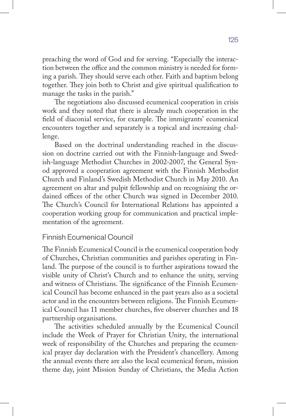preaching the word of God and for serving. "Especially the interaction between the office and the common ministry is needed for forming a parish. They should serve each other. Faith and baptism belong together. They join both to Christ and give spiritual qualification to manage the tasks in the parish."

The negotiations also discussed ecumenical cooperation in crisis work and they noted that there is already much cooperation in the field of diaconial service, for example. The immigrants' ecumenical encounters together and separately is a topical and increasing challenge.

Based on the doctrinal understanding reached in the discussion on doctrine carried out with the Finnish-language and Swedish-language Methodist Churches in 2002-2007, the General Synod approved a cooperation agreement with the Finnish Methodist Church and Finland's Swedish Methodist Church in May 2010. An agreement on altar and pulpit fellowship and on recognising the ordained offices of the other Church was signed in December 2010. The Church's Council for International Relations has appointed a cooperation working group for communication and practical implementation of the agreement.

## Finnish Ecumenical Council

The Finnish Ecumenical Council is the ecumenical cooperation body of Churches, Christian communities and parishes operating in Finland. The purpose of the council is to further aspirations toward the visible unity of Christ's Church and to enhance the unity, serving and witness of Christians. The significance of the Finnish Ecumenical Council has become enhanced in the past years also as a societal actor and in the encounters between religions. The Finnish Ecumenical Council has 11 member churches, five observer churches and 18 partnership organisations.

The activities scheduled annually by the Ecumenical Council include the Week of Prayer for Christian Unity, the international week of responsibility of the Churches and preparing the ecumenical prayer day declaration with the President's chancellery. Among the annual events there are also the local ecumenical forum, mission theme day, joint Mission Sunday of Christians, the Media Action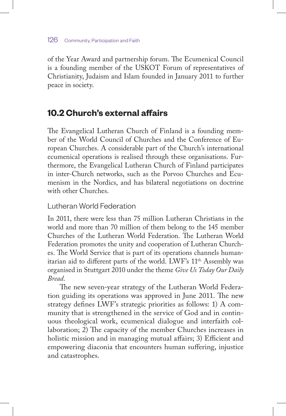of the Year Award and partnership forum. The Ecumenical Council is a founding member of the USKOT Forum of representatives of Christianity, Judaism and Islam founded in January 2011 to further peace in society.

# **10.2 Church's external affairs**

The Evangelical Lutheran Church of Finland is a founding member of the World Council of Churches and the Conference of European Churches. A considerable part of the Church's international ecumenical operations is realised through these organisations. Furthermore, the Evangelical Lutheran Church of Finland participates in inter-Church networks, such as the Porvoo Churches and Ecumenism in the Nordics, and has bilateral negotiations on doctrine with other Churches.

## Lutheran World Federation

In 2011, there were less than 75 million Lutheran Christians in the world and more than 70 million of them belong to the 145 member Churches of the Lutheran World Federation. The Lutheran World Federation promotes the unity and cooperation of Lutheran Churches. The World Service that is part of its operations channels humanitarian aid to different parts of the world. LWF's 11th Assembly was organised in Stuttgart 2010 under the theme *Give Us Today Our Daily Bread*.

The new seven-year strategy of the Lutheran World Federation guiding its operations was approved in June 2011. The new strategy defines LWF's strategic priorities as follows: 1) A community that is strengthened in the service of God and in continuous theological work, ecumenical dialogue and interfaith collaboration; 2) The capacity of the member Churches increases in holistic mission and in managing mutual affairs; 3) Efficient and empowering diaconia that encounters human suffering, injustice and catastrophes.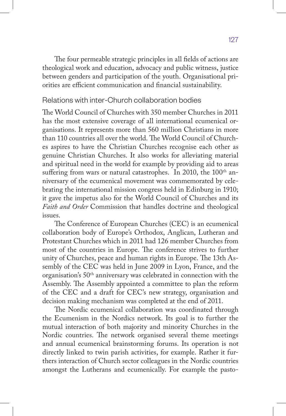The four permeable strategic principles in all fields of actions are theological work and education, advocacy and public witness, justice between genders and participation of the youth. Organisational priorities are efficient communication and financial sustainability.

#### Relations with inter-Church collaboration bodies

The World Council of Churches with 350 member Churches in 2011 has the most extensive coverage of all international ecumenical organisations. It represents more than 560 million Christians in more than 110 countries all over the world. The World Council of Churches aspires to have the Christian Churches recognise each other as genuine Christian Churches. It also works for alleviating material and spiritual need in the world for example by providing aid to areas suffering from wars or natural catastrophes. In 2010, the 100<sup>th</sup> anniversary of the ecumenical movement was commemorated by celebrating the international mission congress held in Edinburg in 1910; it gave the impetus also for the World Council of Churches and its *Faith and Order* Commission that handles doctrine and theological issues.

The Conference of European Churches (CEC) is an ecumenical collaboration body of Europe's Orthodox, Anglican, Lutheran and Protestant Churches which in 2011 had 126 member Churches from most of the countries in Europe. The conference strives to further unity of Churches, peace and human rights in Europe. The 13th Assembly of the CEC was held in June 2009 in Lyon, France, and the organisation's 50th anniversary was celebrated in connection with the Assembly. The Assembly appointed a committee to plan the reform of the CEC and a draft for CEC's new strategy, organisation and decision making mechanism was completed at the end of 2011.

The Nordic ecumenical collaboration was coordinated through the Ecumenism in the Nordics network. Its goal is to further the mutual interaction of both majority and minority Churches in the Nordic countries. The network organised several theme meetings and annual ecumenical brainstorming forums. Its operation is not directly linked to twin parish activities, for example. Rather it furthers interaction of Church sector colleagues in the Nordic countries amongst the Lutherans and ecumenically. For example the pasto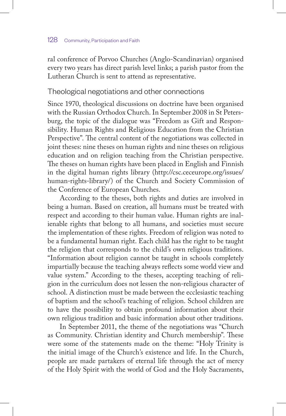ral conference of Porvoo Churches (Anglo-Scandinavian) organised every two years has direct parish level links; a parish pastor from the Lutheran Church is sent to attend as representative.

#### Theological negotiations and other connections

Since 1970, theological discussions on doctrine have been organised with the Russian Orthodox Church. In September 2008 in St Petersburg, the topic of the dialogue was "Freedom as Gift and Responsibility. Human Rights and Religious Education from the Christian Perspective". The central content of the negotiations was collected in joint theses: nine theses on human rights and nine theses on religious education and on religion teaching from the Christian perspective. The theses on human rights have been placed in English and Finnish in the digital human rights library (http://csc.ceceurope.org/issues/ human-rights-library/) of the Church and Society Commission of the Conference of European Churches.

According to the theses, both rights and duties are involved in being a human. Based on creation, all humans must be treated with respect and according to their human value. Human rights are inalienable rights that belong to all humans, and societies must secure the implementation of these rights. Freedom of religion was noted to be a fundamental human right. Each child has the right to be taught the religion that corresponds to the child's own religious traditions. "Information about religion cannot be taught in schools completely impartially because the teaching always reflects some world view and value system." According to the theses, accepting teaching of religion in the curriculum does not lessen the non-religious character of school. A distinction must be made between the ecclesiastic teaching of baptism and the school's teaching of religion. School children are to have the possibility to obtain profound information about their own religious tradition and basic information about other traditions.

In September 2011, the theme of the negotiations was "Church as Community. Christian identity and Church membership". These were some of the statements made on the theme: "Holy Trinity is the initial image of the Church's existence and life. In the Church, people are made partakers of eternal life through the act of mercy of the Holy Spirit with the world of God and the Holy Sacraments,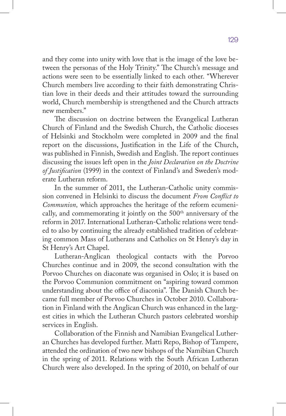and they come into unity with love that is the image of the love between the personas of the Holy Trinity." The Church's message and actions were seen to be essentially linked to each other. "Wherever Church members live according to their faith demonstrating Christian love in their deeds and their attitudes toward the surrounding world, Church membership is strengthened and the Church attracts new members."

The discussion on doctrine between the Evangelical Lutheran Church of Finland and the Swedish Church, the Catholic dioceses of Helsinki and Stockholm were completed in 2009 and the final report on the discussions, Justification in the Life of the Church, was published in Finnish, Swedish and English. The report continues discussing the issues left open in the *Joint Declaration on the Doctrine of Justification* (1999) in the context of Finland's and Sweden's moderate Lutheran reform.

In the summer of 2011, the Lutheran-Catholic unity commission convened in Helsinki to discuss the document *From Conflict to Communion,* which approaches the heritage of the reform ecumenically, and commemorating it jointly on the 500<sup>th</sup> anniversary of the reform in 2017. International Lutheran-Catholic relations were tended to also by continuing the already established tradition of celebrating common Mass of Lutherans and Catholics on St Henry's day in St Henry's Art Chapel.

Lutheran-Anglican theological contacts with the Porvoo Churches continue and in 2009, the second consultation with the Porvoo Churches on diaconate was organised in Oslo; it is based on the Porvoo Communion commitment on "aspiring toward common understanding about the office of diaconia". The Danish Church became full member of Porvoo Churches in October 2010. Collaboration in Finland with the Anglican Church was enhanced in the largest cities in which the Lutheran Church pastors celebrated worship services in English.

Collaboration of the Finnish and Namibian Evangelical Lutheran Churches has developed further. Matti Repo, Bishop of Tampere, attended the ordination of two new bishops of the Namibian Church in the spring of 2011. Relations with the South African Lutheran Church were also developed. In the spring of 2010, on behalf of our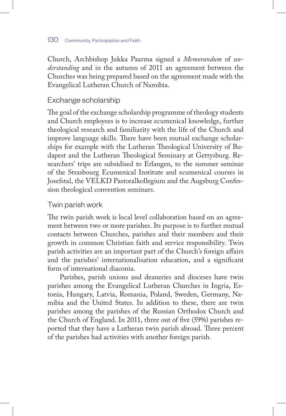#### 130 Community, Participation and Faith

Church, Archbishop Jukka Paarma signed a *Memorandum* of *understanding* and in the autumn of 2011 an agreement between the Churches was being prepared based on the agreement made with the Evangelical Lutheran Church of Namibia.

## Exchange scholarship

The goal of the exchange scholarship programme of theology students and Church employees is to increase ecumenical knowledge, further theological research and familiarity with the life of the Church and improve language skills. There have been mutual exchange scholarships for example with the Lutheran Theological University of Budapest and the Lutheran Theological Seminary at Gettysburg. Researchers' trips are subsidised to Erlangen, to the summer seminar of the Strasbourg Ecumenical Institute and ecumenical courses in Josefstal, the VELKD Pastoralkollegium and the Augsburg Confession theological convention seminars.

## Twin parish work

The twin parish work is local level collaboration based on an agreement between two or more parishes. Its purpose is to further mutual contacts between Churches, parishes and their members and their growth in common Christian faith and service responsibility. Twin parish activities are an important part of the Church's foreign affairs and the parishes' internationalisation education, and a significant form of international diaconia.

Parishes, parish unions and deaneries and dioceses have twin parishes among the Evangelical Lutheran Churches in Ingria, Estonia, Hungary, Latvia, Romania, Poland, Sweden, Germany, Namibia and the United States. In addition to these, there are twin parishes among the parishes of the Russian Orthodox Church and the Church of England. In 2011, three out of five (59%) parishes reported that they have a Lutheran twin parish abroad. Three percent of the parishes had activities with another foreign parish.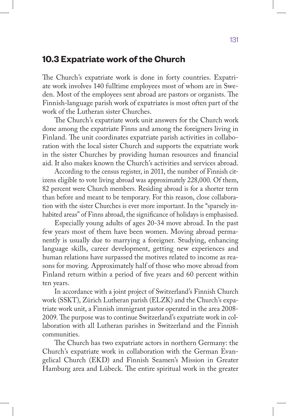## **10.3 Expatriate work of the Church**

The Church's expatriate work is done in forty countries. Expatriate work involves 140 fulltime employees most of whom are in Sweden. Most of the employees sent abroad are pastors or organists. The Finnish-language parish work of expatriates is most often part of the work of the Lutheran sister Churches.

The Church's expatriate work unit answers for the Church work done among the expatriate Finns and among the foreigners living in Finland. The unit coordinates expatriate parish activities in collaboration with the local sister Church and supports the expatriate work in the sister Churches by providing human resources and financial aid. It also makes known the Church's activities and services abroad.

According to the census register, in 2011, the number of Finnish citizens eligible to vote living abroad was approximately 228,000. Of them, 82 percent were Church members. Residing abroad is for a shorter term than before and meant to be temporary. For this reason, close collaboration with the sister Churches is ever more important. In the "sparsely inhabited areas" of Finns abroad, the significance of holidays is emphasised.

Especially young adults of ages 20-34 move abroad. In the past few years most of them have been women. Moving abroad permanently is usually due to marrying a foreigner. Studying, enhancing language skills, career development, getting new experiences and human relations have surpassed the motives related to income as reasons for moving. Approximately half of those who move abroad from Finland return within a period of five years and 60 percent within ten years.

In accordance with a joint project of Switzerland's Finnish Church work (SSKT), Zürich Lutheran parish (ELZK) and the Church's expatriate work unit, a Finnish immigrant pastor operated in the area 2008- 2009. The purpose was to continue Switzerland's expatriate work in collaboration with all Lutheran parishes in Switzerland and the Finnish communities.

The Church has two expatriate actors in northern Germany: the Church's expatriate work in collaboration with the German Evangelical Church (EKD) and Finnish Seamen's Mission in Greater Hamburg area and Lübeck. The entire spiritual work in the greater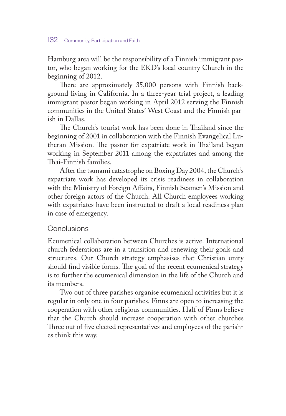#### 132 Community, Participation and Faith

Hamburg area will be the responsibility of a Finnish immigrant pastor, who began working for the EKD's local country Church in the beginning of 2012.

There are approximately 35,000 persons with Finnish background living in California. In a three-year trial project, a leading immigrant pastor began working in April 2012 serving the Finnish communities in the United States' West Coast and the Finnish parish in Dallas.

The Church's tourist work has been done in Thailand since the beginning of 2001 in collaboration with the Finnish Evangelical Lutheran Mission. The pastor for expatriate work in Thailand began working in September 2011 among the expatriates and among the Thai-Finnish families.

After the tsunami catastrophe on Boxing Day 2004, the Church's expatriate work has developed its crisis readiness in collaboration with the Ministry of Foreign Affairs, Finnish Seamen's Mission and other foreign actors of the Church. All Church employees working with expatriates have been instructed to draft a local readiness plan in case of emergency.

#### Conclusions

Ecumenical collaboration between Churches is active. International church federations are in a transition and renewing their goals and structures. Our Church strategy emphasises that Christian unity should find visible forms. The goal of the recent ecumenical strategy is to further the ecumenical dimension in the life of the Church and its members.

Two out of three parishes organise ecumenical activities but it is regular in only one in four parishes. Finns are open to increasing the cooperation with other religious communities. Half of Finns believe that the Church should increase cooperation with other churches Three out of five elected representatives and employees of the parishes think this way.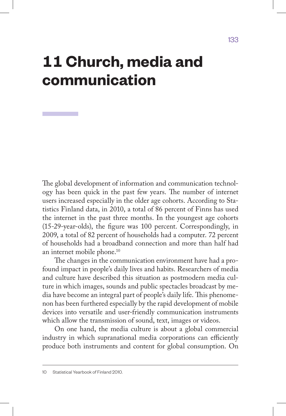# **11 Church, media and communication**

The global development of information and communication technology has been quick in the past few years. The number of internet users increased especially in the older age cohorts. According to Statistics Finland data, in 2010, a total of 86 percent of Finns has used the internet in the past three months. In the youngest age cohorts (15-29-year-olds), the figure was 100 percent. Correspondingly, in 2009, a total of 82 percent of households had a computer. 72 percent of households had a broadband connection and more than half had an internet mobile phone.10

The changes in the communication environment have had a profound impact in people's daily lives and habits. Researchers of media and culture have described this situation as postmodern media culture in which images, sounds and public spectacles broadcast by media have become an integral part of people's daily life. This phenomenon has been furthered especially by the rapid development of mobile devices into versatile and user-friendly communication instruments which allow the transmission of sound, text, images or videos.

On one hand, the media culture is about a global commercial industry in which supranational media corporations can efficiently produce both instruments and content for global consumption. On

<sup>10</sup> Statistical Yearbook of Finland 2010.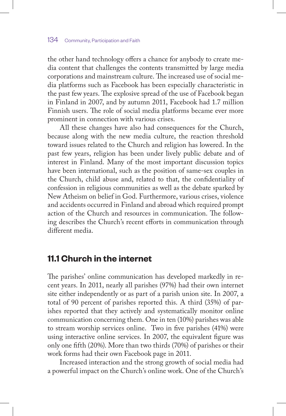the other hand technology offers a chance for anybody to create media content that challenges the contents transmitted by large media corporations and mainstream culture. The increased use of social media platforms such as Facebook has been especially characteristic in the past few years. The explosive spread of the use of Facebook began in Finland in 2007, and by autumn 2011, Facebook had 1.7 million Finnish users. The role of social media platforms became ever more prominent in connection with various crises.

All these changes have also had consequences for the Church, because along with the new media culture, the reaction threshold toward issues related to the Church and religion has lowered. In the past few years, religion has been under lively public debate and of interest in Finland. Many of the most important discussion topics have been international, such as the position of same-sex couples in the Church, child abuse and, related to that, the confidentiality of confession in religious communities as well as the debate sparked by New Atheism on belief in God. Furthermore, various crises, violence and accidents occurred in Finland and abroad which required prompt action of the Church and resources in communication. The following describes the Church's recent efforts in communication through different media.

# **11.1 Church in the internet**

The parishes' online communication has developed markedly in recent years. In 2011, nearly all parishes (97%) had their own internet site either independently or as part of a parish union site. In 2007, a total of 90 percent of parishes reported this. A third (35%) of parishes reported that they actively and systematically monitor online communication concerning them. One in ten (10%) parishes was able to stream worship services online. Two in five parishes (41%) were using interactive online services. In 2007, the equivalent figure was only one fifth (20%). More than two thirds (70%) of parishes or their work forms had their own Facebook page in 2011.

Increased interaction and the strong growth of social media had a powerful impact on the Church's online work. One of the Church's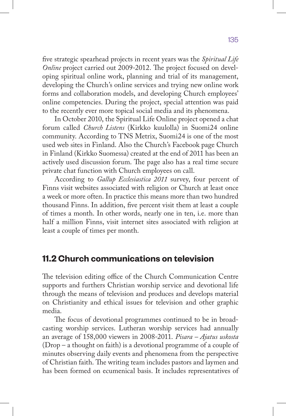five strategic spearhead projects in recent years was the *Spiritual Life Online* project carried out 2009-2012. The project focused on developing spiritual online work, planning and trial of its management, developing the Church's online services and trying new online work forms and collaboration models, and developing Church employees' online competencies. During the project, special attention was paid to the recently ever more topical social media and its phenomena.

In October 2010, the Spiritual Life Online project opened a chat forum called *Church Listens* (Kirkko kuulolla) in Suomi24 online community. According to TNS Metrix, Suomi24 is one of the most used web sites in Finland. Also the Church's Facebook page Church in Finland (Kirkko Suomessa) created at the end of 2011 has been an actively used discussion forum. The page also has a real time secure private chat function with Church employees on call.

According to *Gallup Ecclesiastica 2011* survey, four percent of Finns visit websites associated with religion or Church at least once a week or more often. In practice this means more than two hundred thousand Finns. In addition, five percent visit them at least a couple of times a month. In other words, nearly one in ten, i.e. more than half a million Finns, visit internet sites associated with religion at least a couple of times per month.

# **11.2 Church communications on television**

The television editing office of the Church Communication Centre supports and furthers Christian worship service and devotional life through the means of television and produces and develops material on Christianity and ethical issues for television and other graphic media.

The focus of devotional programmes continued to be in broadcasting worship services. Lutheran worship services had annually an average of 158,000 viewers in 2008-2011. *Pisara – Ajatus uskosta*  (Drop – a thought on faith) is a devotional programme of a couple of minutes observing daily events and phenomena from the perspective of Christian faith. The writing team includes pastors and laymen and has been formed on ecumenical basis. It includes representatives of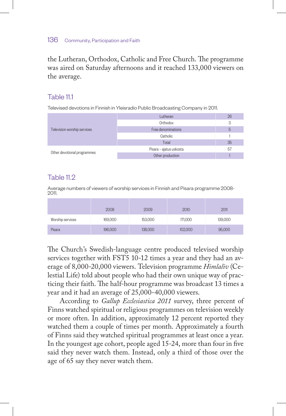#### 136 Community, Participation and Faith

the Lutheran, Orthodox, Catholic and Free Church. The programme was aired on Saturday afternoons and it reached 133,000 viewers on the average.

#### Table 111

Televised devotions in Finnish in Yleisradio Public Broadcasting Company in 2011.

|                             | utheran                 |    |
|-----------------------------|-------------------------|----|
|                             | Orthodox                |    |
| Television worship services | Free denominations      |    |
|                             | Catholic                |    |
|                             | Total                   | 35 |
| Other devotional programmes | Pisara - ajatus uskosta |    |
|                             | Other production        |    |

## Table  $11.2$

Average numbers of viewers of worship services in Finnish and Pisara programme 2008- 2011.

|                  | 2008 | $-009$                                                  | 2010   | 2011 |
|------------------|------|---------------------------------------------------------|--------|------|
| Worship services | nnn  | - 2<br>- 2<br>153.000<br>n.<br>$\sim$<br>14.1<br>$\sim$ | 71.000 | ገበበ  |
| Pisara           |      | 200                                                     | nnr    |      |

The Church's Swedish-language centre produced televised worship services together with FST5 10-12 times a year and they had an average of 8,000-20,000 viewers. Television programme *Himlaliv* (Celestial Life) told about people who had their own unique way of practicing their faith. The half-hour programme was broadcast 13 times a year and it had an average of 25,000-40,000 viewers.

According to *Gallup Ecclesiastica 2011* survey, three percent of Finns watched spiritual or religious programmes on television weekly or more often. In addition, approximately 12 percent reported they watched them a couple of times per month. Approximately a fourth of Finns said they watched spiritual programmes at least once a year. In the youngest age cohort, people aged 15-24, more than four in five said they never watch them. Instead, only a third of those over the age of 65 say they never watch them.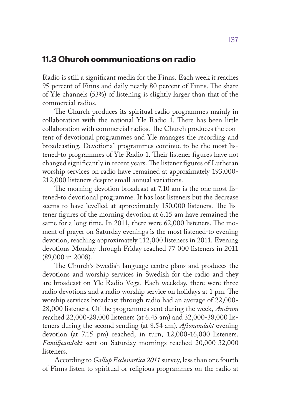## **11.3 Church communications on radio**

Radio is still a significant media for the Finns. Each week it reaches 95 percent of Finns and daily nearly 80 percent of Finns. The share of Yle channels (53%) of listening is slightly larger than that of the commercial radios.

The Church produces its spiritual radio programmes mainly in collaboration with the national Yle Radio 1. There has been little collaboration with commercial radios. The Church produces the content of devotional programmes and Yle manages the recording and broadcasting. Devotional programmes continue to be the most listened-to programmes of Yle Radio 1. Their listener figures have not changed significantly in recent years. The listener figures of Lutheran worship services on radio have remained at approximately 193,000- 212,000 listeners despite small annual variations.

The morning devotion broadcast at 7.10 am is the one most listened-to devotional programme. It has lost listeners but the decrease seems to have levelled at approximately 150,000 listeners. The listener figures of the morning devotion at 6.15 am have remained the same for a long time. In 2011, there were 62,000 listeners. The moment of prayer on Saturday evenings is the most listened-to evening devotion, reaching approximately 112,000 listeners in 2011. Evening devotions Monday through Friday reached 77 000 listeners in 2011 (89,000 in 2008).

The Church's Swedish-language centre plans and produces the devotions and worship services in Swedish for the radio and they are broadcast on Yle Radio Vega. Each weekday, there were three radio devotions and a radio worship service on holidays at 1 pm. The worship services broadcast through radio had an average of 22,000- 28,000 listeners. Of the programmes sent during the week, *Andrum* reached 22,000-28,000 listeners (at 6.45 am) and 32,000-38,000 listeners during the second sending (at 8.54 am). *Aftonandakt* evening devotion (at 7.15 pm) reached, in turn, 12,000*-*16,000 listeners. *Familjeandakt* sent on Saturday mornings reached 20,000-32,000 listeners.

According to *Gallup Ecclesiastica 2011* survey, less than one fourth of Finns listen to spiritual or religious programmes on the radio at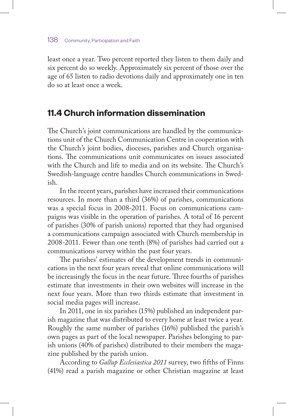least once a year. Two percent reported they listen to them daily and six percent do so weekly. Approximately six percent of those over the age of 65 listen to radio devotions daily and approximately one in ten do so at least once a week.

## **11.4 Church information dissemination**

The Church's joint communications are handled by the communications unit of the Church Communication Centre in cooperation with the Church's joint bodies, dioceses, parishes and Church organisations. The communications unit communicates on issues associated with the Church and life to media and on its website. The Church's Swedish-language centre handles Church communications in Swedish.

In the recent years, parishes have increased their communications resources. In more than a third (36%) of parishes, communications was a special focus in 2008-2011. Focus on communications campaigns was visible in the operation of parishes. A total of 16 percent of parishes (30% of parish unions) reported that they had organised a communications campaign associated with Church membership in 2008-2011. Fewer than one tenth (8%) of parishes had carried out a communications survey within the past four years.

The parishes' estimates of the development trends in communications in the next four years reveal that online communications will be increasingly the focus in the near future. Three fourths of parishes estimate that investments in their own websites will increase in the next four years. More than two thirds estimate that investment in social media pages will increase.

In 2011, one in six parishes (15%) published an independent parish magazine that was distributed to every home at least twice a year. Roughly the same number of parishes (16%) published the parish's own pages as part of the local newspaper. Parishes belonging to parish unions (40% of parishes) distributed to their members the magazine published by the parish union.

According to *Gallup Ecclesiastica 2011* survey, two fifths of Finns (41%) read a parish magazine or other Christian magazine at least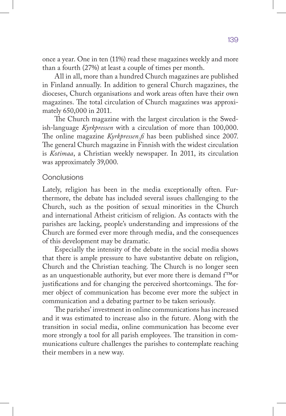once a year. One in ten (11%) read these magazines weekly and more than a fourth (27%) at least a couple of times per month.

All in all, more than a hundred Church magazines are published in Finland annually. In addition to general Church magazines, the dioceses, Church organisations and work areas often have their own magazines. The total circulation of Church magazines was approximately 650,000 in 2011.

The Church magazine with the largest circulation is the Swedish-language *Kyrkpressen* with a circulation of more than 100,000. The online magazine *Kyrkpressen.fi* has been published since 2007. The general Church magazine in Finnish with the widest circulation is *Kotimaa*, a Christian weekly newspaper. In 2011, its circulation was approximately 39,000.

#### **Conclusions**

Lately, religion has been in the media exceptionally often. Furthermore, the debate has included several issues challenging to the Church, such as the position of sexual minorities in the Church and international Atheist criticism of religion. As contacts with the parishes are lacking, people's understanding and impressions of the Church are formed ever more through media, and the consequences of this development may be dramatic.

Especially the intensity of the debate in the social media shows that there is ample pressure to have substantive debate on religion, Church and the Christian teaching. The Church is no longer seen as an unquestionable authority, but ever more there is demand f™or justifications and for changing the perceived shortcomings. The former object of communication has become ever more the subject in communication and a debating partner to be taken seriously.

The parishes' investment in online communications has increased and it was estimated to increase also in the future. Along with the transition in social media, online communication has become ever more strongly a tool for all parish employees. The transition in communications culture challenges the parishes to contemplate reaching their members in a new way.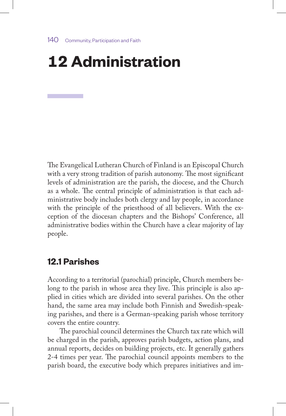# **12 Administration**

The Evangelical Lutheran Church of Finland is an Episcopal Church with a very strong tradition of parish autonomy. The most significant levels of administration are the parish, the diocese, and the Church as a whole. The central principle of administration is that each administrative body includes both clergy and lay people, in accordance with the principle of the priesthood of all believers. With the exception of the diocesan chapters and the Bishops' Conference, all administrative bodies within the Church have a clear majority of lay people.

# **12.1 Parishes**

According to a territorial (parochial) principle, Church members belong to the parish in whose area they live. This principle is also applied in cities which are divided into several parishes. On the other hand, the same area may include both Finnish and Swedish-speaking parishes, and there is a German-speaking parish whose territory covers the entire country.

The parochial council determines the Church tax rate which will be charged in the parish, approves parish budgets, action plans, and annual reports, decides on building projects, etc. It generally gathers 2-4 times per year. The parochial council appoints members to the parish board, the executive body which prepares initiatives and im-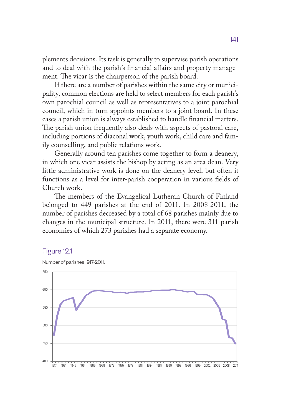plements decisions. Its task is generally to supervise parish operations and to deal with the parish's financial affairs and property management. The vicar is the chairperson of the parish board.

If there are a number of parishes within the same city or municipality, common elections are held to select members for each parish's own parochial council as well as representatives to a joint parochial council, which in turn appoints members to a joint board. In these cases a parish union is always established to handle financial matters. The parish union frequently also deals with aspects of pastoral care, including portions of diaconal work, youth work, child care and family counselling, and public relations work.

Generally around ten parishes come together to form a deanery, in which one vicar assists the bishop by acting as an area dean. Very little administrative work is done on the deanery level, but often it functions as a level for inter-parish cooperation in various fields of Church work.

The members of the Evangelical Lutheran Church of Finland belonged to 449 parishes at the end of 2011. In 2008-2011, the number of parishes decreased by a total of 68 parishes mainly due to changes in the municipal structure. In 2011, there were 311 parish economies of which 273 parishes had a separate economy.

#### Figure 12.1



Number of parishes 1917-2011.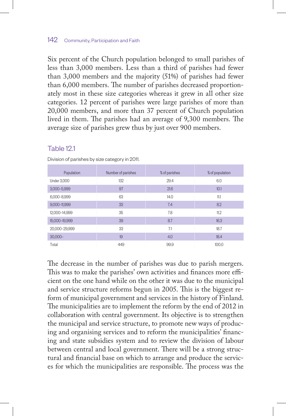#### 142 Community, Participation and Faith

Six percent of the Church population belonged to small parishes of less than 3,000 members. Less than a third of parishes had fewer than 3,000 members and the majority (51%) of parishes had fewer than 6,000 members. The number of parishes decreased proportionately most in these size categories whereas it grew in all other size categories. 12 percent of parishes were large parishes of more than 20,000 members, and more than 37 percent of Church population lived in them. The parishes had an average of 9,300 members. The average size of parishes grew thus by just over 900 members.

#### Table 121

| Population         | Number of parishes | % of parishes | % of population |
|--------------------|--------------------|---------------|-----------------|
| <b>Under 3.000</b> | 132                | 29.4          | 6.0             |
| 3,000-5,999        | 97                 | 21.6          | 10.1            |
| 6,000-8,999        | 63                 | 14.0          | 11.1            |
| 9,000-11,999       | 33                 | 7.4           | 8.2             |
| 12,000-14,999      | 35                 | 7.8           | 11.2            |
| 15.000-19.999      | 39                 | 8.7           | 16.3            |
| 20.000-29.999      | 33                 | 7.1           | 18.7            |
| $30.000 -$         | 19                 | 4.0           | 18.4            |
| Total              | 449                | 99.9          | 100.0           |

Division of parishes by size category in 2011.

The decrease in the number of parishes was due to parish mergers. This was to make the parishes' own activities and finances more efficient on the one hand while on the other it was due to the municipal and service structure reforms begun in 2005. This is the biggest reform of municipal government and services in the history of Finland. The municipalities are to implement the reform by the end of 2012 in collaboration with central government. Its objective is to strengthen the municipal and service structure, to promote new ways of producing and organising services and to reform the municipalities' financing and state subsidies system and to review the division of labour between central and local government. There will be a strong structural and financial base on which to arrange and produce the services for which the municipalities are responsible. The process was the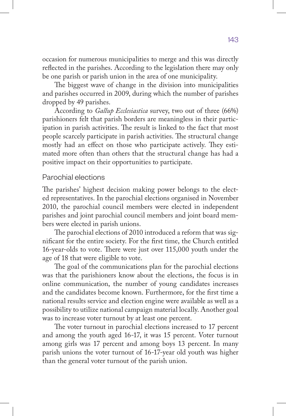occasion for numerous municipalities to merge and this was directly reflected in the parishes. According to the legislation there may only be one parish or parish union in the area of one municipality.

The biggest wave of change in the division into municipalities and parishes occurred in 2009, during which the number of parishes dropped by 49 parishes.

According to *Gallup Ecclesiastica* survey, two out of three (66%) parishioners felt that parish borders are meaningless in their participation in parish activities. The result is linked to the fact that most people scarcely participate in parish activities. The structural change mostly had an effect on those who participate actively. They estimated more often than others that the structural change has had a positive impact on their opportunities to participate.

#### Parochial elections

The parishes' highest decision making power belongs to the elected representatives. In the parochial elections organised in November 2010, the parochial council members were elected in independent parishes and joint parochial council members and joint board members were elected in parish unions.

The parochial elections of 2010 introduced a reform that was significant for the entire society. For the first time, the Church entitled 16-year-olds to vote. There were just over 115,000 youth under the age of 18 that were eligible to vote.

The goal of the communications plan for the parochial elections was that the parishioners know about the elections, the focus is in online communication, the number of young candidates increases and the candidates become known. Furthermore, for the first time a national results service and election engine were available as well as a possibility to utilize national campaign material locally. Another goal was to increase voter turnout by at least one percent.

The voter turnout in parochial elections increased to 17 percent and among the youth aged 16-17, it was 15 percent. Voter turnout among girls was 17 percent and among boys 13 percent. In many parish unions the voter turnout of 16-17-year old youth was higher than the general voter turnout of the parish union.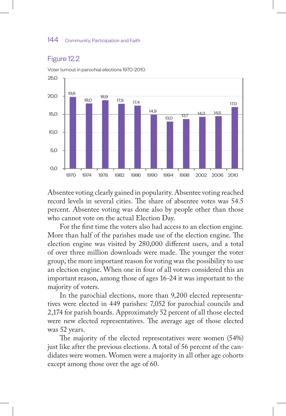#### 144 Community, Participation and Faith

#### Figure 12.2



Voter turnout in parochial elections 1970-2010.

Absentee voting clearly gained in popularity. Absentee voting reached record levels in several cities. The share of absentee votes was 54.5 percent. Absentee voting was done also by people other than those who cannot vote on the actual Election Day.

For the first time the voters also had access to an election engine. More than half of the parishes made use of the election engine. The election engine was visited by 280,000 different users, and a total of over three million downloads were made. The younger the voter group, the more important reason for voting was the possibility to use an election engine. When one in four of all voters considered this an important reason, among those of ages 16-24 it was important to the majority of voters.

In the parochial elections, more than 9,200 elected representatives were elected in 449 parishes: 7,052 for parochial councils and 2,174 for parish boards. Approximately 52 percent of all those elected were new elected representatives. The average age of those elected was 52 years.

The majority of the elected representatives were women (54%) just like after the previous elections. A total of 56 percent of the candidates were women. Women were a majority in all other age cohorts except among those over the age of 60.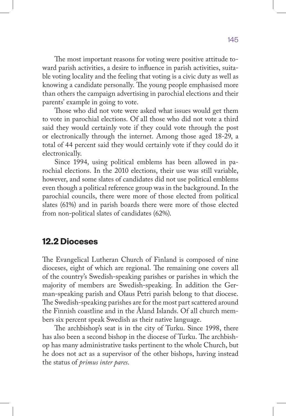The most important reasons for voting were positive attitude toward parish activities, a desire to influence in parish activities, suitable voting locality and the feeling that voting is a civic duty as well as knowing a candidate personally. The young people emphasised more than others the campaign advertising in parochial elections and their parents' example in going to vote.

Those who did not vote were asked what issues would get them to vote in parochial elections. Of all those who did not vote a third said they would certainly vote if they could vote through the post or electronically through the internet. Among those aged 18-29, a total of 44 percent said they would certainly vote if they could do it electronically.

Since 1994, using political emblems has been allowed in parochial elections. In the 2010 elections, their use was still variable, however, and some slates of candidates did not use political emblems even though a political reference group was in the background. In the parochial councils, there were more of those elected from political slates (61%) and in parish boards there were more of those elected from non-political slates of candidates (62%).

# **12.2 Dioceses**

The Evangelical Lutheran Church of Finland is composed of nine dioceses, eight of which are regional. The remaining one covers all of the country's Swedish-speaking parishes or parishes in which the majority of members are Swedish-speaking. In addition the German-speaking parish and Olaus Petri parish belong to that diocese. The Swedish-speaking parishes are for the most part scattered around the Finnish coastline and in the Åland Islands. Of all church members six percent speak Swedish as their native language.

The archbishop's seat is in the city of Turku. Since 1998, there has also been a second bishop in the diocese of Turku. The archbishop has many administrative tasks pertinent to the whole Church, but he does not act as a supervisor of the other bishops, having instead the status of *primus inter pares*.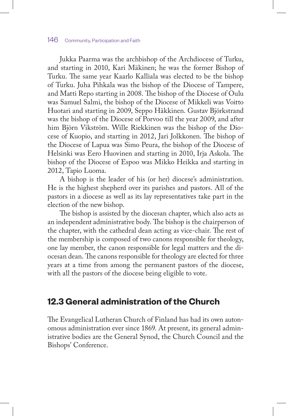Jukka Paarma was the archbishop of the Archdiocese of Turku, and starting in 2010, Kari Mäkinen; he was the former Bishop of Turku. The same year Kaarlo Kalliala was elected to be the bishop of Turku. Juha Pihkala was the bishop of the Diocese of Tampere, and Matti Repo starting in 2008. The bishop of the Diocese of Oulu was Samuel Salmi, the bishop of the Diocese of Mikkeli was Voitto Huotari and starting in 2009, Seppo Häkkinen. Gustav Björkstrand was the bishop of the Diocese of Porvoo till the year 2009, and after him Björn Vikström. Wille Riekkinen was the bishop of the Diocese of Kuopio, and starting in 2012, Jari Jolkkonen. The bishop of the Diocese of Lapua was Simo Peura, the bishop of the Diocese of Helsinki was Eero Huovinen and starting in 2010, Irja Askola. The bishop of the Diocese of Espoo was Mikko Heikka and starting in 2012, Tapio Luoma.

A bishop is the leader of his (or her) diocese's administration. He is the highest shepherd over its parishes and pastors. All of the pastors in a diocese as well as its lay representatives take part in the election of the new bishop.

The bishop is assisted by the diocesan chapter, which also acts as an independent administrative body. The bishop is the chairperson of the chapter, with the cathedral dean acting as vice-chair. The rest of the membership is composed of two canons responsible for theology, one lay member, the canon responsible for legal matters and the diocesan dean. The canons responsible for theology are elected for three years at a time from among the permanent pastors of the diocese, with all the pastors of the diocese being eligible to vote.

# **12.3 General administration of the Church**

The Evangelical Lutheran Church of Finland has had its own autonomous administration ever since 1869. At present, its general administrative bodies are the General Synod, the Church Council and the Bishops' Conference.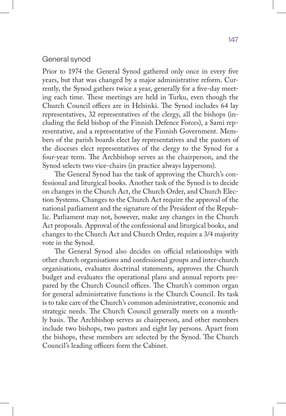#### General synod

Prior to 1974 the General Synod gathered only once in every five years, but that was changed by a major administrative reform. Currently, the Synod gathers twice a year, generally for a five-day meeting each time. These meetings are held in Turku, even though the Church Council offices are in Helsinki. The Synod includes 64 lay representatives, 32 representatives of the clergy, all the bishops (including the field bishop of the Finnish Defence Forces), a Sami representative, and a representative of the Finnish Government. Members of the parish boards elect lay representatives and the pastors of the dioceses elect representatives of the clergy to the Synod for a four-year term. The Archbishop serves as the chairperson, and the Synod selects two vice-chairs (in practice always laypersons).

The General Synod has the task of approving the Church's confessional and liturgical books. Another task of the Synod is to decide on changes in the Church Act, the Church Order, and Church Election Systems. Changes to the Church Act require the approval of the national parliament and the signature of the President of the Republic. Parliament may not, however, make any changes in the Church Act proposals. Approval of the confessional and liturgical books, and changes to the Church Act and Church Order, require a 3/4 majority vote in the Synod.

The General Synod also decides on official relationships with other church organisations and confessional groups and inter-church organisations, evaluates doctrinal statements, approves the Church budget and evaluates the operational plans and annual reports prepared by the Church Council offices. The Church's common organ for general administrative functions is the Church Council. Its task is to take care of the Church's common administrative, economic and strategic needs. The Church Council generally meets on a monthly basis. The Archbishop serves as chairperson, and other members include two bishops, two pastors and eight lay persons. Apart from the bishops, these members are selected by the Synod. The Church Council's leading officers form the Cabinet.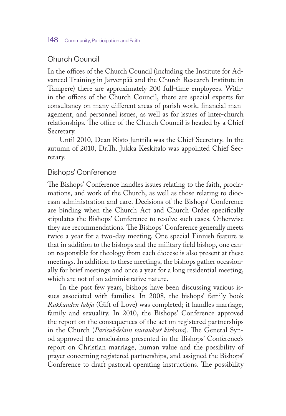# Church Council

In the offices of the Church Council (including the Institute for Advanced Training in Järvenpää and the Church Research Institute in Tampere) there are approximately 200 full-time employees. Within the offices of the Church Council, there are special experts for consultancy on many different areas of parish work, financial management, and personnel issues, as well as for issues of inter-church relationships. The office of the Church Council is headed by a Chief Secretary.

Until 2010, Dean Risto Junttila was the Chief Secretary. In the autumn of 2010, Dr.Th. Jukka Keskitalo was appointed Chief Secretary.

#### Bishops' Conference

The Bishops' Conference handles issues relating to the faith, proclamations, and work of the Church, as well as those relating to diocesan administration and care. Decisions of the Bishops' Conference are binding when the Church Act and Church Order specifically stipulates the Bishops' Conference to resolve such cases. Otherwise they are recommendations. The Bishops' Conference generally meets twice a year for a two-day meeting. One special Finnish feature is that in addition to the bishops and the military field bishop, one canon responsible for theology from each diocese is also present at these meetings. In addition to these meetings, the bishops gather occasionally for brief meetings and once a year for a long residential meeting, which are not of an administrative nature.

In the past few years, bishops have been discussing various issues associated with families. In 2008, the bishops' family book *Rakkauden lahja* (Gift of Love) was completed; it handles marriage, family and sexuality. In 2010, the Bishops' Conference approved the report on the consequences of the act on registered partnerships in the Church (*Parisuhdelain seuraukset kirkossa*). The General Synod approved the conclusions presented in the Bishops' Conference's report on Christian marriage, human value and the possibility of prayer concerning registered partnerships, and assigned the Bishops' Conference to draft pastoral operating instructions. The possibility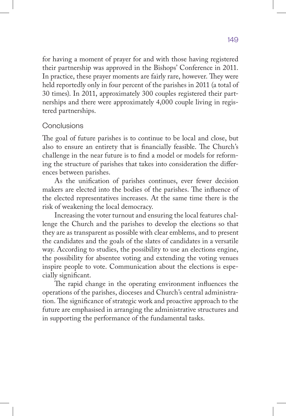for having a moment of prayer for and with those having registered their partnership was approved in the Bishops' Conference in 2011. In practice, these prayer moments are fairly rare, however. They were held reportedly only in four percent of the parishes in 2011 (a total of 30 times). In 2011, approximately 300 couples registered their partnerships and there were approximately 4,000 couple living in registered partnerships.

## **Conclusions**

The goal of future parishes is to continue to be local and close, but also to ensure an entirety that is financially feasible. The Church's challenge in the near future is to find a model or models for reforming the structure of parishes that takes into consideration the differences between parishes.

As the unification of parishes continues, ever fewer decision makers are elected into the bodies of the parishes. The influence of the elected representatives increases. At the same time there is the risk of weakening the local democracy.

Increasing the voter turnout and ensuring the local features challenge the Church and the parishes to develop the elections so that they are as transparent as possible with clear emblems, and to present the candidates and the goals of the slates of candidates in a versatile way. According to studies, the possibility to use an elections engine, the possibility for absentee voting and extending the voting venues inspire people to vote. Communication about the elections is especially significant.

The rapid change in the operating environment influences the operations of the parishes, dioceses and Church's central administration. The significance of strategic work and proactive approach to the future are emphasised in arranging the administrative structures and in supporting the performance of the fundamental tasks.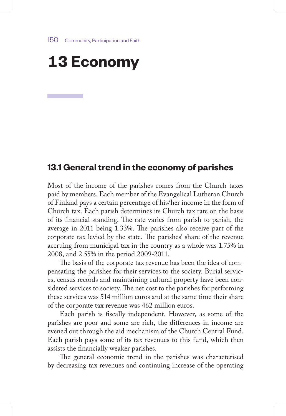# **13 Economy**

# **13.1 General trend in the economy of parishes**

Most of the income of the parishes comes from the Church taxes paid by members. Each member of the Evangelical Lutheran Church of Finland pays a certain percentage of his/her income in the form of Church tax. Each parish determines its Church tax rate on the basis of its financial standing. The rate varies from parish to parish, the average in 2011 being 1.33%. The parishes also receive part of the corporate tax levied by the state. The parishes' share of the revenue accruing from municipal tax in the country as a whole was 1.75% in 2008, and 2.55% in the period 2009-2011.

The basis of the corporate tax revenue has been the idea of compensating the parishes for their services to the society. Burial services, census records and maintaining cultural property have been considered services to society. The net cost to the parishes for performing these services was 514 million euros and at the same time their share of the corporate tax revenue was 462 million euros.

Each parish is fiscally independent. However, as some of the parishes are poor and some are rich, the differences in income are evened out through the aid mechanism of the Church Central Fund. Each parish pays some of its tax revenues to this fund, which then assists the financially weaker parishes.

The general economic trend in the parishes was characterised by decreasing tax revenues and continuing increase of the operating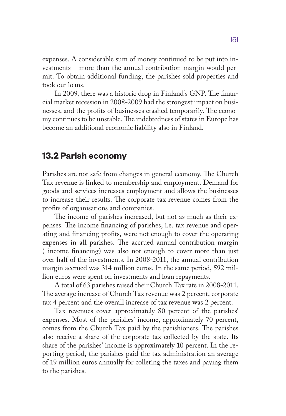expenses. A considerable sum of money continued to be put into investments – more than the annual contribution margin would permit. To obtain additional funding, the parishes sold properties and took out loans.

In 2009, there was a historic drop in Finland's GNP. The financial market recession in 2008-2009 had the strongest impact on businesses, and the profits of businesses crashed temporarily. The economy continues to be unstable. The indebtedness of states in Europe has become an additional economic liability also in Finland.

# **13.2 Parish economy**

Parishes are not safe from changes in general economy. The Church Tax revenue is linked to membership and employment. Demand for goods and services increases employment and allows the businesses to increase their results. The corporate tax revenue comes from the profits of organisations and companies.

The income of parishes increased, but not as much as their expenses. The income financing of parishes, i.e. tax revenue and operating and financing profits, were not enough to cover the operating expenses in all parishes. The accrued annual contribution margin (=income financing) was also not enough to cover more than just over half of the investments. In 2008-2011, the annual contribution margin accrued was 314 million euros. In the same period, 592 million euros were spent on investments and loan repayments.

A total of 63 parishes raised their Church Tax rate in 2008-2011. The average increase of Church Tax revenue was 2 percent, corporate tax 4 percent and the overall increase of tax revenue was 2 percent.

Tax revenues cover approximately 80 percent of the parishes' expenses. Most of the parishes' income, approximately 70 percent, comes from the Church Tax paid by the parishioners. The parishes also receive a share of the corporate tax collected by the state. Its share of the parishes' income is approximately 10 percent. In the reporting period, the parishes paid the tax administration an average of 19 million euros annually for colleting the taxes and paying them to the parishes.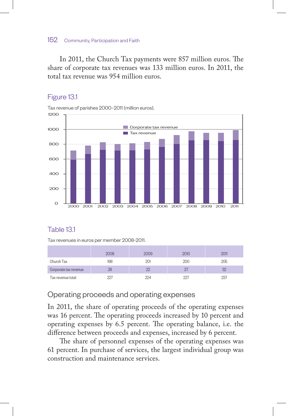In 2011, the Church Tax payments were 857 million euros. The share of corporate tax revenues was 133 million euros. In 2011, the total tax revenue was 954 million euros.

# Figure 13.1

Tax revenue of parishes 2000–2011 (million euros).



## Table 13.1

Tax revenues in euros per member 2008-2011.

|                       | או זו זי | 2009 |       | ווו א |
|-----------------------|----------|------|-------|-------|
| Church Tax            | 198      |      | ו )∩י | 205   |
| Corporate tax revenue |          |      |       |       |
| Tax revenue total     |          | ۰,۸  |       |       |

## Operating proceeds and operating expenses

In 2011, the share of operating proceeds of the operating expenses was 16 percent. The operating proceeds increased by 10 percent and operating expenses by 6.5 percent. The operating balance, i.e. the difference between proceeds and expenses, increased by 6 percent.

The share of personnel expenses of the operating expenses was 61 percent. In purchase of services, the largest individual group was construction and maintenance services.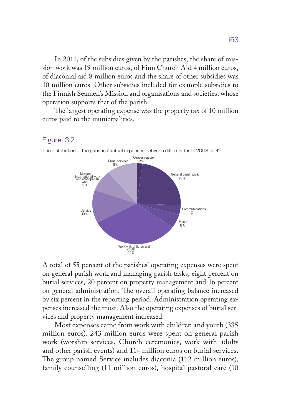In 2011, of the subsidies given by the parishes, the share of mission work was 19 million euros, of Finn Church Aid 4 million euros, of diaconial aid 8 million euros and the share of other subsidies was 10 million euros. Other subsidies included for example subsidies to the Finnish Seamen's Mission and organisations and societies, whose operation supports that of the parish.

The largest operating expense was the property tax of 10 million euros paid to the municipalities.

#### Figure 13.2



The distribution of the parishes' actual expenses between different tasks 2008–2011.

A total of 55 percent of the parishes' operating expenses were spent on general parish work and managing parish tasks, eight percent on burial services, 20 percent on property management and 16 percent on general administration. The overall operating balance increased by six percent in the reporting period. Administration operating expenses increased the most. Also the operating expenses of burial services and property management increased.

Most expenses came from work with children and youth (335 million euros). 243 million euros were spent on general parish work (worship services, Church ceremonies, work with adults and other parish events) and 114 million euros on burial services. The group named Service includes diaconia (112 million euros), family counselling (11 million euros), hospital pastoral care (10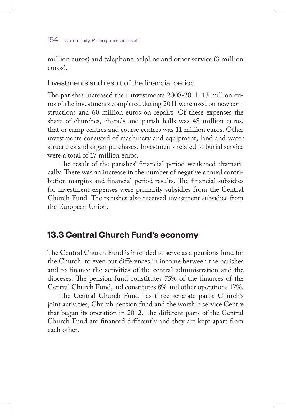million euros) and telephone helpline and other service (3 million euros).

# Investments and result of the financial period

The parishes increased their investments 2008-2011. 13 million euros of the investments completed during 2011 were used on new constructions and 60 million euros on repairs. Of these expenses the share of churches, chapels and parish halls was 48 million euros, that or camp centres and course centres was 11 million euros. Other investments consisted of machinery and equipment, land and water structures and organ purchases. Investments related to burial service were a total of 17 million euros.

The result of the parishes' financial period weakened dramatically. There was an increase in the number of negative annual contribution margins and financial period results. The financial subsidies for investment expenses were primarily subsidies from the Central Church Fund. The parishes also received investment subsidies from the European Union.

# **13.3 Central Church Fund's economy**

The Central Church Fund is intended to serve as a pensions fund for the Church, to even out differences in income between the parishes and to finance the activities of the central administration and the dioceses. The pension fund constitutes 75% of the finances of the Central Church Fund, aid constitutes 8% and other operations 17%.

The Central Church Fund has three separate parts: Church's joint activities, Church pension fund and the worship service Centre that began its operation in 2012. The different parts of the Central Church Fund are financed differently and they are kept apart from each other.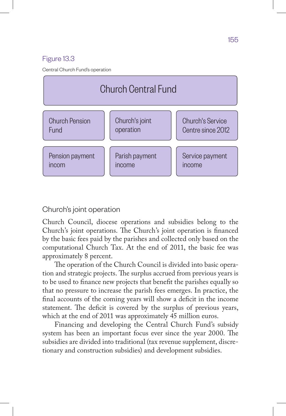### Figure 13.3

Central Church Fund's operation



### Church's joint operation

Church Council, diocese operations and subsidies belong to the Church's joint operations. The Church's joint operation is financed by the basic fees paid by the parishes and collected only based on the computational Church Tax. At the end of 2011, the basic fee was approximately 8 percent.

The operation of the Church Council is divided into basic operation and strategic projects. The surplus accrued from previous years is to be used to finance new projects that benefit the parishes equally so that no pressure to increase the parish fees emerges. In practice, the final accounts of the coming years will show a deficit in the income statement. The deficit is covered by the surplus of previous years, which at the end of 2011 was approximately 45 million euros.

Financing and developing the Central Church Fund's subsidy system has been an important focus ever since the year 2000. The subsidies are divided into traditional (tax revenue supplement, discretionary and construction subsidies) and development subsidies.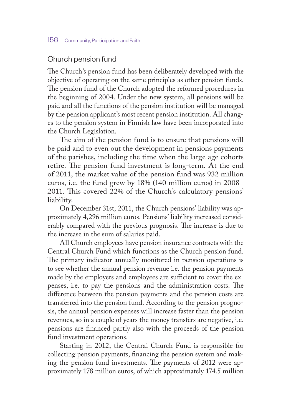### Church pension fund

The Church's pension fund has been deliberately developed with the objective of operating on the same principles as other pension funds. The pension fund of the Church adopted the reformed procedures in the beginning of 2004. Under the new system, all pensions will be paid and all the functions of the pension institution will be managed by the pension applicant's most recent pension institution. All changes to the pension system in Finnish law have been incorporated into the Church Legislation.

The aim of the pension fund is to ensure that pensions will be paid and to even out the development in pensions payments of the parishes, including the time when the large age cohorts retire. The pension fund investment is long-term. At the end of 2011, the market value of the pension fund was 932 million euros, i.e. the fund grew by 18% (140 million euros) in 2008– 2011. This covered 22% of the Church's calculatory pensions' liability.

On December 31st, 2011, the Church pensions' liability was approximately 4,296 million euros. Pensions' liability increased considerably compared with the previous prognosis. The increase is due to the increase in the sum of salaries paid.

All Church employees have pension insurance contracts with the Central Church Fund which functions as the Church pension fund. The primary indicator annually monitored in pension operations is to see whether the annual pension revenue i.e. the pension payments made by the employers and employees are sufficient to cover the expenses, i.e. to pay the pensions and the administration costs. The difference between the pension payments and the pension costs are transferred into the pension fund. According to the pension prognosis, the annual pension expenses will increase faster than the pension revenues, so in a couple of years the money transfers are negative, i.e. pensions are financed partly also with the proceeds of the pension fund investment operations.

Starting in 2012, the Central Church Fund is responsible for collecting pension payments, financing the pension system and making the pension fund investments. The payments of 2012 were approximately 178 million euros, of which approximately 174.5 million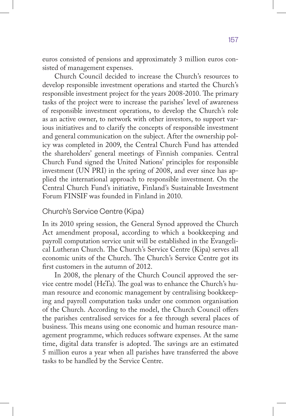euros consisted of pensions and approximately 3 million euros consisted of management expenses.

Church Council decided to increase the Church's resources to develop responsible investment operations and started the Church's responsible investment project for the years 2008-2010. The primary tasks of the project were to increase the parishes' level of awareness of responsible investment operations, to develop the Church's role as an active owner, to network with other investors, to support various initiatives and to clarify the concepts of responsible investment and general communication on the subject. After the ownership policy was completed in 2009, the Central Church Fund has attended the shareholders' general meetings of Finnish companies. Central Church Fund signed the United Nations' principles for responsible investment (UN PRI) in the spring of 2008, and ever since has applied the international approach to responsible investment. On the Central Church Fund's initiative, Finland's Sustainable Investment Forum FINSIF was founded in Finland in 2010.

## Church's Service Centre (Kipa)

In its 2010 spring session, the General Synod approved the Church Act amendment proposal, according to which a bookkeeping and payroll computation service unit will be established in the Evangelical Lutheran Church. The Church's Service Centre (Kipa) serves all economic units of the Church. The Church's Service Centre got its first customers in the autumn of 2012.

In 2008, the plenary of the Church Council approved the service centre model (HeTa). The goal was to enhance the Church's human resource and economic management by centralising bookkeeping and payroll computation tasks under one common organisation of the Church. According to the model, the Church Council offers the parishes centralised services for a fee through several places of business. This means using one economic and human resource management programme, which reduces software expenses. At the same time, digital data transfer is adopted. The savings are an estimated 5 million euros a year when all parishes have transferred the above tasks to be handled by the Service Centre.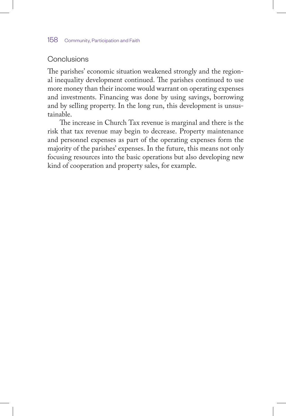# Conclusions

The parishes' economic situation weakened strongly and the regional inequality development continued. The parishes continued to use more money than their income would warrant on operating expenses and investments. Financing was done by using savings, borrowing and by selling property. In the long run, this development is unsustainable.

The increase in Church Tax revenue is marginal and there is the risk that tax revenue may begin to decrease. Property maintenance and personnel expenses as part of the operating expenses form the majority of the parishes' expenses. In the future, this means not only focusing resources into the basic operations but also developing new kind of cooperation and property sales, for example.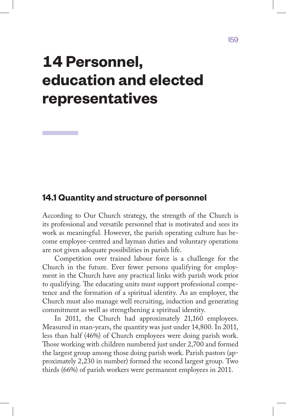# **14 Personnel, education and elected representatives**

# **14.1 Quantity and structure of personnel**

According to Our Church strategy, the strength of the Church is its professional and versatile personnel that is motivated and sees its work as meaningful. However, the parish operating culture has become employee-centred and layman duties and voluntary operations are not given adequate possibilities in parish life.

Competition over trained labour force is a challenge for the Church in the future. Ever fewer persons qualifying for employment in the Church have any practical links with parish work prior to qualifying. The educating units must support professional competence and the formation of a spiritual identity. As an employer, the Church must also manage well recruiting, induction and generating commitment as well as strengthening a spiritual identity.

In 2011, the Church had approximately 21,160 employees. Measured in man-years, the quantity was just under 14,800. In 2011, less than half (46%) of Church employees were doing parish work. Those working with children numbered just under 2,700 and formed the largest group among those doing parish work. Parish pastors (approximately 2,230 in number) formed the second largest group. Two thirds (66%) of parish workers were permanent employees in 2011.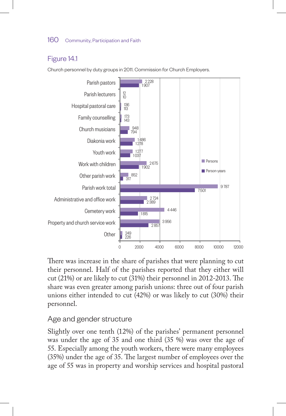# Figure 14.1

Church personnel by duty groups in 2011. Commission for Church Employers.



There was increase in the share of parishes that were planning to cut their personnel. Half of the parishes reported that they either will cut (21%) or are likely to cut (31%) their personnel in 2012-2013. The share was even greater among parish unions: three out of four parish unions either intended to cut (42%) or was likely to cut (30%) their personnel.

# Age and gender structure

Slightly over one tenth (12%) of the parishes' permanent personnel was under the age of 35 and one third (35 %) was over the age of 55. Especially among the youth workers, there were many employees (35%) under the age of 35. The largest number of employees over the age of 55 was in property and worship services and hospital pastoral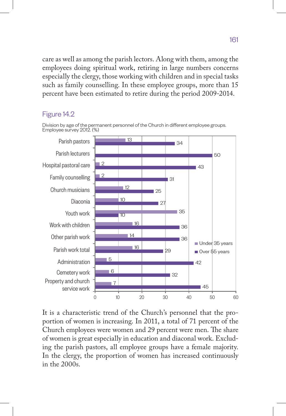care as well as among the parish lectors. Along with them, among the employees doing spiritual work, retiring in large numbers concerns especially the clergy, those working with children and in special tasks such as family counselling. In these employee groups, more than 15 percent have been estimated to retire during the period 2009-2014.

#### Figure 14.2



Division by age of the permanent personnel of the Church in different employee groups. Employee survey 2012. (%)

It is a characteristic trend of the Church's personnel that the proportion of women is increasing. In 2011, a total of 71 percent of the Church employees were women and 29 percent were men. The share of women is great especially in education and diaconal work. Excluding the parish pastors, all employee groups have a female majority. In the clergy, the proportion of women has increased continuously in the 2000s.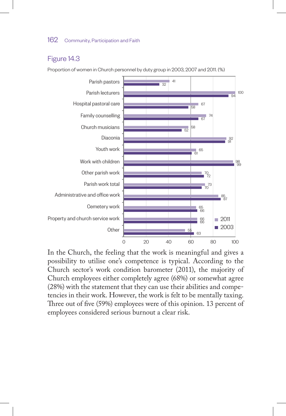#### Figure 14.3

Proportion of women in Church personnel by duty group in 2003, 2007 and 2011. (%)



In the Church, the feeling that the work is meaningful and gives a possibility to utilise one's competence is typical. According to the Church sector's work condition barometer (2011), the majority of Church employees either completely agree (68%) or somewhat agree (28%) with the statement that they can use their abilities and competencies in their work. However, the work is felt to be mentally taxing. Three out of five (59%) employees were of this opinion. 13 percent of employees considered serious burnout a clear risk.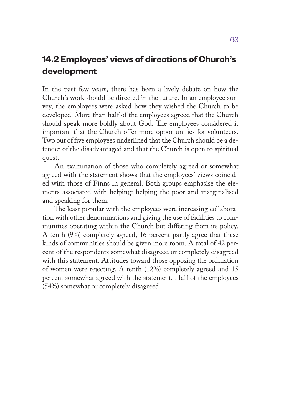# **14.2 Employees' views of directions of Church's development**

In the past few years, there has been a lively debate on how the Church's work should be directed in the future. In an employee survey, the employees were asked how they wished the Church to be developed. More than half of the employees agreed that the Church should speak more boldly about God. The employees considered it important that the Church offer more opportunities for volunteers. Two out of five employees underlined that the Church should be a defender of the disadvantaged and that the Church is open to spiritual quest.

An examination of those who completely agreed or somewhat agreed with the statement shows that the employees' views coincided with those of Finns in general. Both groups emphasise the elements associated with helping: helping the poor and marginalised and speaking for them.

The least popular with the employees were increasing collaboration with other denominations and giving the use of facilities to communities operating within the Church but differing from its policy. A tenth (9%) completely agreed, 16 percent partly agree that these kinds of communities should be given more room. A total of 42 percent of the respondents somewhat disagreed or completely disagreed with this statement. Attitudes toward those opposing the ordination of women were rejecting. A tenth (12%) completely agreed and 15 percent somewhat agreed with the statement. Half of the employees (54%) somewhat or completely disagreed.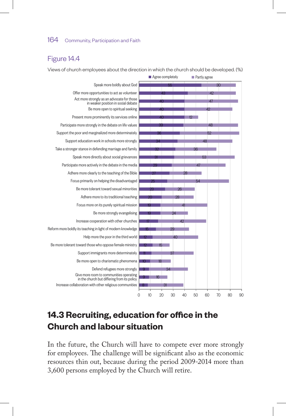# Figure 14.4

Views of church employees about the direction in which the church should be developed. (%)



# **14.3 Recruiting, education for office in the Church and labour situation**

In the future, the Church will have to compete ever more strongly for employees. The challenge will be significant also as the economic resources thin out, because during the period 2009-2014 more than 3,600 persons employed by the Church will retire.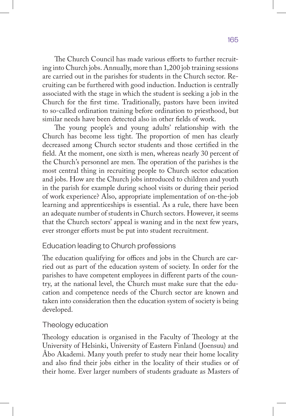The Church Council has made various efforts to further recruiting into Church jobs. Annually, more than 1,200 job training sessions are carried out in the parishes for students in the Church sector. Recruiting can be furthered with good induction. Induction is centrally associated with the stage in which the student is seeking a job in the Church for the first time. Traditionally, pastors have been invited to so-called ordination training before ordination to priesthood, but similar needs have been detected also in other fields of work.

The young people's and young adults' relationship with the Church has become less tight. The proportion of men has clearly decreased among Church sector students and those certified in the field. At the moment, one sixth is men, whereas nearly 30 percent of the Church's personnel are men. The operation of the parishes is the most central thing in recruiting people to Church sector education and jobs. How are the Church jobs introduced to children and youth in the parish for example during school visits or during their period of work experience? Also, appropriate implementation of on-the-job learning and apprenticeships is essential. As a rule, there have been an adequate number of students in Church sectors. However, it seems that the Church sectors' appeal is waning and in the next few years, ever stronger efforts must be put into student recruitment.

## Education leading to Church professions

The education qualifying for offices and jobs in the Church are carried out as part of the education system of society. In order for the parishes to have competent employees in different parts of the country, at the national level, the Church must make sure that the education and competence needs of the Church sector are known and taken into consideration then the education system of society is being developed.

# Theology education

Theology education is organised in the Faculty of Theology at the University of Helsinki, University of Eastern Finland (Joensuu) and Åbo Akademi. Many youth prefer to study near their home locality and also find their jobs either in the locality of their studies or of their home. Ever larger numbers of students graduate as Masters of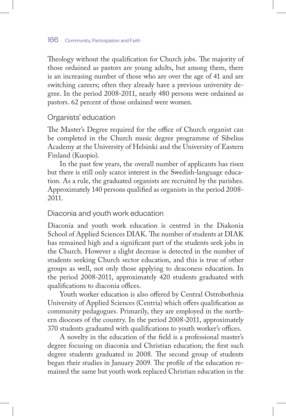Theology without the qualification for Church jobs. The majority of those ordained as pastors are young adults, but among them, there is an increasing number of those who are over the age of 41 and are switching careers; often they already have a previous university degree. In the period 2008-2011, nearly 480 persons were ordained as pastors. 62 percent of those ordained were women.

#### Organists' education

The Master's Degree required for the office of Church organist can be completed in the Church music degree programme of Sibelius Academy at the University of Helsinki and the University of Eastern Finland (Kuopio).

In the past few years, the overall number of applicants has risen but there is still only scarce interest in the Swedish-language education. As a rule, the graduated organists are recruited by the parishes. Approximately 140 persons qualified as organists in the period 2008- 2011.

## Diaconia and youth work education

Diaconia and youth work education is centred in the Diakonia School of Applied Sciences DIAK. The number of students at DIAK has remained high and a significant part of the students seek jobs in the Church. However a slight decrease is detected in the number of students seeking Church sector education, and this is true of other groups as well, not only those applying to deaconess education. In the period 2008-2011, approximately 420 students graduated with qualifications to diaconia offices.

Youth worker education is also offered by Central Ostrobothnia University of Applied Sciences (Centria) which offers qualification as community pedagogues. Primarily, they are employed in the northern dioceses of the country. In the period 2008-2011, approximately 370 students graduated with qualifications to youth worker's offices.

A novelty in the education of the field is a professional master's degree focusing on diaconia and Christian education; the first such degree students graduated in 2008. The second group of students began their studies in January 2009. The profile of the education remained the same but youth work replaced Christian education in the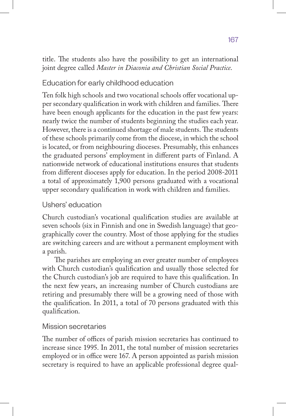title. The students also have the possibility to get an international joint degree called *Master in Diaconia and Christian Social Practice*.

# Education for early childhood education

Ten folk high schools and two vocational schools offer vocational upper secondary qualification in work with children and families. There have been enough applicants for the education in the past few years: nearly twice the number of students beginning the studies each year. However, there is a continued shortage of male students. The students of these schools primarily come from the diocese, in which the school is located, or from neighbouring dioceses. Presumably, this enhances the graduated persons' employment in different parts of Finland. A nationwide network of educational institutions ensures that students from different dioceses apply for education. In the period 2008-2011 a total of approximately 1,900 persons graduated with a vocational upper secondary qualification in work with children and families.

# Ushers' education

Church custodian's vocational qualification studies are available at seven schools (six in Finnish and one in Swedish language) that geographically cover the country. Most of those applying for the studies are switching careers and are without a permanent employment with a parish.

The parishes are employing an ever greater number of employees with Church custodian's qualification and usually those selected for the Church custodian's job are required to have this qualification. In the next few years, an increasing number of Church custodians are retiring and presumably there will be a growing need of those with the qualification. In 2011, a total of 70 persons graduated with this qualification.

# Mission secretaries

The number of offices of parish mission secretaries has continued to increase since 1995. In 2011, the total number of mission secretaries employed or in office were 167. A person appointed as parish mission secretary is required to have an applicable professional degree qual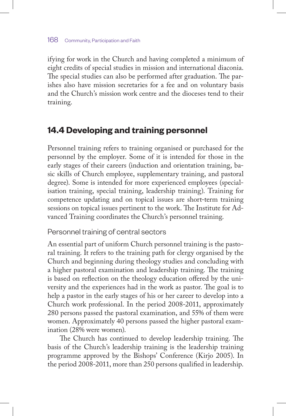ifying for work in the Church and having completed a minimum of eight credits of special studies in mission and international diaconia. The special studies can also be performed after graduation. The parishes also have mission secretaries for a fee and on voluntary basis and the Church's mission work centre and the dioceses tend to their training.

# **14.4 Developing and training personnel**

Personnel training refers to training organised or purchased for the personnel by the employer. Some of it is intended for those in the early stages of their careers (induction and orientation training, basic skills of Church employee, supplementary training, and pastoral degree). Some is intended for more experienced employees (specialisation training, special training, leadership training). Training for competence updating and on topical issues are short-term training sessions on topical issues pertinent to the work. The Institute for Advanced Training coordinates the Church's personnel training.

Personnel training of central sectors

An essential part of uniform Church personnel training is the pastoral training. It refers to the training path for clergy organised by the Church and beginning during theology studies and concluding with a higher pastoral examination and leadership training. The training is based on reflection on the theology education offered by the university and the experiences had in the work as pastor. The goal is to help a pastor in the early stages of his or her career to develop into a Church work professional. In the period 2008-2011, approximately 280 persons passed the pastoral examination, and 55% of them were women. Approximately 40 persons passed the higher pastoral examination (28% were women).

The Church has continued to develop leadership training. The basis of the Church's leadership training is the leadership training programme approved by the Bishops' Conference (Kirjo 2005). In the period 2008-2011, more than 250 persons qualified in leadership.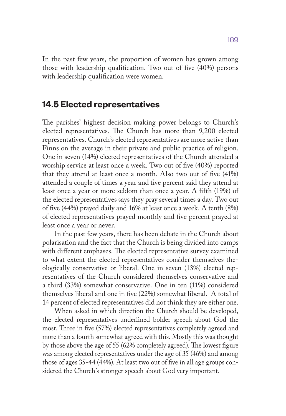In the past few years, the proportion of women has grown among those with leadership qualification. Two out of five (40%) persons with leadership qualification were women.

# **14.5 Elected representatives**

The parishes' highest decision making power belongs to Church's elected representatives. The Church has more than 9,200 elected representatives. Church's elected representatives are more active than Finns on the average in their private and public practice of religion. One in seven (14%) elected representatives of the Church attended a worship service at least once a week. Two out of five (40%) reported that they attend at least once a month. Also two out of five (41%) attended a couple of times a year and five percent said they attend at least once a year or more seldom than once a year. A fifth (19%) of the elected representatives says they pray several times a day. Two out of five (44%) prayed daily and 16% at least once a week. A tenth (8%) of elected representatives prayed monthly and five percent prayed at least once a year or never.

In the past few years, there has been debate in the Church about polarisation and the fact that the Church is being divided into camps with different emphases. The elected representative survey examined to what extent the elected representatives consider themselves theologically conservative or liberal. One in seven (13%) elected representatives of the Church considered themselves conservative and a third (33%) somewhat conservative. One in ten (11%) considered themselves liberal and one in five (22%) somewhat liberal. A total of 14 percent of elected representatives did not think they are either one.

When asked in which direction the Church should be developed, the elected representatives underlined bolder speech about God the most. Three in five (57%) elected representatives completely agreed and more than a fourth somewhat agreed with this. Mostly this was thought by those above the age of 55 (62% completely agreed). The lowest figure was among elected representatives under the age of 35 (46%) and among those of ages 35-44 (44%). At least two out of five in all age groups considered the Church's stronger speech about God very important.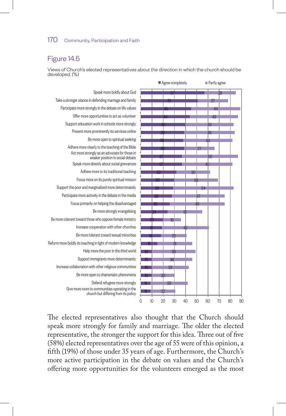# Figure 14.5

Views of Church's elected representatives about the direction in which the church should be developed. (%)



The elected representatives also thought that the Church should speak more strongly for family and marriage. The older the elected representative, the stronger the support for this idea. Three out of five (58%) elected representatives over the age of 55 were of this opinion, a fifth (19%) of those under 35 years of age. Furthermore, the Church's more active participation in the debate on values and the Church's offering more opportunities for the volunteers emerged as the most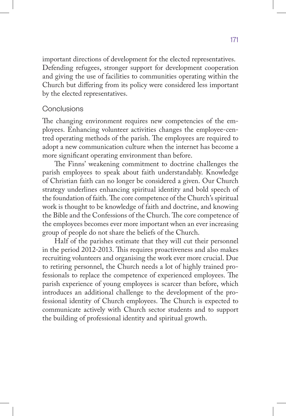important directions of development for the elected representatives. Defending refugees, stronger support for development cooperation and giving the use of facilities to communities operating within the Church but differing from its policy were considered less important by the elected representatives.

#### **Conclusions**

The changing environment requires new competencies of the employees. Enhancing volunteer activities changes the employee-centred operating methods of the parish. The employees are required to adopt a new communication culture when the internet has become a more significant operating environment than before.

The Finns' weakening commitment to doctrine challenges the parish employees to speak about faith understandably. Knowledge of Christian faith can no longer be considered a given. Our Church strategy underlines enhancing spiritual identity and bold speech of the foundation of faith. The core competence of the Church's spiritual work is thought to be knowledge of faith and doctrine, and knowing the Bible and the Confessions of the Church. The core competence of the employees becomes ever more important when an ever increasing group of people do not share the beliefs of the Church.

Half of the parishes estimate that they will cut their personnel in the period 2012-2013. This requires proactiveness and also makes recruiting volunteers and organising the work ever more crucial. Due to retiring personnel, the Church needs a lot of highly trained professionals to replace the competence of experienced employees. The parish experience of young employees is scarcer than before, which introduces an additional challenge to the development of the professional identity of Church employees. The Church is expected to communicate actively with Church sector students and to support the building of professional identity and spiritual growth.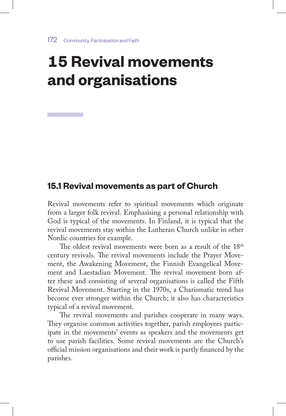# **15 Revival movements and organisations**

# **15.1 Revival movements as part of Church**

Revival movements refer to spiritual movements which originate from a larger folk revival. Emphasising a personal relationship with God is typical of the movements. In Finland, it is typical that the revival movements stay within the Lutheran Church unlike in other Nordic countries for example.

The oldest revival movements were born as a result of the 18<sup>th</sup> century revivals. The revival movements include the Prayer Movement, the Awakening Movement, the Finnish Evangelical Movement and Laestadian Movement. The revival movement born after these and consisting of several organisations is called the Fifth Revival Movement. Starting in the 1970s, a Charismatic trend has become ever stronger within the Church; it also has characteristics typical of a revival movement.

The revival movements and parishes cooperate in many ways. They organise common activities together, parish employees participate in the movements' events as speakers and the movements get to use parish facilities. Some revival movements are the Church's official mission organisations and their work is partly financed by the parishes.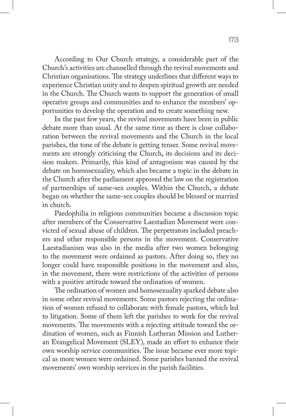According to Our Church strategy, a considerable part of the Church's activities are channelled through the revival movements and Christian organisations. The strategy underlines that different ways to experience Christian unity and to deepen spiritual growth are needed in the Church. The Church wants to support the generation of small operative groups and communities and to enhance the members' opportunities to develop the operation and to create something new.

In the past few years, the revival movements have been in public debate more than usual. At the same time as there is close collaboration between the revival movements and the Church in the local parishes, the tone of the debate is getting tenser. Some revival movements are strongly criticising the Church, its decisions and its decision makers. Primarily, this kind of antagonism was caused by the debate on homosexuality, which also became a topic in the debate in the Church after the parliament approved the law on the registration of partnerships of same-sex couples. Within the Church, a debate began on whether the same-sex couples should be blessed or married in church.

Paedophilia in religious communities became a discussion topic after members of the Conservative Laestadian Movement were convicted of sexual abuse of children. The perpetrators included preachers and other responsible persons in the movement. Conservative Laestadianism was also in the media after two women belonging to the movement were ordained as pastors. After doing so, they no longer could have responsible positions in the movement and also, in the movement, there were restrictions of the activities of persons with a positive attitude toward the ordination of women.

The ordination of women and homosexuality sparked debate also in some other revival movements. Some pastors rejecting the ordination of women refused to collaborate with female pastors, which led to litigation. Some of them left the parishes to work for the revival movements. The movements with a rejecting attitude toward the ordination of women, such as Finnish Lutheran Mission and Lutheran Evangelical Movement (SLEY), made an effort to enhance their own worship service communities. The issue became ever more topical as more women were ordained. Some parishes banned the revival movements' own worship services in the parish facilities.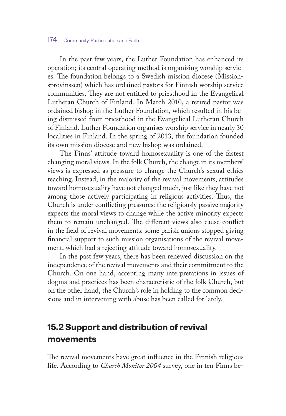In the past few years, the Luther Foundation has enhanced its operation; its central operating method is organising worship services. The foundation belongs to a Swedish mission diocese (Missionsprovinssen) which has ordained pastors for Finnish worship service communities. They are not entitled to priesthood in the Evangelical Lutheran Church of Finland. In March 2010, a retired pastor was ordained bishop in the Luther Foundation, which resulted in his being dismissed from priesthood in the Evangelical Lutheran Church of Finland. Luther Foundation organises worship service in nearly 30 localities in Finland. In the spring of 2013, the foundation founded its own mission diocese and new bishop was ordained.

The Finns' attitude toward homosexuality is one of the fastest changing moral views. In the folk Church, the change in its members' views is expressed as pressure to change the Church's sexual ethics teaching. Instead, in the majority of the revival movements, attitudes toward homosexuality have not changed much, just like they have not among those actively participating in religious activities. Thus, the Church is under conflicting pressures: the religiously passive majority expects the moral views to change while the active minority expects them to remain unchanged. The different views also cause conflict in the field of revival movements: some parish unions stopped giving financial support to such mission organisations of the revival movement, which had a rejecting attitude toward homosexuality.

In the past few years, there has been renewed discussion on the independence of the revival movements and their commitment to the Church. On one hand, accepting many interpretations in issues of dogma and practices has been characteristic of the folk Church, but on the other hand, the Church's role in holding to the common decisions and in intervening with abuse has been called for lately.

# **15.2 Support and distribution of revival movements**

The revival movements have great influence in the Finnish religious life. According to *Church Monitor 2004* survey, one in ten Finns be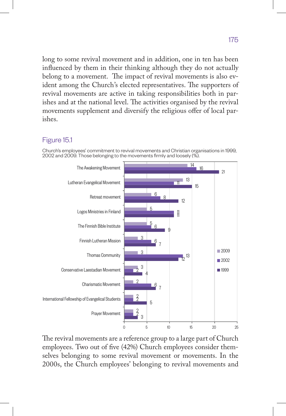long to some revival movement and in addition, one in ten has been influenced by them in their thinking although they do not actually belong to a movement. The impact of revival movements is also evident among the Church's elected representatives. The supporters of revival movements are active in taking responsibilities both in parishes and at the national level. The activities organised by the revival movements supplement and diversify the religious offer of local parishes.

#### Figure 15.1

Church's employees' commitment to revival movements and Christian organisations in 1999, 2002 and 2009. Those belonging to the movements firmly and loosely (%).



The revival movements are a reference group to a large part of Church employees. Two out of five (42%) Church employees consider themselves belonging to some revival movement or movements. In the 2000s, the Church employees' belonging to revival movements and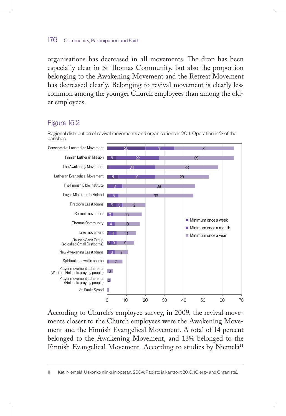organisations has decreased in all movements. The drop has been especially clear in St Thomas Community, but also the proportion belonging to the Awakening Movement and the Retreat Movement has decreased clearly. Belonging to revival movement is clearly less common among the younger Church employees than among the older employees.

## Figure 15.2





According to Church's employee survey, in 2009, the revival movements closest to the Church employees were the Awakening Movement and the Finnish Evangelical Movement. A total of 14 percent belonged to the Awakening Movement, and 13% belonged to the Finnish Evangelical Movement. According to studies by Niemelä<sup>11</sup>

11 Kati Niemelä: Uskonko niinkuin opetan, 2004; Papisto ja kanttorit 2010. (Clergy and Organists).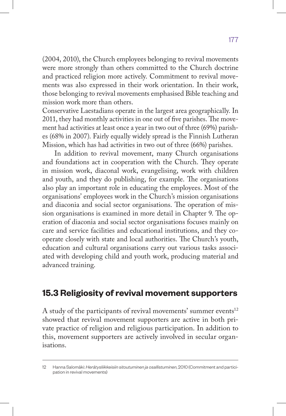(2004, 2010), the Church employees belonging to revival movements were more strongly than others committed to the Church doctrine and practiced religion more actively. Commitment to revival movements was also expressed in their work orientation. In their work, those belonging to revival movements emphasised Bible teaching and mission work more than others.

Conservative Laestadians operate in the largest area geographically. In 2011, they had monthly activities in one out of five parishes. The movement had activities at least once a year in two out of three (69%) parishes (68% in 2007). Fairly equally widely spread is the Finnish Lutheran Mission, which has had activities in two out of three (66%) parishes.

In addition to revival movement, many Church organisations and foundations act in cooperation with the Church. They operate in mission work, diaconal work, evangelising, work with children and youth, and they do publishing, for example. The organisations also play an important role in educating the employees. Most of the organisations' employees work in the Church's mission organisations and diaconia and social sector organisations. The operation of mission organisations is examined in more detail in Chapter 9. The operation of diaconia and social sector organisations focuses mainly on care and service facilities and educational institutions, and they cooperate closely with state and local authorities. The Church's youth, education and cultural organisations carry out various tasks associated with developing child and youth work, producing material and advanced training.

# **15.3 Religiosity of revival movement supporters**

A study of the participants of revival movements' summer events<sup>12</sup> showed that revival movement supporters are active in both private practice of religion and religious participation. In addition to this, movement supporters are actively involved in secular organisations.

<sup>12</sup> Hanna Salomäki: *Herätysliikkeisiin sitoutuminen ja osallistuminen*, 2010 (Commitment and participation in revival movements)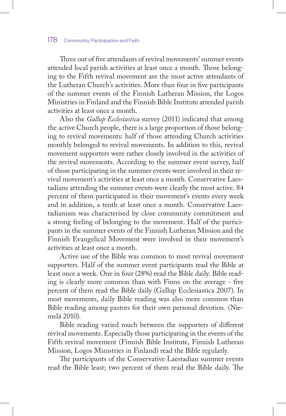Three out of five attendants of revival movements' summer events attended local parish activities at least once a month. Those belonging to the Fifth revival movement are the most active attendants of the Lutheran Church's activities. More than four in five participants of the summer events of the Finnish Lutheran Mission, the Logos Ministries in Finland and the Finnish Bible Institute attended parish activities at least once a month.

Also the *Gallup Ecclesiastica* survey (2011) indicated that among the active Church people, there is a large proportion of those belonging to revival movements: half of those attending Church activities monthly belonged to revival movements. In addition to this, revival movement supporters were rather closely involved in the activities of the revival movements. According to the summer event survey, half of those participating in the summer events were involved in their revival movement's activities at least once a month. Conservative Laestadians attending the summer events were clearly the most active. 84 percent of them participated in their movement's events every week and in addition, a tenth at least once a month. Conservative Laestadianism was characterised by close community commitment and a strong feeling of belonging to the movement. Half of the participants in the summer events of the Finnish Lutheran Mission and the Finnish Evangelical Movement were involved in their movement's activities at least once a month.

Active use of the Bible was common to most revival movement supporters. Half of the summer event participants read the Bible at least once a week. One in four (28%) read the Bible daily. Bible reading is clearly more common than with Finns on the average - five percent of them read the Bible daily (Gallup Ecclesiastica 2007). In most movements, daily Bible reading was also more common than Bible reading among pastors for their own personal devotion. (Niemelä 2010).

Bible reading varied much between the supporters of different revival movements. Especially those participating in the events of the Fifth revival movement (Finnish Bible Institute, Finnish Lutheran Mission, Logos Ministries in Finland) read the Bible regularly.

The participants of the Conservative Laestadian summer events read the Bible least; two percent of them read the Bible daily. The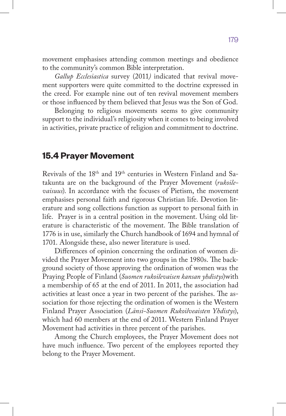movement emphasises attending common meetings and obedience to the community's common Bible interpretation.

*Gallup Ecclesiastica* survey (2011*)* indicated that revival movement supporters were quite committed to the doctrine expressed in the creed. For example nine out of ten revival movement members or those influenced by them believed that Jesus was the Son of God.

Belonging to religious movements seems to give community support to the individual's religiosity when it comes to being involved in activities, private practice of religion and commitment to doctrine.

# **15.4 Prayer Movement**

Revivals of the 18th and 19th centuries in Western Finland and Satakunta are on the background of the Prayer Movement (*rukoilevaisuus*). In accordance with the focuses of Pietism, the movement emphasises personal faith and rigorous Christian life. Devotion literature and song collections function as support to personal faith in life. Prayer is in a central position in the movement. Using old literature is characteristic of the movement. The Bible translation of 1776 is in use, similarly the Church handbook of 1694 and hymnal of 1701. Alongside these, also newer literature is used.

Differences of opinion concerning the ordination of women divided the Prayer Movement into two groups in the 1980s. The background society of those approving the ordination of women was the Praying People of Finland (*Suomen rukoilevaisen kansan yhdistys*)with a membership of 65 at the end of 2011. In 2011, the association had activities at least once a year in two percent of the parishes. The association for those rejecting the ordination of women is the Western Finland Prayer Association (*Länsi-Suomen Rukoilveaisten Yhdistys*), which had 60 members at the end of 2011. Western Finland Prayer Movement had activities in three percent of the parishes.

Among the Church employees, the Prayer Movement does not have much influence. Two percent of the employees reported they belong to the Prayer Movement.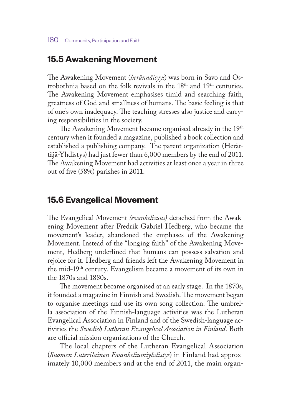# **15.5 Awakening Movement**

The Awakening Movement (*herännäisyys*) was born in Savo and Ostrobothnia based on the folk revivals in the 18th and 19th centuries. The Awakening Movement emphasises timid and searching faith, greatness of God and smallness of humans. The basic feeling is that of one's own inadequacy. The teaching stresses also justice and carrying responsibilities in the society.

The Awakening Movement became organised already in the 19<sup>th</sup> century when it founded a magazine, published a book collection and established a publishing company. The parent organization (Herättäjä-Yhdistys) had just fewer than 6,000 members by the end of 2011. The Awakening Movement had activities at least once a year in three out of five (58%) parishes in 2011.

# **15.6 Evangelical Movement**

The Evangelical Movement *(evankelisuus)* detached from the Awakening Movement after Fredrik Gabriel Hedberg, who became the movement's leader, abandoned the emphases of the Awakening Movement. Instead of the "longing faith" of the Awakening Movement, Hedberg underlined that humans can possess salvation and rejoice for it. Hedberg and friends left the Awakening Movement in the mid-19th century. Evangelism became a movement of its own in the 1870s and 1880s.

The movement became organised at an early stage. In the 1870s, it founded a magazine in Finnish and Swedish. The movement began to organise meetings and use its own song collection. The umbrella association of the Finnish-language activities was the Lutheran Evangelical Association in Finland and of the Swedish-language activities the *Swedish Lutheran Evangelical Association in Finland*. Both are official mission organisations of the Church.

The local chapters of the Lutheran Evangelical Association (*Suomen Luterilainen Evankeliumiyhdistys*) in Finland had approximately 10,000 members and at the end of 2011, the main organ-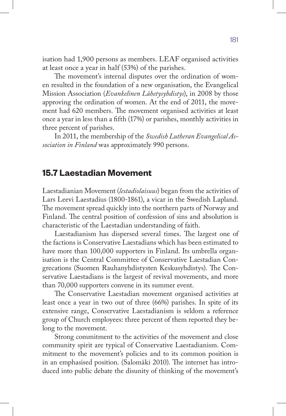isation had 1,900 persons as members. LEAF organised activities at least once a year in half (53%) of the parishes.

The movement's internal disputes over the ordination of women resulted in the foundation of a new organisation, the Evangelical Mission Association (*Evankelinen Lähetysyhdistys*), in 2008 by those approving the ordination of women. At the end of 2011, the movement had 620 members. The movement organised activities at least once a year in less than a fifth (17%) or parishes, monthly activities in three percent of parishes.

In 2011, the membership of the *Swedish Lutheran Evangelical Association in Finland* was approximately 990 persons.

# **15.7 Laestadian Movement**

Laestadianian Movement (*lestadiolaisuus*) began from the activities of Lars Leevi Laestadius (1800-1861), a vicar in the Swedish Lapland. The movement spread quickly into the northern parts of Norway and Finland. The central position of confession of sins and absolution is characteristic of the Laestadian understanding of faith.

Laestadianism has dispersed several times. The largest one of the factions is Conservative Laestadians which has been estimated to have more than 100,000 supporters in Finland. Its umbrella organisation is the Central Committee of Conservative Laestadian Congrecations (Suomen Rauhanyhdistysten Keskusyhdistys). The Conservative Laestadians is the largest of revival movements, and more than 70,000 supporters convene in its summer event.

The Conservative Laestadian movement organised activities at least once a year in two out of three (66%) parishes. In spite of its extensive range, Conservative Laestadianism is seldom a reference group of Church employees: three percent of them reported they belong to the movement.

Strong commitment to the activities of the movement and close community spirit are typical of Conservative Laestadianism. Commitment to the movement's policies and to its common position is in an emphasised position. (Salomäki 2010). The internet has introduced into public debate the disunity of thinking of the movement's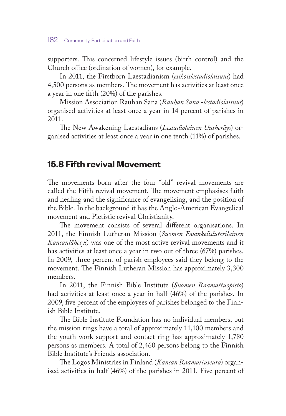supporters. This concerned lifestyle issues (birth control) and the Church office (ordination of women), for example.

In 2011, the Firstborn Laestadianism (*esikoislestadiolaisuus*) had 4,500 persons as members. The movement has activities at least once a year in one fifth (20%) of the parishes.

Mission Association Rauhan Sana (*Rauhan Sana -lestadiolaisuus*) organised activities at least once a year in 14 percent of parishes in 2011.

The New Awakening Laestadians (*Lestadiolainen Uusheräys*) organised activities at least once a year in one tenth (11%) of parishes.

# **15.8 Fifth revival Movement**

The movements born after the four "old" revival movements are called the Fifth revival movement. The movement emphasises faith and healing and the significance of evangelising, and the position of the Bible. In the background it has the Anglo-American Evangelical movement and Pietistic revival Christianity.

The movement consists of several different organisations. In 2011, the Finnish Lutheran Mission (*Suomen Evankelisluterilainen Kansanlähetys*) was one of the most active revival movements and it has activities at least once a year in two out of three (67%) parishes. In 2009, three percent of parish employees said they belong to the movement. The Finnish Lutheran Mission has approximately 3,300 members.

In 2011, the Finnish Bible Institute (*Suomen Raamattuopisto*) had activities at least once a year in half (46%) of the parishes. In 2009, five percent of the employees of parishes belonged to the Finnish Bible Institute.

The Bible Institute Foundation has no individual members, but the mission rings have a total of approximately 11,100 members and the youth work support and contact ring has approximately 1,780 persons as members. A total of 2,460 persons belong to the Finnish Bible Institute's Friends association.

The Logos Ministries in Finland (*Kansan Raamattuseura*) organised activities in half (46%) of the parishes in 2011. Five percent of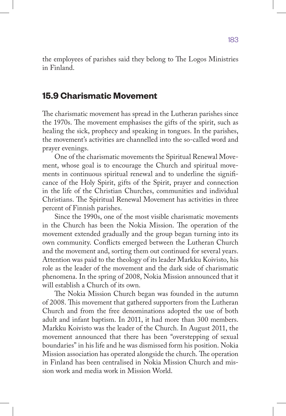the employees of parishes said they belong to The Logos Ministries in Finland.

# **15.9 Charismatic Movement**

The charismatic movement has spread in the Lutheran parishes since the 1970s. The movement emphasises the gifts of the spirit, such as healing the sick, prophecy and speaking in tongues. In the parishes, the movement's activities are channelled into the so-called word and prayer evenings.

One of the charismatic movements the Spiritual Renewal Movement, whose goal is to encourage the Church and spiritual movements in continuous spiritual renewal and to underline the significance of the Holy Spirit, gifts of the Spirit, prayer and connection in the life of the Christian Churches, communities and individual Christians. The Spiritual Renewal Movement has activities in three percent of Finnish parishes.

Since the 1990s, one of the most visible charismatic movements in the Church has been the Nokia Mission. The operation of the movement extended gradually and the group began turning into its own community. Conflicts emerged between the Lutheran Church and the movement and, sorting them out continued for several years. Attention was paid to the theology of its leader Markku Koivisto, his role as the leader of the movement and the dark side of charismatic phenomena. In the spring of 2008, Nokia Mission announced that it will establish a Church of its own.

The Nokia Mission Church began was founded in the autumn of 2008. This movement that gathered supporters from the Lutheran Church and from the free denominations adopted the use of both adult and infant baptism. In 2011, it had more than 300 members. Markku Koivisto was the leader of the Church. In August 2011, the movement announced that there has been "overstepping of sexual boundaries" in his life and he was dismissed form his position. Nokia Mission association has operated alongside the church. The operation in Finland has been centralised in Nokia Mission Church and mission work and media work in Mission World.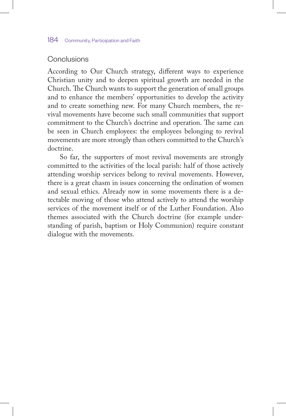## Conclusions

According to Our Church strategy, different ways to experience Christian unity and to deepen spiritual growth are needed in the Church. The Church wants to support the generation of small groups and to enhance the members' opportunities to develop the activity and to create something new. For many Church members, the revival movements have become such small communities that support commitment to the Church's doctrine and operation. The same can be seen in Church employees: the employees belonging to revival movements are more strongly than others committed to the Church's doctrine.

So far, the supporters of most revival movements are strongly committed to the activities of the local parish: half of those actively attending worship services belong to revival movements. However, there is a great chasm in issues concerning the ordination of women and sexual ethics. Already now in some movements there is a detectable moving of those who attend actively to attend the worship services of the movement itself or of the Luther Foundation. Also themes associated with the Church doctrine (for example understanding of parish, baptism or Holy Communion) require constant dialogue with the movements.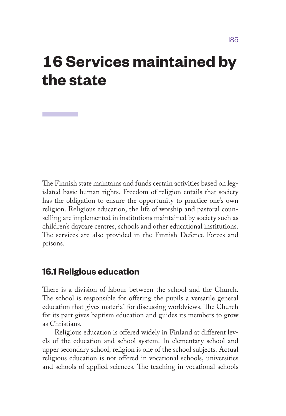# **16 Services maintained by the state**

The Finnish state maintains and funds certain activities based on legislated basic human rights. Freedom of religion entails that society has the obligation to ensure the opportunity to practice one's own religion. Religious education, the life of worship and pastoral counselling are implemented in institutions maintained by society such as children's daycare centres, schools and other educational institutions. The services are also provided in the Finnish Defence Forces and prisons.

# **16.1 Religious education**

There is a division of labour between the school and the Church. The school is responsible for offering the pupils a versatile general education that gives material for discussing worldviews. The Church for its part gives baptism education and guides its members to grow as Christians.

Religious education is offered widely in Finland at different levels of the education and school system. In elementary school and upper secondary school, religion is one of the school subjects. Actual religious education is not offered in vocational schools, universities and schools of applied sciences. The teaching in vocational schools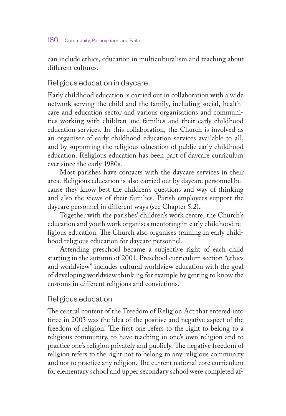#### 186 Community, Participation and Faith

can include ethics, education in multiculturalism and teaching about different cultures.

## Religious education in daycare

Early childhood education is carried out in collaboration with a wide network serving the child and the family, including social, healthcare and education sector and various organisations and communities working with children and families and their early childhood education services. In this collaboration, the Church is involved as an organiser of early childhood education services available to all, and by supporting the religious education of public early childhood education. Religious education has been part of daycare curriculum ever since the early 1980s.

Most parishes have contacts with the daycare services in their area. Religious education is also carried out by daycare personnel because they know best the children's questions and way of thinking and also the views of their families. Parish employees support the daycare personnel in different ways (see Chapter 5.2).

Together with the parishes' children's work centre, the Church's education and youth work organises mentoring in early childhood religious education. The Church also organises training in early childhood religious education for daycare personnel.

Attending preschool became a subjective right of each child starting in the autumn of 2001. Preschool curriculum section "ethics and worldview" includes cultural worldview education with the goal of developing worldview thinking for example by getting to know the customs in different religions and convictions.

## Religious education

The central content of the Freedom of Religion Act that entered into force in 2003 was the idea of the positive and negative aspect of the freedom of religion. The first one refers to the right to belong to a religious community, to have teaching in one's own religion and to practice one's religion privately and publicly. The negative freedom of religion refers to the right not to belong to any religious community and not to practice any religion. The current national core curriculum for elementary school and upper secondary school were completed af-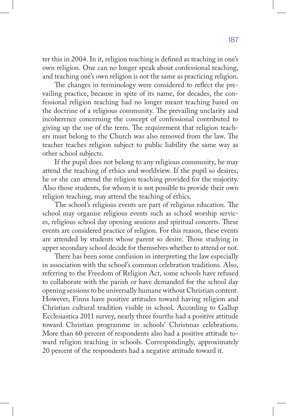ter this in 2004. In it, religion teaching is defined as teaching in one's own religion. One can no longer speak about confessional teaching, and teaching one's own religion is not the same as practicing religion.

The changes in terminology were considered to reflect the prevailing practice, because in spite of its name, for decades, the confessional religion teaching had no longer meant teaching based on the doctrine of a religious community. The prevailing unclarity and incoherence concerning the concept of confessional contributed to giving up the use of the term. The requirement that religion teachers must belong to the Church was also removed from the law. The teacher teaches religion subject to public liability the same way as other school subjects.

If the pupil does not belong to any religious community, he may attend the teaching of ethics and worldview. If the pupil so desires, he or she can attend the religion teaching provided for the majority. Also those students, for whom it is not possible to provide their own religion teaching, may attend the teaching of ethics.

The school's religious events are part of religious education. The school may organise religious events such as school worship services, religious school day opening sessions and spiritual concerts. These events are considered practice of religion. For this reason, these events are attended by students whose parent so desire. Those studying in upper secondary school decide for themselves whether to attend or not.

There has been some confusion in interpreting the law especially in association with the school's common celebration traditions. Also, referring to the Freedom of Religion Act, some schools have refused to collaborate with the parish or have demanded for the school day opening sessions to be universally humane without Christian content. However, Finns have positive attitudes toward having religion and Christian cultural tradition visible in school. According to Gallup Ecclesiastica 2011 survey, nearly three fourths had a positive attitude toward Christian programme in schools' Christmas celebrations. More than 60 percent of respondents also had a positive attitude toward religion teaching in schools. Correspondingly, approximately 20 percent of the respondents had a negative attitude toward it.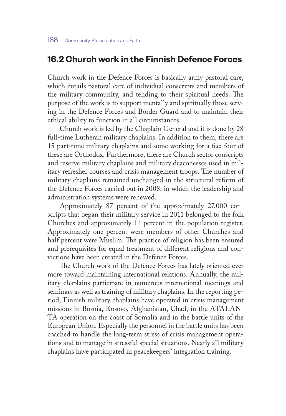# **16.2 Church work in the Finnish Defence Forces**

Church work in the Defence Forces is basically army pastoral care, which entails pastoral care of individual conscripts and members of the military community, and tending to their spiritual needs. The purpose of the work is to support mentally and spiritually those serving in the Defence Forces and Border Guard and to maintain their ethical ability to function in all circumstances.

Church work is led by the Chaplain General and it is done by 28 full-time Lutheran military chaplains. In addition to them, there are 15 part-time military chaplains and some working for a fee; four of these are Orthodox. Furthermore, there are Church sector conscripts and reserve military chaplains and military deaconesses used in military refresher courses and crisis management troops. The number of military chaplains remained unchanged in the structural reform of the Defence Forces carried out in 2008, in which the leadership and administration systems were renewed.

Approximately 87 percent of the approximately 27,000 conscripts that began their military service in 2011 belonged to the folk Churches and approximately 11 percent in the population register. Approximately one percent were members of other Churches and half percent were Muslim. The practice of religion has been ensured and prerequisites for equal treatment of different religions and convictions have been created in the Defence Forces.

The Church work of the Defence Forces has lately oriented ever more toward maintaining international relations. Annually, the military chaplains participate in numerous international meetings and seminars as well as training of military chaplains. In the reporting period, Finnish military chaplains have operated in crisis management missions in Bosnia, Kosovo, Afghanistan, Chad, in the ATALAN-TA operation on the coast of Somalia and in the battle units of the European Union. Especially the personnel in the battle units has been coached to handle the long-term stress of crisis management operations and to manage in stressful special situations. Nearly all military chaplains have participated in peacekeepers' integration training.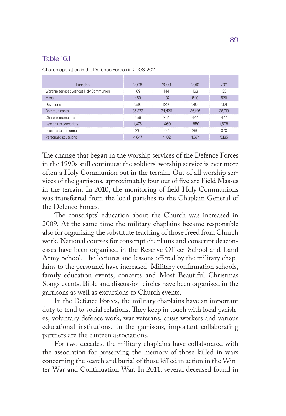# Table 16.1

Church operation in the Defence Forces in 2008-2011

| <b>Function</b>                         | 2008   | 2009   | 2010   | 2011   |
|-----------------------------------------|--------|--------|--------|--------|
| Worship services without Holy Communion | 169    | 144    | 163    | 123    |
| Mass                                    | 459    | 437    | 549    | 529    |
| Devotions                               | 1.510  | 1.326  | 1.405  | 1.121  |
| Communicants                            | 36,373 | 34,426 | 36.146 | 36,719 |
| Church ceremonies                       | 456    | 354    | 444    | 477    |
| Lessons to conscripts                   | 1.475  | 1.460  | 1.850  | 1.508  |
| Lessons to personnel                    | 215    | 224    | 290    | 370    |
| Personal discussions                    | 4.647  | 4.102  | 4.674  | 5.185  |

The change that began in the worship services of the Defence Forces in the 1990s still continues: the soldiers' worship service is ever more often a Holy Communion out in the terrain. Out of all worship services of the garrisons, approximately four out of five are Field Masses in the terrain. In 2010, the monitoring of field Holy Communions was transferred from the local parishes to the Chaplain General of the Defence Forces.

The conscripts' education about the Church was increased in 2009. At the same time the military chaplains became responsible also for organising the substitute teaching of those freed from Church work. National courses for conscript chaplains and conscript deaconesses have been organised in the Reserve Officer School and Land Army School. The lectures and lessons offered by the military chaplains to the personnel have increased. Military confirmation schools, family education events, concerts and Most Beautiful Christmas Songs events, Bible and discussion circles have been organised in the garrisons as well as excursions to Church events.

In the Defence Forces, the military chaplains have an important duty to tend to social relations. They keep in touch with local parishes, voluntary defence work, war veterans, crisis workers and various educational institutions. In the garrisons, important collaborating partners are the canteen associations.

For two decades, the military chaplains have collaborated with the association for preserving the memory of those killed in wars concerning the search and burial of those killed in action in the Winter War and Continuation War. In 2011, several deceased found in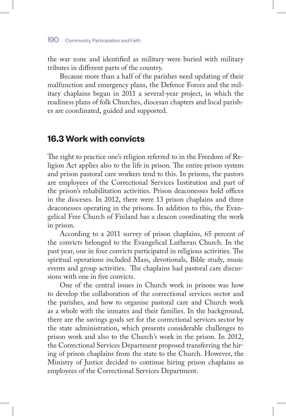#### 190 Community, Participation and Faith

the war zone and identified as military were buried with military tributes in different parts of the country.

Because more than a half of the parishes need updating of their malfunction and emergency plans, the Defence Forces and the military chaplains began in 2011 a several-year project, in which the readiness plans of folk Churches, diocesan chapters and local parishes are coordinated, guided and supported.

# **16.3 Work with convicts**

The right to practice one's religion referred to in the Freedom of Religion Act applies also to the life in prison. The entire prison system and prison pastoral care workers tend to this. In prisons, the pastors are employees of the Correctional Services Institution and part of the prison's rehabilitation activities. Prison deaconesses hold offices in the dioceses. In 2012, there were 13 prison chaplains and three deaconesses operating in the prisons. In addition to this, the Evangelical Free Church of Finland has a deacon coordinating the work in prison.

According to a 2011 survey of prison chaplains, 65 percent of the convicts belonged to the Evangelical Lutheran Church. In the past year, one in four convicts participated in religious activities. The spiritual operations included Mass, devotionals, Bible study, music events and group activities. The chaplains had pastoral care discussions with one in five convicts.

One of the central issues in Church work in prisons was how to develop the collaboration of the correctional services sector and the parishes, and how to organise pastoral care and Church work as a whole with the inmates and their families. In the background, there are the savings goals set for the correctional services sector by the state administration, which presents considerable challenges to prison work and also to the Church's work in the prison. In 2012, the Correctional Services Department proposed transferring the hiring of prison chaplains from the state to the Church. However, the Ministry of Justice decided to continue hiring prison chaplains as employees of the Correctional Services Department.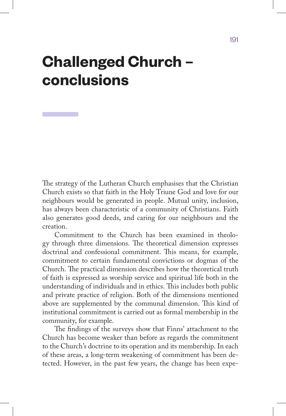# **Challenged Church – conclusions**

The strategy of the Lutheran Church emphasises that the Christian Church exists so that faith in the Holy Triune God and love for our neighbours would be generated in people. Mutual unity, inclusion, has always been characteristic of a community of Christians. Faith also generates good deeds, and caring for our neighbours and the creation.

Commitment to the Church has been examined in theology through three dimensions. The theoretical dimension expresses doctrinal and confessional commitment. This means, for example, commitment to certain fundamental convictions or dogmas of the Church. The practical dimension describes how the theoretical truth of faith is expressed as worship service and spiritual life both in the understanding of individuals and in ethics. This includes both public and private practice of religion. Both of the dimensions mentioned above are supplemented by the communal dimension. This kind of institutional commitment is carried out as formal membership in the community, for example.

The findings of the surveys show that Finns' attachment to the Church has become weaker than before as regards the commitment to the Church's doctrine to its operation and its membership. In each of these areas, a long-term weakening of commitment has been detected. However, in the past few years, the change has been expe-

191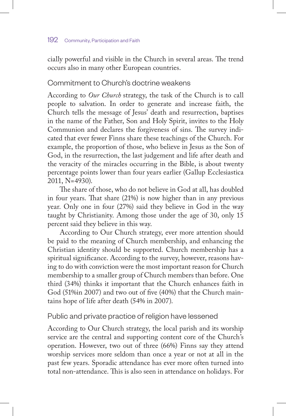#### 192 Community, Participation and Faith

cially powerful and visible in the Church in several areas. The trend occurs also in many other European countries.

## Commitment to Church's doctrine weakens

According to *Our Church* strategy, the task of the Church is to call people to salvation. In order to generate and increase faith, the Church tells the message of Jesus' death and resurrection, baptises in the name of the Father, Son and Holy Spirit, invites to the Holy Communion and declares the forgiveness of sins. The survey indicated that ever fewer Finns share these teachings of the Church. For example, the proportion of those, who believe in Jesus as the Son of God, in the resurrection, the last judgement and life after death and the veracity of the miracles occurring in the Bible, is about twenty percentage points lower than four years earlier (Gallup Ecclesiastica 2011, N=4930).

The share of those, who do not believe in God at all, has doubled in four years. That share (21%) is now higher than in any previous year. Only one in four (27%) said they believe in God in the way taught by Christianity. Among those under the age of 30, only 15 percent said they believe in this way.

According to Our Church strategy, ever more attention should be paid to the meaning of Church membership, and enhancing the Christian identity should be supported. Church membership has a spiritual significance. According to the survey, however, reasons having to do with conviction were the most important reason for Church membership to a smaller group of Church members than before. One third (34%) thinks it important that the Church enhances faith in God (51%in 2007) and two out of five (40%) that the Church maintains hope of life after death (54% in 2007).

## Public and private practice of religion have lessened

According to Our Church strategy, the local parish and its worship service are the central and supporting content core of the Church's operation. However, two out of three (66%) Finns say they attend worship services more seldom than once a year or not at all in the past few years. Sporadic attendance has ever more often turned into total non-attendance. This is also seen in attendance on holidays. For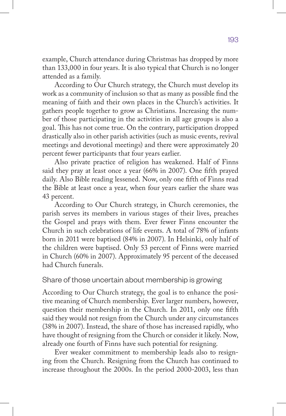example, Church attendance during Christmas has dropped by more than 133,000 in four years. It is also typical that Church is no longer attended as a family.

According to Our Church strategy, the Church must develop its work as a community of inclusion so that as many as possible find the meaning of faith and their own places in the Church's activities. It gathers people together to grow as Christians. Increasing the number of those participating in the activities in all age groups is also a goal. This has not come true. On the contrary, participation dropped drastically also in other parish activities (such as music events, revival meetings and devotional meetings) and there were approximately 20 percent fewer participants that four years earlier.

Also private practice of religion has weakened. Half of Finns said they pray at least once a year (66% in 2007). One fifth prayed daily. Also Bible reading lessened. Now, only one fifth of Finns read the Bible at least once a year, when four years earlier the share was 43 percent.

According to Our Church strategy, in Church ceremonies, the parish serves its members in various stages of their lives, preaches the Gospel and prays with them. Ever fewer Finns encounter the Church in such celebrations of life events. A total of 78% of infants born in 2011 were baptised (84% in 2007). In Helsinki, only half of the children were baptised. Only 53 percent of Finns were married in Church (60% in 2007). Approximately 95 percent of the deceased had Church funerals.

## Share of those uncertain about membership is growing

According to Our Church strategy, the goal is to enhance the positive meaning of Church membership. Ever larger numbers, however, question their membership in the Church. In 2011, only one fifth said they would not resign from the Church under any circumstances (38% in 2007). Instead, the share of those has increased rapidly, who have thought of resigning from the Church or consider it likely. Now, already one fourth of Finns have such potential for resigning.

Ever weaker commitment to membership leads also to resigning from the Church. Resigning from the Church has continued to increase throughout the 2000s. In the period 2000-2003, less than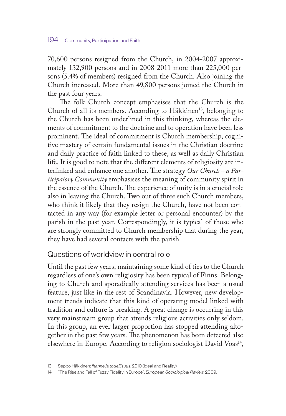70,600 persons resigned from the Church, in 2004-2007 approximately 132,900 persons and in 2008-2011 more than 225,000 persons (5.4% of members) resigned from the Church. Also joining the Church increased. More than 49,800 persons joined the Church in the past four years.

The folk Church concept emphasises that the Church is the Church of all its members. According to Häkkinen<sup>13</sup>, belonging to the Church has been underlined in this thinking, whereas the elements of commitment to the doctrine and to operation have been less prominent. The ideal of commitment is Church membership, cognitive mastery of certain fundamental issues in the Christian doctrine and daily practice of faith linked to these, as well as daily Christian life. It is good to note that the different elements of religiosity are interlinked and enhance one another. The strategy *Our Church – a Participatory Community* emphasises the meaning of community spirit in the essence of the Church. The experience of unity is in a crucial role also in leaving the Church. Two out of three such Church members, who think it likely that they resign the Church, have not been contacted in any way (for example letter or personal encounter) by the parish in the past year. Correspondingly, it is typical of those who are strongly committed to Church membership that during the year, they have had several contacts with the parish.

## Questions of worldview in central role

Until the past few years, maintaining some kind of ties to the Church regardless of one's own religiosity has been typical of Finns. Belonging to Church and sporadically attending services has been a usual feature, just like in the rest of Scandinavia. However, new development trends indicate that this kind of operating model linked with tradition and culture is breaking. A great change is occurring in this very mainstream group that attends religious activities only seldom. In this group, an ever larger proportion has stopped attending altogether in the past few years. The phenomenon has been detected also elsewhere in Europe. According to religion sociologist David Voas<sup>14</sup>,

<sup>13</sup> Seppo Häkkinen: *Ihanne ja todellisuus*, 2010 (Ideal and Reality)

<sup>14</sup> "The Rise and Fall of Fuzzy Fidelity in Europe", *European Sociological Review*, 2009.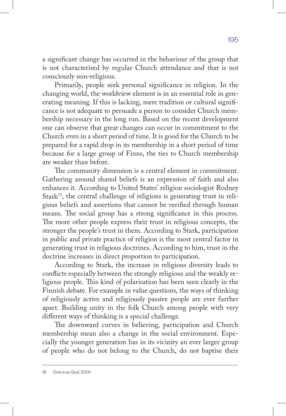a significant change has occurred in the behaviour of the group that is not characterised by regular Church attendance and that is not consciously non-religious.

Primarily, people seek personal significance in religion. In the changing world, the worldview element is in an essential role in generating meaning. If this is lacking, mere tradition or cultural significance is not adequate to persuade a person to consider Church membership necessary in the long run. Based on the recent development one can observe that great changes can occur in commitment to the Church even in a short period of time. It is good for the Church to be prepared for a rapid drop in its membership in a short period of time because for a large group of Finns, the ties to Church membership are weaker than before.

The community dimension is a central element in commitment. Gathering around shared beliefs is an expression of faith and also enhances it. According to United States' religion sociologist Rodney Stark<sup>15</sup>, the central challenge of religions is generating trust in religious beliefs and assertions that cannot be verified through human means. The social group has a strong significance in this process. The more other people express their trust in religious concepts, the stronger the people's trust in them. According to Stark, participation in public and private practice of religion is the most central factor in generating trust in religious doctrines. According to him, trust in the doctrine increases in direct proportion to participation.

According to Stark, the increase in religious diversity leads to conflicts especially between the strongly religious and the weakly religious people. This kind of polarisation has been seen clearly in the Finnish debate. For example in value questions, the ways of thinking of religiously active and religiously passive people are ever further apart. Building unity in the folk Church among people with very different ways of thinking is a special challenge.

The downward curves in believing, participation and Church membership mean also a change in the social environment. Especially the younger generation has in its vicinity an ever larger group of people who do not belong to the Church, do not baptise their

15 *One true God*, 2001.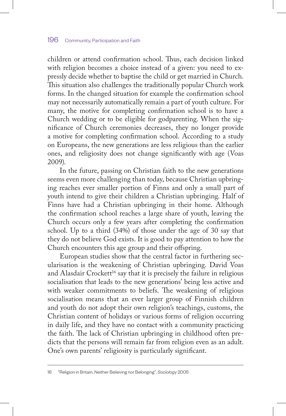children or attend confirmation school. Thus, each decision linked with religion becomes a choice instead of a given: you need to expressly decide whether to baptise the child or get married in Church. This situation also challenges the traditionally popular Church work forms. In the changed situation for example the confirmation school may not necessarily automatically remain a part of youth culture. For many, the motive for completing confirmation school is to have a Church wedding or to be eligible for godparenting. When the significance of Church ceremonies decreases, they no longer provide a motive for completing confirmation school. According to a study on Europeans, the new generations are less religious than the earlier ones, and religiosity does not change significantly with age (Voas 2009).

In the future, passing on Christian faith to the new generations seems even more challenging than today, because Christian upbringing reaches ever smaller portion of Finns and only a small part of youth intend to give their children a Christian upbringing. Half of Finns have had a Christian upbringing in their home. Although the confirmation school reaches a large share of youth, leaving the Church occurs only a few years after completing the confirmation school. Up to a third (34%) of those under the age of 30 say that they do not believe God exists. It is good to pay attention to how the Church encounters this age group and their offspring.

European studies show that the central factor in furthering secularisation is the weakening of Christian upbringing. David Voas and Alasdair Crockett<sup>16</sup> say that it is precisely the failure in religious socialisation that leads to the new generations' being less active and with weaker commitments to beliefs. The weakening of religious socialisation means that an ever larger group of Finnish children and youth do not adopt their own religion's teachings, customs, the Christian content of holidays or various forms of religion occurring in daily life, and they have no contact with a community practicing the faith. The lack of Christian upbringing in childhood often predicts that the persons will remain far from religion even as an adult. One's own parents' religiosity is particularly significant.

16 "Religion in Britain, Neither Believing nor Belonging", *Sociology* 2005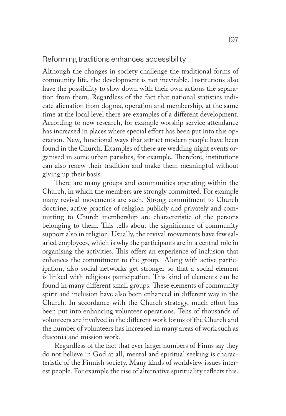## Reforming traditions enhances accessibility

Although the changes in society challenge the traditional forms of community life, the development is not inevitable. Institutions also have the possibility to slow down with their own actions the separation from them. Regardless of the fact that national statistics indicate alienation from dogma, operation and membership, at the same time at the local level there are examples of a different development. According to new research, for example worship service attendance has increased in places where special effort has been put into this operation. New, functional ways that attract modern people have been found in the Church. Examples of these are wedding night events organised in some urban parishes, for example. Therefore, institutions can also renew their tradition and make them meaningful without giving up their basis.

There are many groups and communities operating within the Church, in which the members are strongly committed. For example many revival movements are such. Strong commitment to Church doctrine, active practice of religion publicly and privately and committing to Church membership are characteristic of the persons belonging to them. This tells about the significance of community support also in religion. Usually, the revival movements have few salaried employees, which is why the participants are in a central role in organising the activities. This offers an experience of inclusion that enhances the commitment to the group. Along with active participation, also social networks get stronger so that a social element is linked with religious participation. This kind of elements can be found in many different small groups. These elements of community spirit and inclusion have also been enhanced in different way in the Church. In accordance with the Church strategy, much effort has been put into enhancing volunteer operations. Tens of thousands of volunteers are involved in the different work forms of the Church and the number of volunteers has increased in many areas of work such as diaconia and mission work.

Regardless of the fact that ever larger numbers of Finns say they do not believe in God at all, mental and spiritual seeking is characteristic of the Finnish society. Many kinds of worldview issues interest people. For example the rise of alternative spirituality reflects this.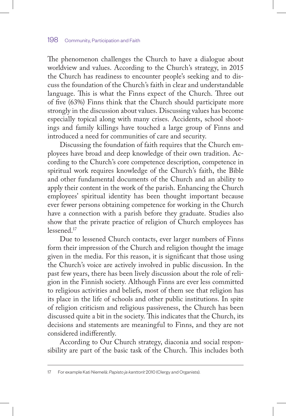The phenomenon challenges the Church to have a dialogue about worldview and values. According to the Church's strategy, in 2015 the Church has readiness to encounter people's seeking and to discuss the foundation of the Church's faith in clear and understandable language. This is what the Finns expect of the Church. Three out of five (63%) Finns think that the Church should participate more strongly in the discussion about values. Discussing values has become especially topical along with many crises. Accidents, school shootings and family killings have touched a large group of Finns and introduced a need for communities of care and security.

Discussing the foundation of faith requires that the Church employees have broad and deep knowledge of their own tradition. According to the Church's core competence description, competence in spiritual work requires knowledge of the Church's faith, the Bible and other fundamental documents of the Church and an ability to apply their content in the work of the parish. Enhancing the Church employees' spiritual identity has been thought important because ever fewer persons obtaining competence for working in the Church have a connection with a parish before they graduate. Studies also show that the private practice of religion of Church employees has lessened.17

Due to lessened Church contacts, ever larger numbers of Finns form their impression of the Church and religion thought the image given in the media. For this reason, it is significant that those using the Church's voice are actively involved in public discussion. In the past few years, there has been lively discussion about the role of religion in the Finnish society. Although Finns are ever less committed to religious activities and beliefs, most of them see that religion has its place in the life of schools and other public institutions. In spite of religion criticism and religious passiveness, the Church has been discussed quite a bit in the society. This indicates that the Church, its decisions and statements are meaningful to Finns, and they are not considered indifferently.

According to Our Church strategy, diaconia and social responsibility are part of the basic task of the Church. This includes both

<sup>17</sup> For example Kati Niemelä: *Papisto ja kanttorit* 2010 (Clergy and Organists).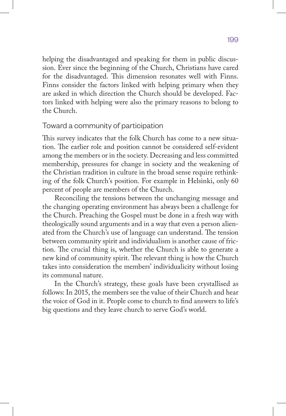helping the disadvantaged and speaking for them in public discussion. Ever since the beginning of the Church, Christians have cared for the disadvantaged. This dimension resonates well with Finns. Finns consider the factors linked with helping primary when they are asked in which direction the Church should be developed. Factors linked with helping were also the primary reasons to belong to the Church.

## Toward a community of participation

This survey indicates that the folk Church has come to a new situation. The earlier role and position cannot be considered self-evident among the members or in the society. Decreasing and less committed membership, pressures for change in society and the weakening of the Christian tradition in culture in the broad sense require rethinking of the folk Church's position. For example in Helsinki, only 60 percent of people are members of the Church.

Reconciling the tensions between the unchanging message and the changing operating environment has always been a challenge for the Church. Preaching the Gospel must be done in a fresh way with theologically sound arguments and in a way that even a person alienated from the Church's use of language can understand. The tension between community spirit and individualism is another cause of friction. The crucial thing is, whether the Church is able to generate a new kind of community spirit. The relevant thing is how the Church takes into consideration the members' individualicity without losing its communal nature.

In the Church's strategy, these goals have been crystallised as follows: In 2015, the members see the value of their Church and hear the voice of God in it. People come to church to find answers to life's big questions and they leave church to serve God's world.